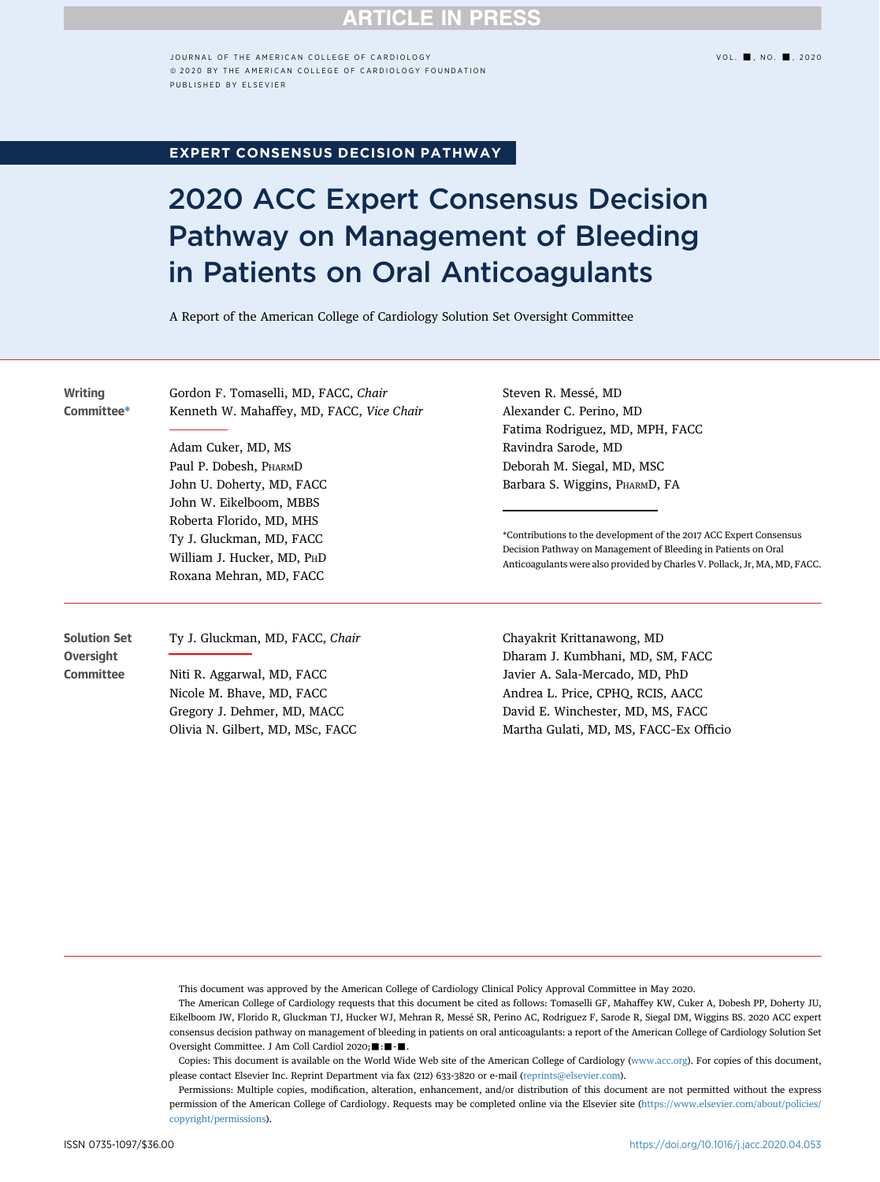## **RTICLE IN PRESS**

JOURNAL OF THE AMERICAN COLLEGE OF CARDIOLOGY VOL. ■, NO. ■, 2020 ª 2020 BY THE AMERICAN COLLEGE OF CARDIOLOGY FOUNDATION PUBLISHED BY ELSEVIER

### EXPERT CONSENSUS DECISION PATHWAY

# 2020 ACC Expert Consensus Decision Pathway on Management of Bleeding in Patients on Oral Anticoagulants

A Report of the American College of Cardiology Solution Set Oversight Committee

**Writing** Committee\* Gordon F. Tomaselli, MD, FACC, Chair Kenneth W. Mahaffey, MD, FACC, Vice Chair

Adam Cuker, MD, MS Paul P. Dobesh, PHARMD John U. Doherty, MD, FACC John W. Eikelboom, MBBS Roberta Florido, MD, MHS Ty J. Gluckman, MD, FACC William J. Hucker, MD, PHD Roxana Mehran, MD, FACC

Olivia N. Gilbert, MD, MSc, FACC

Steven R. Messé, MD Alexander C. Perino, MD Fatima Rodriguez, MD, MPH, FACC Ravindra Sarode, MD Deborah M. Siegal, MD, MSC Barbara S. Wiggins, PHARMD, FA

\*Contributions to the development of the 2017 ACC Expert Consensus Decision Pathway on Management of Bleeding in Patients on Oral Anticoagulants were also provided by Charles V. Pollack, Jr, MA, MD, FACC.

Solution Set **Oversight Committee** Ty J. Gluckman, MD, FACC, Chair Niti R. Aggarwal, MD, FACC Nicole M. Bhave, MD, FACC Gregory J. Dehmer, MD, MACC

Chayakrit Krittanawong, MD Dharam J. Kumbhani, MD, SM, FACC Javier A. Sala-Mercado, MD, PhD Andrea L. Price, CPHQ, RCIS, AACC David E. Winchester, MD, MS, FACC Martha Gulati, MD, MS, FACC–Ex Officio

This document was approved by the American College of Cardiology Clinical Policy Approval Committee in May 2020.

The American College of Cardiology requests that this document be cited as follows: Tomaselli GF, Mahaffey KW, Cuker A, Dobesh PP, Doherty JU, Eikelboom JW, Florido R, Gluckman TJ, Hucker WJ, Mehran R, Messé SR, Perino AC, Rodriguez F, Sarode R, Siegal DM, Wiggins BS. 2020 ACC expert consensus decision pathway on management of bleeding in patients on oral anticoagulants: a report of the American College of Cardiology Solution Set Oversight Committee. J Am Coll Cardiol 2020;  $\blacksquare$ : $\blacksquare$ 

Copies: This document is available on the World Wide Web site of the American College of Cardiology [\(www.acc.org](http://www.acc.org)). For copies of this document, please contact Elsevier Inc. Reprint Department via fax (212) 633-3820 or e-mail ([reprints@elsevier.com](mailto:reprints@elsevier.com)).

Permissions: Multiple copies, modification, alteration, enhancement, and/or distribution of this document are not permitted without the express permission of the American College of Cardiology. Requests may be completed online via the Elsevier site [\(https://www.elsevier.com/about/policies/](https://www.elsevier.com/about/policies/copyright/permissions) [copyright/permissions](https://www.elsevier.com/about/policies/copyright/permissions)).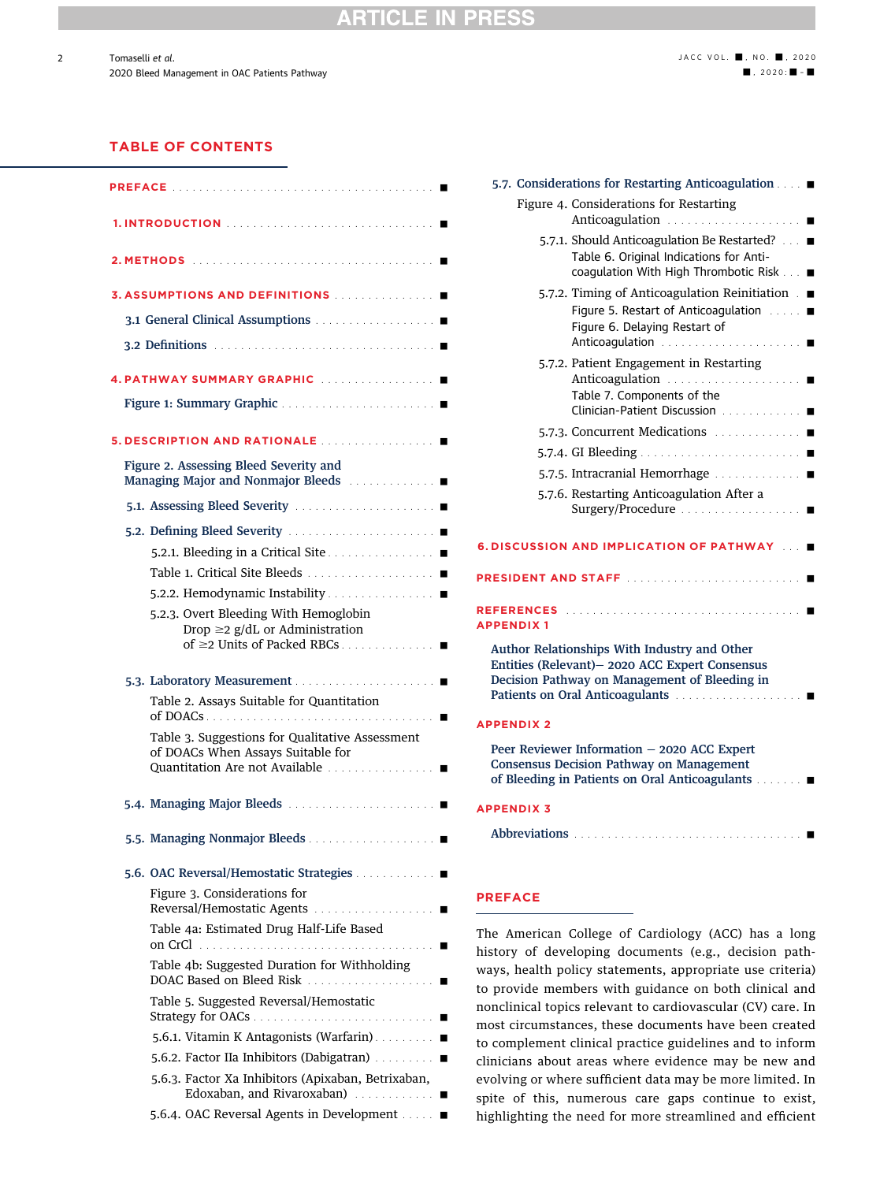### **RTICLE IN PRES**

### TABLE OF CONTENTS

2

| PREFACE                                                                                                                                            |
|----------------------------------------------------------------------------------------------------------------------------------------------------|
|                                                                                                                                                    |
|                                                                                                                                                    |
| <b>3. ASSUMPTIONS AND DEFINITIONS ACCEPTED ASSUMPTIONS</b>                                                                                         |
|                                                                                                                                                    |
|                                                                                                                                                    |
| 4. PATHWAY SUMMARY GRAPHIC                                                                                                                         |
|                                                                                                                                                    |
| <b>5. DESCRIPTION AND RATIONALE </b>                                                                                                               |
| Figure 2. Assessing Bleed Severity and<br>Managing Major and Nonmajor Bleeds ■                                                                     |
|                                                                                                                                                    |
|                                                                                                                                                    |
|                                                                                                                                                    |
|                                                                                                                                                    |
| 5.2.2. Hemodynamic Instability                                                                                                                     |
| 5.2.3. Overt Bleeding With Hemoglobin<br>Drop $\geq$ 2 g/dL or Administration<br>of ≥2 Units of Packed RBCs                                        |
|                                                                                                                                                    |
|                                                                                                                                                    |
| Table 2. Assays Suitable for Quantitation                                                                                                          |
| Table 3. Suggestions for Qualitative Assessment<br>of DOACs When Assays Suitable for<br>Quantitation Are not Available                             |
|                                                                                                                                                    |
| 5.5. Managing Nonmajor Bleeds ■                                                                                                                    |
| 5.6. OAC Reversal/Hemostatic Strategies                                                                                                            |
| Figure 3. Considerations for<br>Reversal/Hemostatic Agents                                                                                         |
| Table 4a: Estimated Drug Half-Life Based<br>on CrCl<br>$\begin{array}{cccccccccccccc} . & . & . & . & . & . & . & . & . & . & . & . & \end{array}$ |
| Table 4b: Suggested Duration for Withholding<br>DOAC Based on Bleed Risk ■                                                                         |
| Table 5. Suggested Reversal/Hemostatic                                                                                                             |
| 5.6.1. Vitamin K Antagonists (Warfarin). ■                                                                                                         |
| 5.6.2. Factor IIa Inhibitors (Dabigatran) ■                                                                                                        |
| 5.6.3. Factor Xa Inhibitors (Apixaban, Betrixaban,<br>Edoxaban, and Rivaroxaban)                                                                   |

| 5.7. Considerations for Restarting Anticoagulation ■                                                                                                                                              |  |  |  |  |  |
|---------------------------------------------------------------------------------------------------------------------------------------------------------------------------------------------------|--|--|--|--|--|
| Figure 4. Considerations for Restarting<br>Anticoagulation<br>п                                                                                                                                   |  |  |  |  |  |
| 5.7.1. Should Anticoagulation Be Restarted? ■<br>Table 6. Original Indications for Anti-<br>coaqulation With High Thrombotic Risk ■                                                               |  |  |  |  |  |
| 5.7.2. Timing of Anticoagulation Reinitiation ■<br>Figure 5. Restart of Anticoagulation<br>$\mathcal{L} \times \mathcal{L} \times \mathbb{R}$<br>Figure 6. Delaying Restart of<br>Anticoagulation |  |  |  |  |  |
| 5.7.2. Patient Engagement in Restarting<br>Anticoagulation<br>Table 7. Components of the<br>Clinician-Patient Discussion                                                                          |  |  |  |  |  |
| 5.7.3. Concurrent Medications                                                                                                                                                                     |  |  |  |  |  |
|                                                                                                                                                                                                   |  |  |  |  |  |
| 5.7.5. Intracranial Hemorrhage                                                                                                                                                                    |  |  |  |  |  |
| 5.7.6. Restarting Anticoagulation After a                                                                                                                                                         |  |  |  |  |  |
| 6. DISCUSSION AND IMPLICATION OF PATHWAY                                                                                                                                                          |  |  |  |  |  |
| <b>PRESIDENT AND STAFF</b><br>and and and analysis<br>- -                                                                                                                                         |  |  |  |  |  |
| <b>REFERENCES</b><br><b>APPENDIX1</b>                                                                                                                                                             |  |  |  |  |  |
| Author Relationships With Industry and Other<br>Entities (Relevant)- 2020 ACC Expert Consensus<br>Decision Pathway on Management of Bleeding in                                                   |  |  |  |  |  |
| <b>APPENDIX 2</b>                                                                                                                                                                                 |  |  |  |  |  |
| Peer Reviewer Information - 2020 ACC Expert<br><b>Consensus Decision Pathway on Management</b><br>of Bleeding in Patients on Oral Anticoagulants.<br>$\sim 10$                                    |  |  |  |  |  |
| <b>APPENDIX 3</b>                                                                                                                                                                                 |  |  |  |  |  |
| Abbreviations<br>and and and analysis and<br>$\ldots$ . $\blacksquare$                                                                                                                            |  |  |  |  |  |
|                                                                                                                                                                                                   |  |  |  |  |  |

### PREFACE

The American College of Cardiology (ACC) has a long history of developing documents (e.g., decision pathways, health policy statements, appropriate use criteria) to provide members with guidance on both clinical and nonclinical topics relevant to cardiovascular (CV) care. In most circumstances, these documents have been created to complement clinical practice guidelines and to inform clinicians about areas where evidence may be new and evolving or where sufficient data may be more limited. In spite of this, numerous care gaps continue to exist, highlighting the need for more streamlined and efficient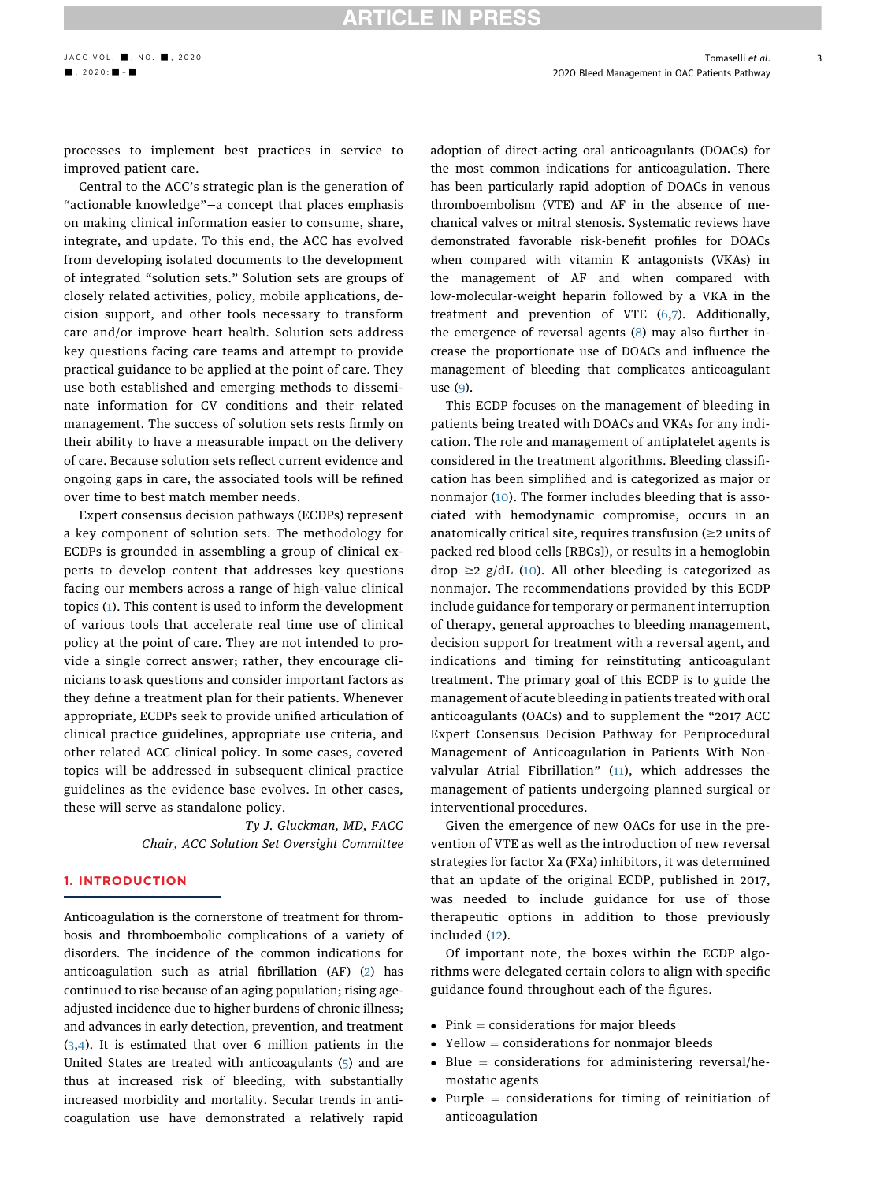processes to implement best practices in service to improved patient care.

Central to the ACC's strategic plan is the generation of "actionable knowledge"—a concept that places emphasis on making clinical information easier to consume, share, integrate, and update. To this end, the ACC has evolved from developing isolated documents to the development of integrated "solution sets." Solution sets are groups of closely related activities, policy, mobile applications, decision support, and other tools necessary to transform care and/or improve heart health. Solution sets address key questions facing care teams and attempt to provide practical guidance to be applied at the point of care. They use both established and emerging methods to disseminate information for CV conditions and their related management. The success of solution sets rests firmly on their ability to have a measurable impact on the delivery of care. Because solution sets reflect current evidence and ongoing gaps in care, the associated tools will be refined over time to best match member needs.

Expert consensus decision pathways (ECDPs) represent a key component of solution sets. The methodology for ECDPs is grounded in assembling a group of clinical experts to develop content that addresses key questions facing our members across a range of high-value clinical topics ([1\)](#page-20-0). This content is used to inform the development of various tools that accelerate real time use of clinical policy at the point of care. They are not intended to provide a single correct answer; rather, they encourage clinicians to ask questions and consider important factors as they define a treatment plan for their patients. Whenever appropriate, ECDPs seek to provide unified articulation of clinical practice guidelines, appropriate use criteria, and other related ACC clinical policy. In some cases, covered topics will be addressed in subsequent clinical practice guidelines as the evidence base evolves. In other cases, these will serve as standalone policy.

> $\overline{\phantom{a}}$ Chair, ACC Solution Set Oversight Committee

### 1. INTRODUCTION

Anticoagulation is the cornerstone of treatment for thrombosis and thromboembolic complications of a variety of disorders. The incidence of the common indications for anticoagulation such as atrial fibrillation (AF) ([2\)](#page-20-1) has continued to rise because of an aging population; rising ageadjusted incidence due to higher burdens of chronic illness; and advances in early detection, prevention, and treatment ([3,](#page-20-2)[4\)](#page-20-3). It is estimated that over 6 million patients in the United States are treated with anticoagulants [\(5](#page-20-4)) and are thus at increased risk of bleeding, with substantially increased morbidity and mortality. Secular trends in anticoagulation use have demonstrated a relatively rapid

adoption of direct-acting oral anticoagulants (DOACs) for the most common indications for anticoagulation. There has been particularly rapid adoption of DOACs in venous thromboembolism (VTE) and AF in the absence of mechanical valves or mitral stenosis. Systematic reviews have demonstrated favorable risk-benefit profiles for DOACs when compared with vitamin K antagonists (VKAs) in the management of AF and when compared with low-molecular-weight heparin followed by a VKA in the treatment and prevention of VTE ([6,](#page-20-5)[7](#page-20-6)). Additionally, the emergence of reversal agents ([8\)](#page-20-7) may also further increase the proportionate use of DOACs and influence the management of bleeding that complicates anticoagulant use [\(9\)](#page-20-8).

This ECDP focuses on the management of bleeding in patients being treated with DOACs and VKAs for any indication. The role and management of antiplatelet agents is considered in the treatment algorithms. Bleeding classification has been simplified and is categorized as major or nonmajor ([10](#page-20-9)). The former includes bleeding that is associated with hemodynamic compromise, occurs in an anatomically critical site, requires transfusion ( $\geq$ 2 units of packed red blood cells [RBCs]), or results in a hemoglobin drop  $\geq$ 2 g/dL ([10\)](#page-20-9). All other bleeding is categorized as nonmajor. The recommendations provided by this ECDP include guidance for temporary or permanent interruption of therapy, general approaches to bleeding management, decision support for treatment with a reversal agent, and indications and timing for reinstituting anticoagulant treatment. The primary goal of this ECDP is to guide the management of acute bleeding in patients treated with oral anticoagulants (OACs) and to supplement the "2017 ACC Expert Consensus Decision Pathway for Periprocedural Management of Anticoagulation in Patients With Nonvalvular Atrial Fibrillation" ([11\)](#page-20-10), which addresses the management of patients undergoing planned surgical or interventional procedures.

Given the emergence of new OACs for use in the prevention of VTE as well as the introduction of new reversal strategies for factor Xa (FXa) inhibitors, it was determined that an update of the original ECDP, published in 2017, was needed to include guidance for use of those therapeutic options in addition to those previously included [\(12](#page-20-11)).

Of important note, the boxes within the ECDP algorithms were delegated certain colors to align with specific guidance found throughout each of the figures.

- $\bullet$  Pink = considerations for major bleeds
- $\bullet$  Yellow = considerations for nonmajor bleeds
- $\bullet$  Blue = considerations for administering reversal/hemostatic agents
- Purple  $=$  considerations for timing of reinitiation of anticoagulation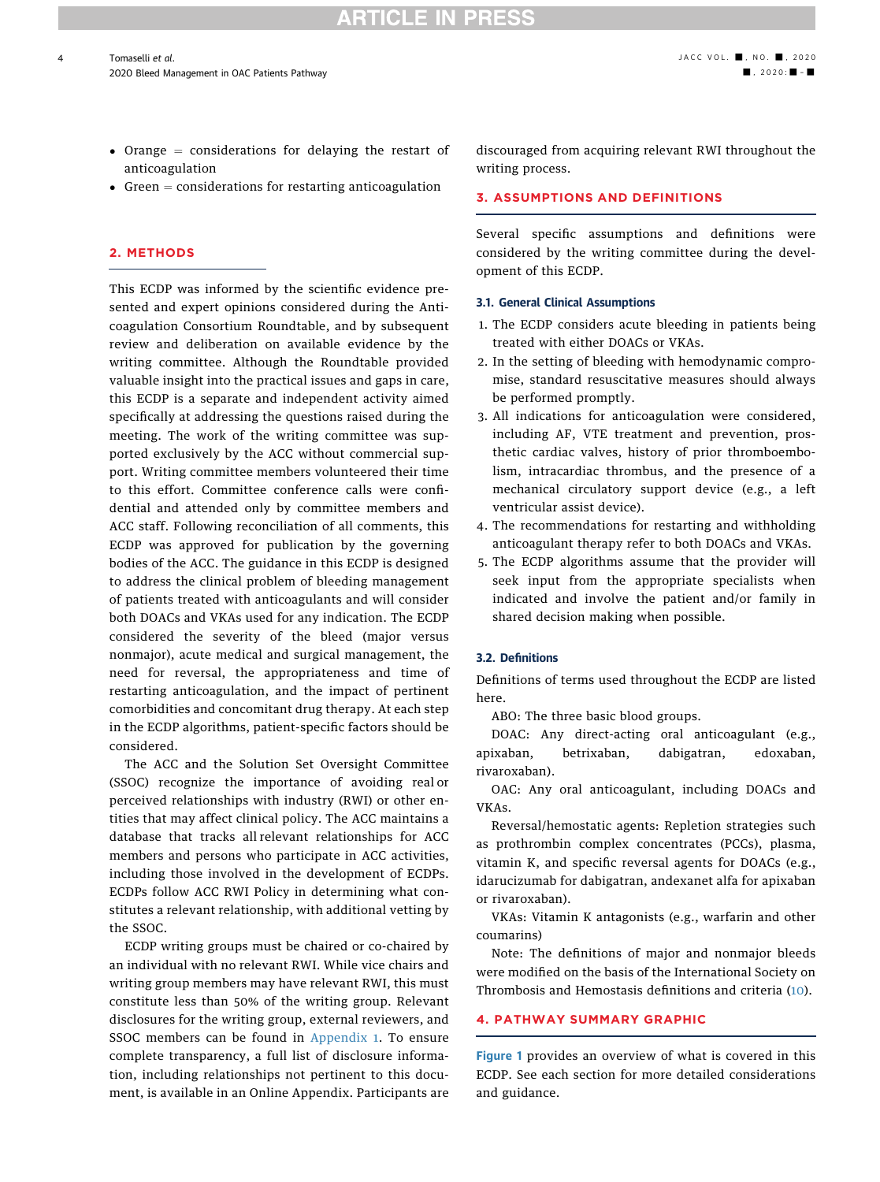- Orange  $=$  considerations for delaying the restart of anticoagulation
- Green  $=$  considerations for restarting anticoagulation

### 2. METHODS

4

This ECDP was informed by the scientific evidence presented and expert opinions considered during the Anticoagulation Consortium Roundtable, and by subsequent review and deliberation on available evidence by the writing committee. Although the Roundtable provided valuable insight into the practical issues and gaps in care, this ECDP is a separate and independent activity aimed specifically at addressing the questions raised during the meeting. The work of the writing committee was supported exclusively by the ACC without commercial support. Writing committee members volunteered their time to this effort. Committee conference calls were confidential and attended only by committee members and ACC staff. Following reconciliation of all comments, this ECDP was approved for publication by the governing bodies of the ACC. The guidance in this ECDP is designed to address the clinical problem of bleeding management of patients treated with anticoagulants and will consider both DOACs and VKAs used for any indication. The ECDP considered the severity of the bleed (major versus nonmajor), acute medical and surgical management, the need for reversal, the appropriateness and time of restarting anticoagulation, and the impact of pertinent comorbidities and concomitant drug therapy. At each step in the ECDP algorithms, patient-specific factors should be considered.

The ACC and the Solution Set Oversight Committee (SSOC) recognize the importance of avoiding real or perceived relationships with industry (RWI) or other entities that may affect clinical policy. The ACC maintains a database that tracks all relevant relationships for ACC members and persons who participate in ACC activities, including those involved in the development of ECDPs. ECDPs follow ACC RWI Policy in determining what constitutes a relevant relationship, with additional vetting by the SSOC.

ECDP writing groups must be chaired or co-chaired by an individual with no relevant RWI. While vice chairs and writing group members may have relevant RWI, this must constitute less than 50% of the writing group. Relevant disclosures for the writing group, external reviewers, and SSOC members can be found in [Appendix 1](#page-24-0). To ensure complete transparency, a full list of disclosure information, including relationships not pertinent to this document, is available in an Online Appendix. Participants are discouraged from acquiring relevant RWI throughout the writing process.

### 3. ASSUMPTIONS AND DEFINITIONS

Several specific assumptions and definitions were considered by the writing committee during the development of this ECDP.

#### 3.1. General Clinical Assumptions

- 1. The ECDP considers acute bleeding in patients being treated with either DOACs or VKAs.
- 2. In the setting of bleeding with hemodynamic compromise, standard resuscitative measures should always be performed promptly.
- 3. All indications for anticoagulation were considered, including AF, VTE treatment and prevention, prosthetic cardiac valves, history of prior thromboembolism, intracardiac thrombus, and the presence of a mechanical circulatory support device (e.g., a left ventricular assist device).
- 4. The recommendations for restarting and withholding anticoagulant therapy refer to both DOACs and VKAs.
- 5. The ECDP algorithms assume that the provider will seek input from the appropriate specialists when indicated and involve the patient and/or family in shared decision making when possible.

### 3.2. Definitions

Definitions of terms used throughout the ECDP are listed here.

ABO: The three basic blood groups.

DOAC: Any direct-acting oral anticoagulant (e.g., apixaban, betrixaban, dabigatran, edoxaban, rivaroxaban).

OAC: Any oral anticoagulant, including DOACs and VKAs.

Reversal/hemostatic agents: Repletion strategies such as prothrombin complex concentrates (PCCs), plasma, vitamin K, and specific reversal agents for DOACs (e.g., idarucizumab for dabigatran, andexanet alfa for apixaban or rivaroxaban).

VKAs: Vitamin K antagonists (e.g., warfarin and other coumarins)

Note: The definitions of major and nonmajor bleeds were modified on the basis of the International Society on Thrombosis and Hemostasis definitions and criteria ([10\)](#page-20-9).

#### 4. PATHWAY SUMMARY GRAPHIC

[Figure 1](#page-4-0) provides an overview of what is covered in this ECDP. See each section for more detailed considerations and guidance.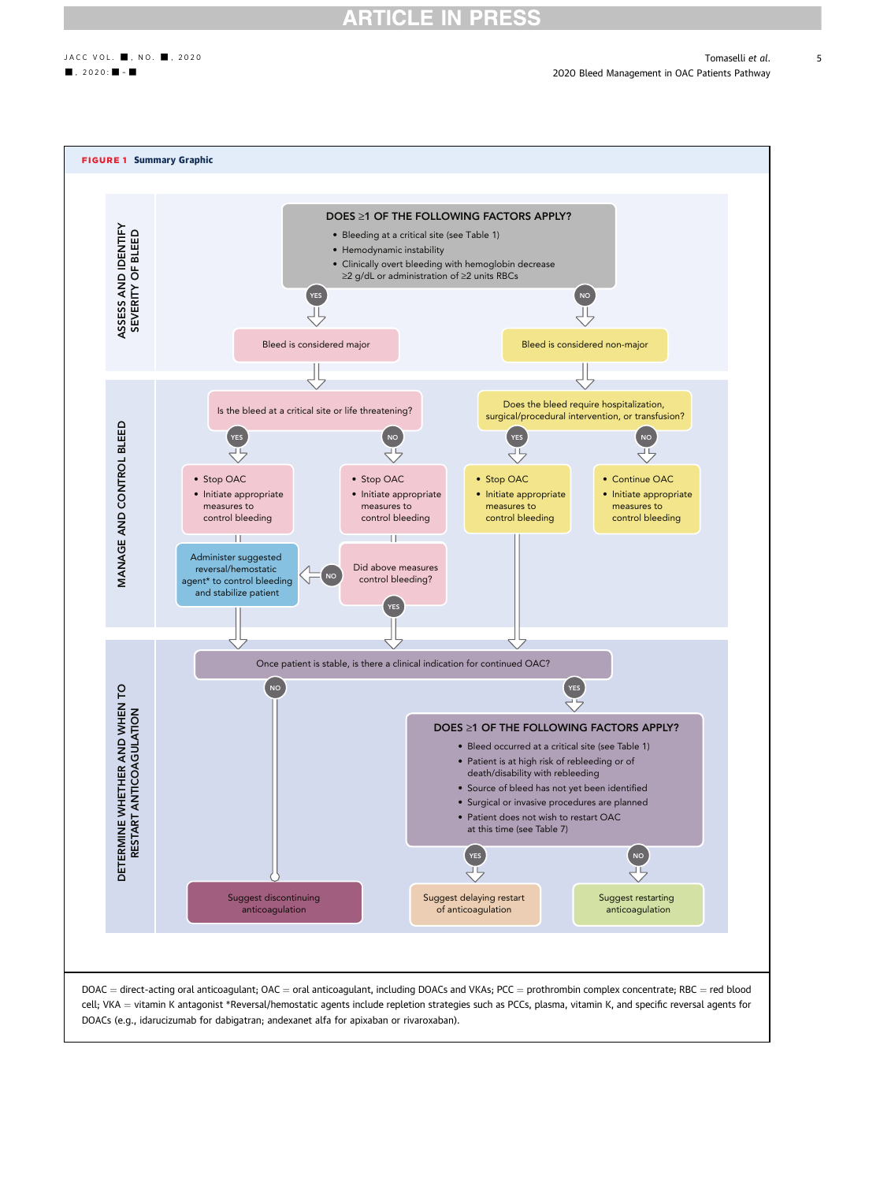<span id="page-4-0"></span>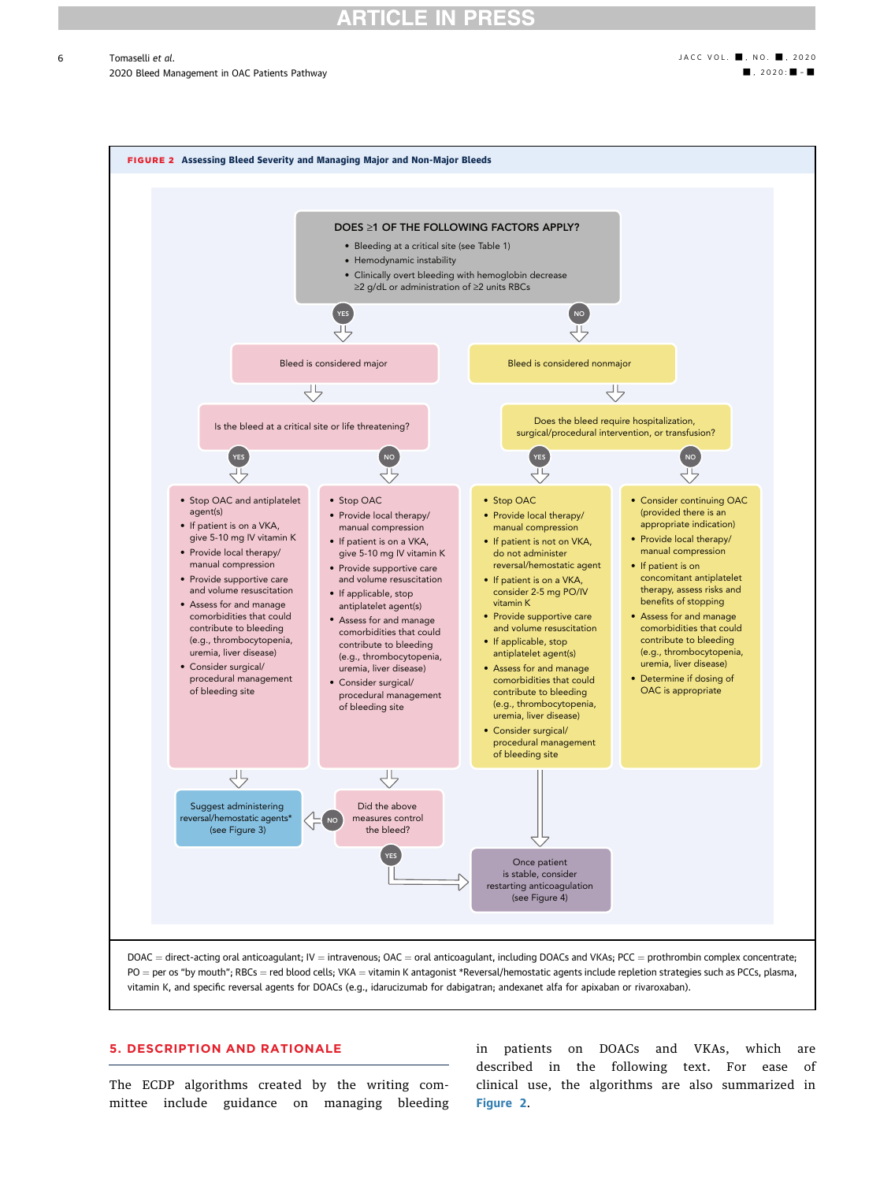### ICLE

 $\blacksquare$  Tomaselli et al.  $\blacksquare$ , NO.  $\blacksquare$ , 2020 2020 Bleed Management in OAC Patients Pathway - , 2020 - , 2020 - , 2020 - , 2020 - , 2020 - , 2020 - , 2020 - , 2020 - , 2020 - , 2020 - , 2020 - , 2020 - , 2020 - , 2020 - , 2020 - , 2020 - , 2020 - , 2020 - , 2020 - , 2

<span id="page-5-0"></span>

vitamin K, and specific reversal agents for DOACs (e.g., idarucizumab for dabigatran; andexanet alfa for apixaban or rivaroxaban).

### 5. DESCRIPTION AND RATIONALE

The ECDP algorithms created by the writing committee include guidance on managing bleeding

in patients on DOACs and VKAs, which are described in the following text. For ease of clinical use, the algorithms are also summarized in [Figure 2](#page-5-0).

6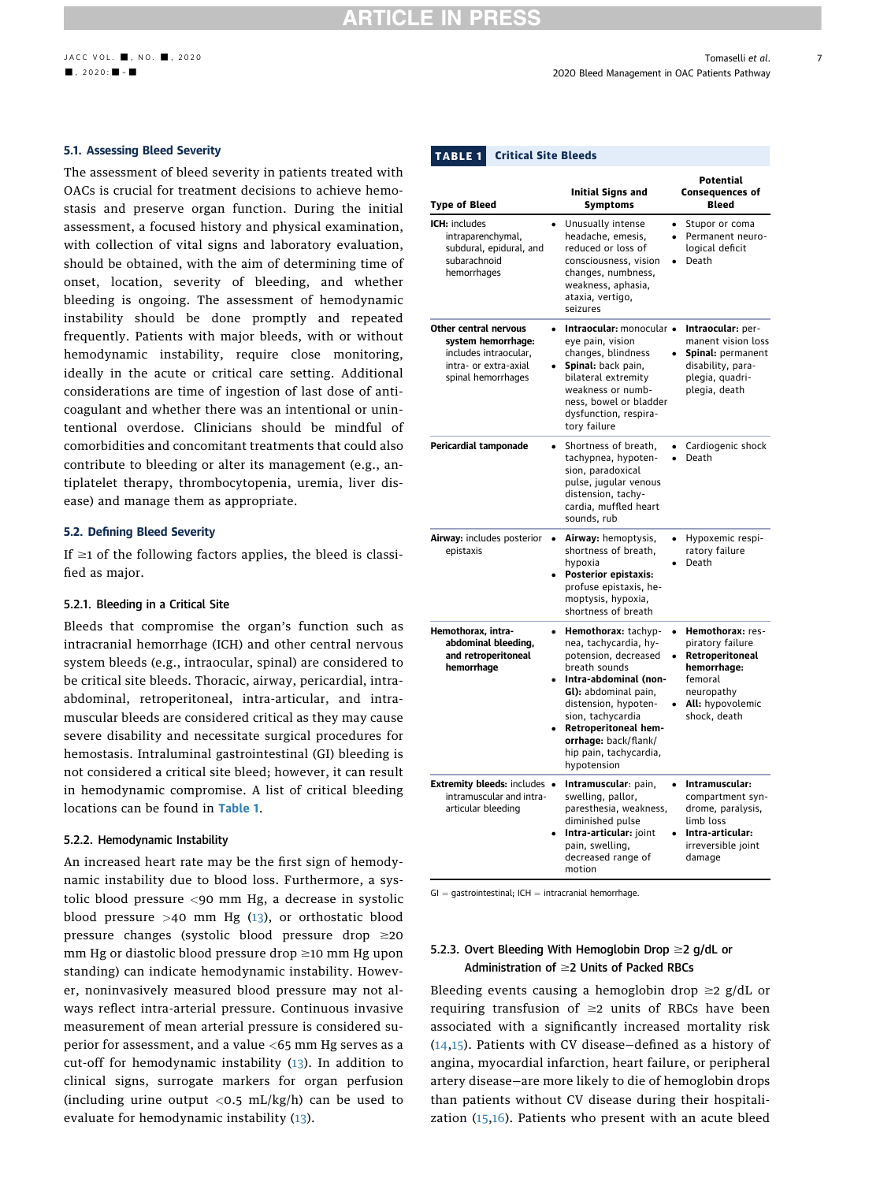### 5.1. Assessing Bleed Severity

The assessment of bleed severity in patients treated with OACs is crucial for treatment decisions to achieve hemostasis and preserve organ function. During the initial assessment, a focused history and physical examination, with collection of vital signs and laboratory evaluation, should be obtained, with the aim of determining time of onset, location, severity of bleeding, and whether bleeding is ongoing. The assessment of hemodynamic instability should be done promptly and repeated frequently. Patients with major bleeds, with or without hemodynamic instability, require close monitoring, ideally in the acute or critical care setting. Additional considerations are time of ingestion of last dose of anticoagulant and whether there was an intentional or unintentional overdose. Clinicians should be mindful of comorbidities and concomitant treatments that could also contribute to bleeding or alter its management (e.g., antiplatelet therapy, thrombocytopenia, uremia, liver disease) and manage them as appropriate.

### 5.2. Defining Bleed Severity

If  $\geq$ 1 of the following factors applies, the bleed is classified as major.

### 5.2.1. Bleeding in a Critical Site

Bleeds that compromise the organ's function such as intracranial hemorrhage (ICH) and other central nervous system bleeds (e.g., intraocular, spinal) are considered to be critical site bleeds. Thoracic, airway, pericardial, intraabdominal, retroperitoneal, intra-articular, and intramuscular bleeds are considered critical as they may cause severe disability and necessitate surgical procedures for hemostasis. Intraluminal gastrointestinal (GI) bleeding is not considered a critical site bleed; however, it can result in hemodynamic compromise. A list of critical bleeding locations can be found in [Table 1](#page-6-0).

### 5.2.2. Hemodynamic Instability

An increased heart rate may be the first sign of hemodynamic instability due to blood loss. Furthermore, a systolic blood pressure <90 mm Hg, a decrease in systolic blood pressure  $>40$  mm Hg ([13\)](#page-20-12), or orthostatic blood pressure changes (systolic blood pressure drop  $\geq 20$  $mm$  Hg or diastolic blood pressure drop  $\geq$ 10 mm Hg upon standing) can indicate hemodynamic instability. However, noninvasively measured blood pressure may not always reflect intra-arterial pressure. Continuous invasive measurement of mean arterial pressure is considered superior for assessment, and a value <65 mm Hg serves as a cut-off for hemodynamic instability [\(13](#page-20-12)). In addition to clinical signs, surrogate markers for organ perfusion (including urine output  $\langle 0.5 \text{ mL/kg/h} \rangle$  can be used to evaluate for hemodynamic instability ([13\)](#page-20-12).

<span id="page-6-0"></span>

| <b>Type of Bleed</b>                                                                                                | <b>Initial Signs and</b><br><b>Symptoms</b>                                                                                                                                                                                                                                  | <b>Potential</b><br><b>Consequences of</b><br>Bleed                                                                                 |
|---------------------------------------------------------------------------------------------------------------------|------------------------------------------------------------------------------------------------------------------------------------------------------------------------------------------------------------------------------------------------------------------------------|-------------------------------------------------------------------------------------------------------------------------------------|
| ICH: includes<br>intraparenchymal,<br>subdural, epidural, and<br>subarachnoid<br>hemorrhages                        | Unusually intense<br>headache, emesis,<br>reduced or loss of<br>consciousness, vision<br>changes, numbness,<br>weakness, aphasia,<br>ataxia, vertigo,<br>seizures                                                                                                            | Stupor or coma<br>$\bullet$<br>Permanent neuro-<br>logical deficit<br>Death                                                         |
| Other central nervous<br>system hemorrhage:<br>includes intraocular,<br>intra- or extra-axial<br>spinal hemorrhages | Intraocular: monocular .<br>eye pain, vision<br>changes, blindness<br>Spinal: back pain,<br>bilateral extremity<br>weakness or numb-<br>ness, bowel or bladder<br>dysfunction, respira-<br>tory failure                                                                      | Intraocular: per-<br>manent vision loss<br>Spinal: permanent<br>disability, para-<br>plegia, quadri-<br>plegia, death               |
| Pericardial tamponade                                                                                               | Shortness of breath,<br>tachypnea, hypoten-<br>sion, paradoxical<br>pulse, jugular venous<br>distension, tachy-<br>cardia. muffled heart<br>sounds, rub                                                                                                                      | Cardiogenic shock<br>Death                                                                                                          |
| Airway: includes posterior<br>epistaxis                                                                             | Airway: hemoptysis,<br>shortness of breath,<br>hypoxia<br>Posterior epistaxis:<br>profuse epistaxis, he-<br>moptysis, hypoxia,<br>shortness of breath                                                                                                                        | Hypoxemic respi-<br>ratory failure<br>Death                                                                                         |
| Hemothorax, intra-<br>abdominal bleeding,<br>and retroperitoneal<br>hemorrhage                                      | Hemothorax: tachyp-<br>nea, tachycardia, hy-<br>potension, decreased<br>breath sounds<br>Intra-abdominal (non-<br>Gl): abdominal pain,<br>distension, hypoten-<br>sion, tachycardia<br>Retroperitoneal hem-<br>orrhage: back/flank/<br>hip pain, tachycardia,<br>hypotension | Hemothorax: res-<br>piratory failure<br>Retroperitoneal<br>hemorrhage:<br>femoral<br>neuropathy<br>All: hypovolemic<br>shock, death |
| Extremity bleeds: includes .<br>intramuscular and intra-<br>articular bleeding                                      | Intramuscular: pain,<br>swelling, pallor,<br>paresthesia, weakness,<br>diminished pulse<br>Intra-articular: joint<br>pain, swelling,<br>decreased range of<br>motion                                                                                                         | Intramuscular:<br>compartment syn-<br>drome, paralysis,<br>limb loss<br>Intra-articular:<br>irreversible joint<br>damage            |

 $GI =$  gastrointestinal; ICH  $=$  intracranial hemorrhage.

### 5.2.3. Overt Bleeding With Hemoglobin Drop  $\geq$  g/dL or Administration of  $\geq$  Units of Packed RBCs

Bleeding events causing a hemoglobin drop  $\geq 2$  g/dL or requiring transfusion of  $\geq 2$  units of RBCs have been associated with a significantly increased mortality risk ([14](#page-20-13),[15\)](#page-20-14). Patients with CV disease—defined as a history of angina, myocardial infarction, heart failure, or peripheral artery disease—are more likely to die of hemoglobin drops than patients without CV disease during their hospitalization ([15](#page-20-14)[,16\)](#page-20-15). Patients who present with an acute bleed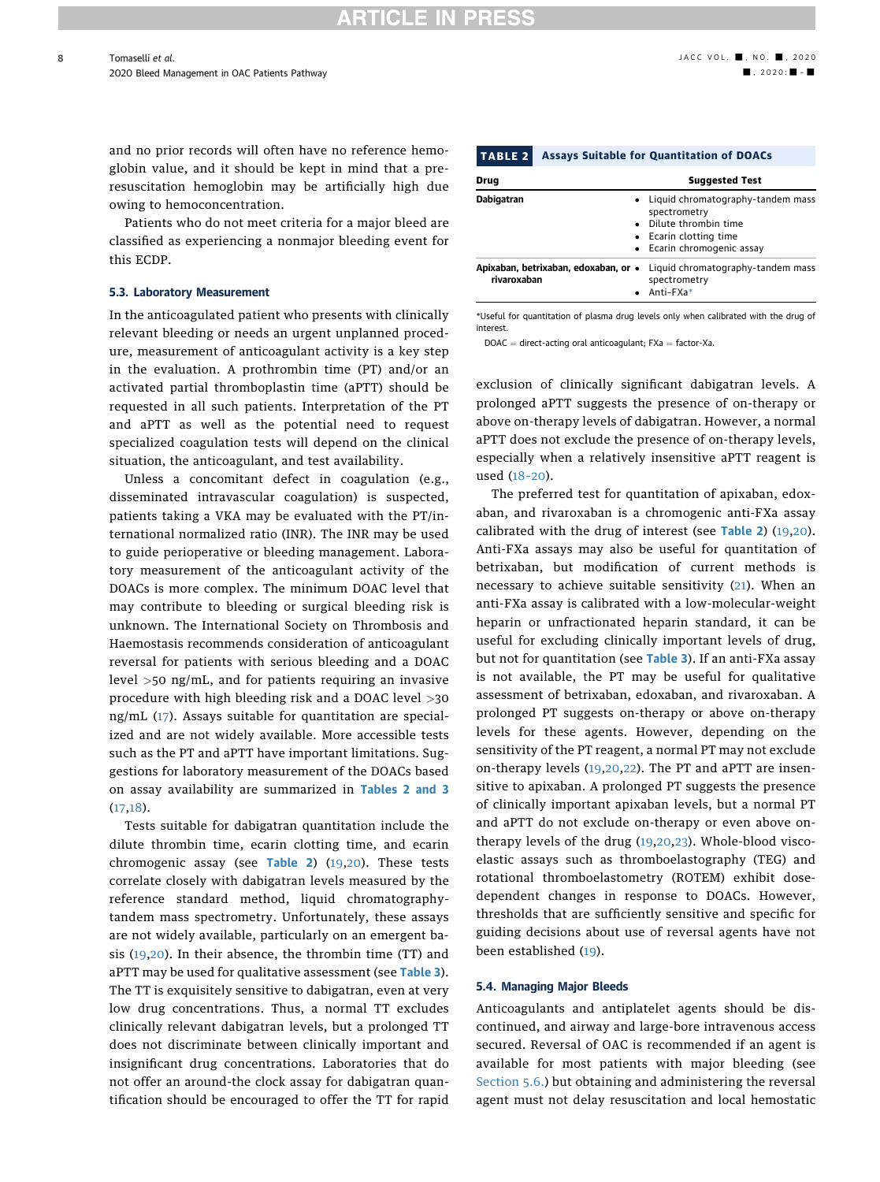and no prior records will often have no reference hemoglobin value, and it should be kept in mind that a preresuscitation hemoglobin may be artificially high due owing to hemoconcentration.

Patients who do not meet criteria for a major bleed are classified as experiencing a nonmajor bleeding event for this ECDP.

### <span id="page-7-2"></span>5.3. Laboratory Measurement

In the anticoagulated patient who presents with clinically relevant bleeding or needs an urgent unplanned procedure, measurement of anticoagulant activity is a key step in the evaluation. A prothrombin time (PT) and/or an activated partial thromboplastin time (aPTT) should be requested in all such patients. Interpretation of the PT and aPTT as well as the potential need to request specialized coagulation tests will depend on the clinical situation, the anticoagulant, and test availability.

Unless a concomitant defect in coagulation (e.g., disseminated intravascular coagulation) is suspected, patients taking a VKA may be evaluated with the PT/international normalized ratio (INR). The INR may be used to guide perioperative or bleeding management. Laboratory measurement of the anticoagulant activity of the DOACs is more complex. The minimum DOAC level that may contribute to bleeding or surgical bleeding risk is unknown. The International Society on Thrombosis and Haemostasis recommends consideration of anticoagulant reversal for patients with serious bleeding and a DOAC level >50 ng/mL, and for patients requiring an invasive procedure with high bleeding risk and a DOAC level >30 ng/mL ([17\)](#page-21-0). Assays suitable for quantitation are specialized and are not widely available. More accessible tests such as the PT and aPTT have important limitations. Suggestions for laboratory measurement of the DOACs based on assay availability are summarized in [Tables 2](#page-7-0) and [3](#page-8-0) ([17](#page-21-0),[18](#page-21-1)).

Tests suitable for dabigatran quantitation include the dilute thrombin time, ecarin clotting time, and ecarin chromogenic assay (see [Table 2](#page-7-0))  $(19,20)$  $(19,20)$ . These tests correlate closely with dabigatran levels measured by the reference standard method, liquid chromatographytandem mass spectrometry. Unfortunately, these assays are not widely available, particularly on an emergent basis ([19,](#page-21-2)[20\)](#page-21-3). In their absence, the thrombin time (TT) and aPTT may be used for qualitative assessment (see [Table 3](#page-8-0)). The TT is exquisitely sensitive to dabigatran, even at very low drug concentrations. Thus, a normal TT excludes clinically relevant dabigatran levels, but a prolonged TT does not discriminate between clinically important and insignificant drug concentrations. Laboratories that do not offer an around-the clock assay for dabigatran quantification should be encouraged to offer the TT for rapid

<span id="page-7-0"></span>

| <b>TABLE 2</b> | <b>Assays Suitable for Quantitation of DOACs</b><br><b>Suggested Test</b> |                                                                                                                               |  |  |  |
|----------------|---------------------------------------------------------------------------|-------------------------------------------------------------------------------------------------------------------------------|--|--|--|
| Drug           |                                                                           |                                                                                                                               |  |  |  |
| Dabigatran     |                                                                           | Liquid chromatography-tandem mass<br>spectrometry<br>Dilute thrombin time<br>Ecarin clotting time<br>Ecarin chromogenic assay |  |  |  |
| rivaroxaban    | Apixaban, betrixaban, edoxaban, or •                                      | Liquid chromatography-tandem mass<br>spectrometry<br>Anti-FXa*                                                                |  |  |  |

<span id="page-7-1"></span>\*Useful for quantitation of plasma drug levels only when calibrated with the drug of interest.

 $DOAC =$  direct-acting oral anticoagulant;  $FXa =$  factor-Xa.

exclusion of clinically significant dabigatran levels. A prolonged aPTT suggests the presence of on-therapy or above on-therapy levels of dabigatran. However, a normal aPTT does not exclude the presence of on-therapy levels, especially when a relatively insensitive aPTT reagent is used (18–[20](#page-21-1)).

The preferred test for quantitation of apixaban, edoxaban, and rivaroxaban is a chromogenic anti-FXa assay calibrated with the drug of interest (see [Table 2](#page-7-0)) ([19](#page-21-2),[20\)](#page-21-3). Anti-FXa assays may also be useful for quantitation of betrixaban, but modification of current methods is necessary to achieve suitable sensitivity ([21\)](#page-21-4). When an anti-FXa assay is calibrated with a low-molecular-weight heparin or unfractionated heparin standard, it can be useful for excluding clinically important levels of drug, but not for quantitation (see [Table 3](#page-8-0)). If an anti-FXa assay is not available, the PT may be useful for qualitative assessment of betrixaban, edoxaban, and rivaroxaban. A prolonged PT suggests on-therapy or above on-therapy levels for these agents. However, depending on the sensitivity of the PT reagent, a normal PT may not exclude on-therapy levels ([19](#page-21-2),[20](#page-21-3)[,22\)](#page-21-5). The PT and aPTT are insensitive to apixaban. A prolonged PT suggests the presence of clinically important apixaban levels, but a normal PT and aPTT do not exclude on-therapy or even above ontherapy levels of the drug [\(19,](#page-21-2)[20,](#page-21-3)[23\)](#page-21-6). Whole-blood viscoelastic assays such as thromboelastography (TEG) and rotational thromboelastometry (ROTEM) exhibit dosedependent changes in response to DOACs. However, thresholds that are sufficiently sensitive and specific for guiding decisions about use of reversal agents have not been established [\(19\)](#page-21-2).

#### 5.4. Managing Major Bleeds

Anticoagulants and antiplatelet agents should be discontinued, and airway and large-bore intravenous access secured. Reversal of OAC is recommended if an agent is available for most patients with major bleeding (see [Section 5.6.\)](#page-9-0) but obtaining and administering the reversal agent must not delay resuscitation and local hemostatic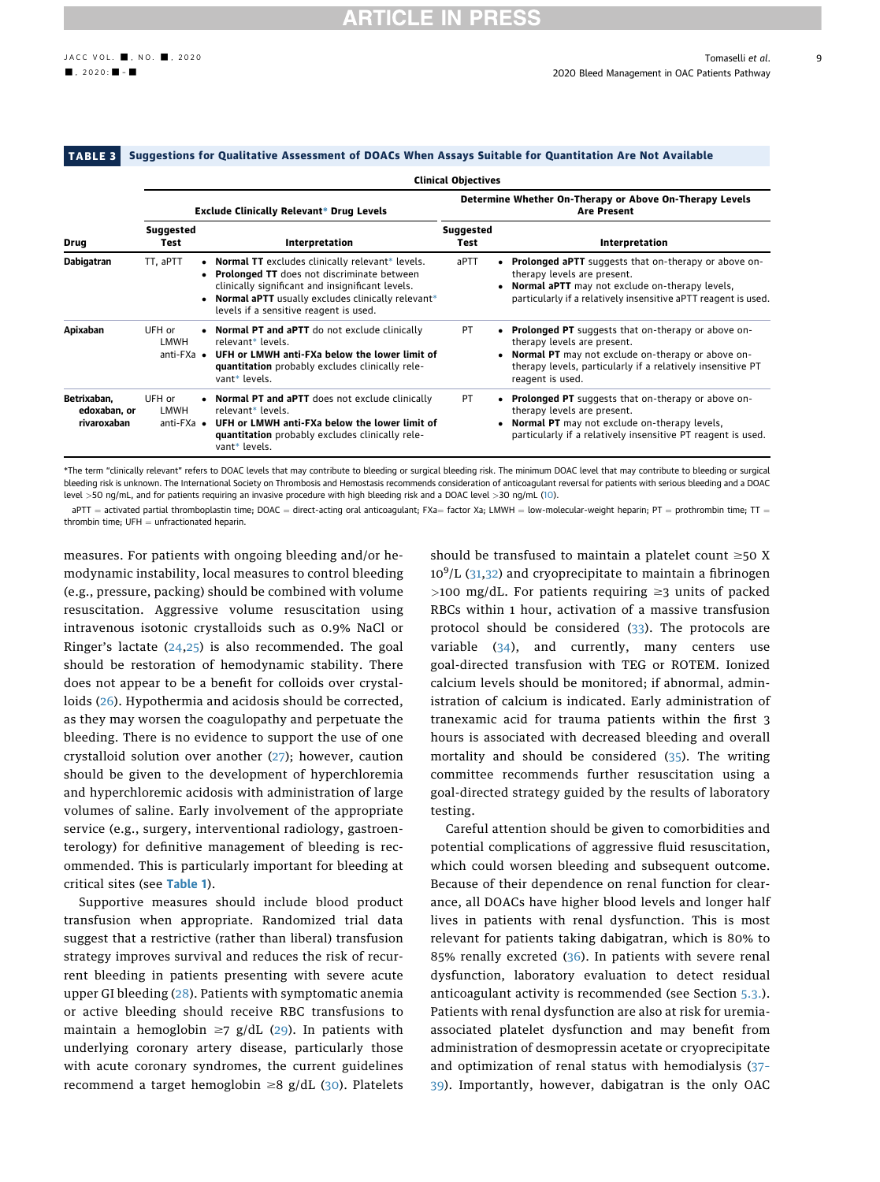#### <span id="page-8-0"></span>TABLE 3 Suggestions for Qualitative Assessment of DOACs When Assays Suitable for Quantitation Are Not Available

|                                            | <b>Clinical Objectives</b>                     |                                                                                                                                                                                                                                                        |                          |                                                                                                                                                                                                                                    |  |  |  |
|--------------------------------------------|------------------------------------------------|--------------------------------------------------------------------------------------------------------------------------------------------------------------------------------------------------------------------------------------------------------|--------------------------|------------------------------------------------------------------------------------------------------------------------------------------------------------------------------------------------------------------------------------|--|--|--|
| Drug                                       | Exclude Clinically Relevant* Drug Levels       |                                                                                                                                                                                                                                                        |                          | Determine Whether On-Therapy or Above On-Therapy Levels<br><b>Are Present</b>                                                                                                                                                      |  |  |  |
|                                            | <b>Suggested</b><br>Test                       | Interpretation                                                                                                                                                                                                                                         | <b>Suggested</b><br>Test | Interpretation                                                                                                                                                                                                                     |  |  |  |
| Dabigatran                                 | TT. aPTT                                       | • Normal TT excludes clinically relevant* levels.<br>• Prolonged TT does not discriminate between<br>clinically significant and insignificant levels.<br>• Normal aPTT usually excludes clinically relevant*<br>levels if a sensitive reagent is used. | aPTT                     | <b>Prolonged aPTT</b> suggests that on-therapy or above on-<br>therapy levels are present.<br><b>Normal aPTT</b> may not exclude on-therapy levels,<br>particularly if a relatively insensitive aPTT reagent is used.              |  |  |  |
| Apixaban                                   | UFH or<br>LMWH                                 | • Normal PT and aPTT do not exclude clinically<br>relevant* levels.<br>anti-FXa • UFH or LMWH anti-FXa below the lower limit of<br>quantitation probably excludes clinically rele-<br>vant* levels.                                                    | PT                       | <b>Prolonged PT</b> suggests that on-therapy or above on-<br>therapy levels are present.<br>• Normal PT may not exclude on-therapy or above on-<br>therapy levels, particularly if a relatively insensitive PT<br>reagent is used. |  |  |  |
| Betrixaban.<br>edoxaban, or<br>rivaroxaban | UFH or<br><b>LMWH</b><br>anti- $FXa$ $\bullet$ | • Normal PT and aPTT does not exclude clinically<br>relevant* levels.<br>UFH or LMWH anti-FXa below the lower limit of<br>quantitation probably excludes clinically rele-<br>vant* levels.                                                             | PT                       | <b>Prolonged PT</b> suggests that on-therapy or above on-<br>٠<br>therapy levels are present.<br>• Normal PT may not exclude on-therapy levels,<br>particularly if a relatively insensitive PT reagent is used.                    |  |  |  |

<span id="page-8-1"></span>\*The term "clinically relevant" refers to DOAC levels that may contribute to bleeding or surgical bleeding risk. The minimum DOAC level that may contribute to bleeding or surgical bleeding risk is unknown. The International Society on Thrombosis and Hemostasis recommends consideration of anticoagulant reversal for patients with serious bleeding and a DOAC level >50 ng/mL, and for patients requiring an invasive procedure with high bleeding risk and a DOAC level >30 ng/mL [\(10](#page-20-9)).

aPTT = activated partial thromboplastin time; DOAC = direct-acting oral anticoagulant; FXa= factor Xa; LMWH = low-molecular-weight heparin; PT = prothrombin time; TT = thrombin time:  $UFH = unfractionated hena.$ 

measures. For patients with ongoing bleeding and/or hemodynamic instability, local measures to control bleeding (e.g., pressure, packing) should be combined with volume resuscitation. Aggressive volume resuscitation using intravenous isotonic crystalloids such as 0.9% NaCl or Ringer's lactate  $(24,25)$  $(24,25)$  is also recommended. The goal should be restoration of hemodynamic stability. There does not appear to be a benefit for colloids over crystalloids ([26\)](#page-21-9). Hypothermia and acidosis should be corrected, as they may worsen the coagulopathy and perpetuate the bleeding. There is no evidence to support the use of one crystalloid solution over another [\(27\)](#page-21-10); however, caution should be given to the development of hyperchloremia and hyperchloremic acidosis with administration of large volumes of saline. Early involvement of the appropriate service (e.g., surgery, interventional radiology, gastroenterology) for definitive management of bleeding is recommended. This is particularly important for bleeding at critical sites (see [Table 1](#page-6-0)).

Supportive measures should include blood product transfusion when appropriate. Randomized trial data suggest that a restrictive (rather than liberal) transfusion strategy improves survival and reduces the risk of recurrent bleeding in patients presenting with severe acute upper GI bleeding ([28](#page-21-11)). Patients with symptomatic anemia or active bleeding should receive RBC transfusions to maintain a hemoglobin  $\geq$ 7 g/dL ([29\)](#page-21-12). In patients with underlying coronary artery disease, particularly those with acute coronary syndromes, the current guidelines recommend a target hemoglobin  $\geq 8$  g/dL ([30](#page-21-13)). Platelets

should be transfused to maintain a platelet count  $\geq$ 50 X 10<sup>9</sup>/L ([31](#page-21-14),[32\)](#page-21-15) and cryoprecipitate to maintain a fibrinogen  $>100$  mg/dL. For patients requiring  $\geq$ 3 units of packed RBCs within 1 hour, activation of a massive transfusion protocol should be considered ([33](#page-21-16)). The protocols are variable  $(34)$  $(34)$ , and currently, many centers use goal-directed transfusion with TEG or ROTEM. Ionized calcium levels should be monitored; if abnormal, administration of calcium is indicated. Early administration of tranexamic acid for trauma patients within the first 3 hours is associated with decreased bleeding and overall mortality and should be considered ([35\)](#page-21-18). The writing committee recommends further resuscitation using a goal-directed strategy guided by the results of laboratory testing.

Careful attention should be given to comorbidities and potential complications of aggressive fluid resuscitation, which could worsen bleeding and subsequent outcome. Because of their dependence on renal function for clearance, all DOACs have higher blood levels and longer half lives in patients with renal dysfunction. This is most relevant for patients taking dabigatran, which is 80% to 85% renally excreted ([36\)](#page-21-19). In patients with severe renal dysfunction, laboratory evaluation to detect residual anticoagulant activity is recommended (see Section [5.3.](#page-7-2)). Patients with renal dysfunction are also at risk for uremiaassociated platelet dysfunction and may benefit from administration of desmopressin acetate or cryoprecipitate and optimization of renal status with hemodialysis ([37](#page-21-20)– [39](#page-21-20)). Importantly, however, dabigatran is the only OAC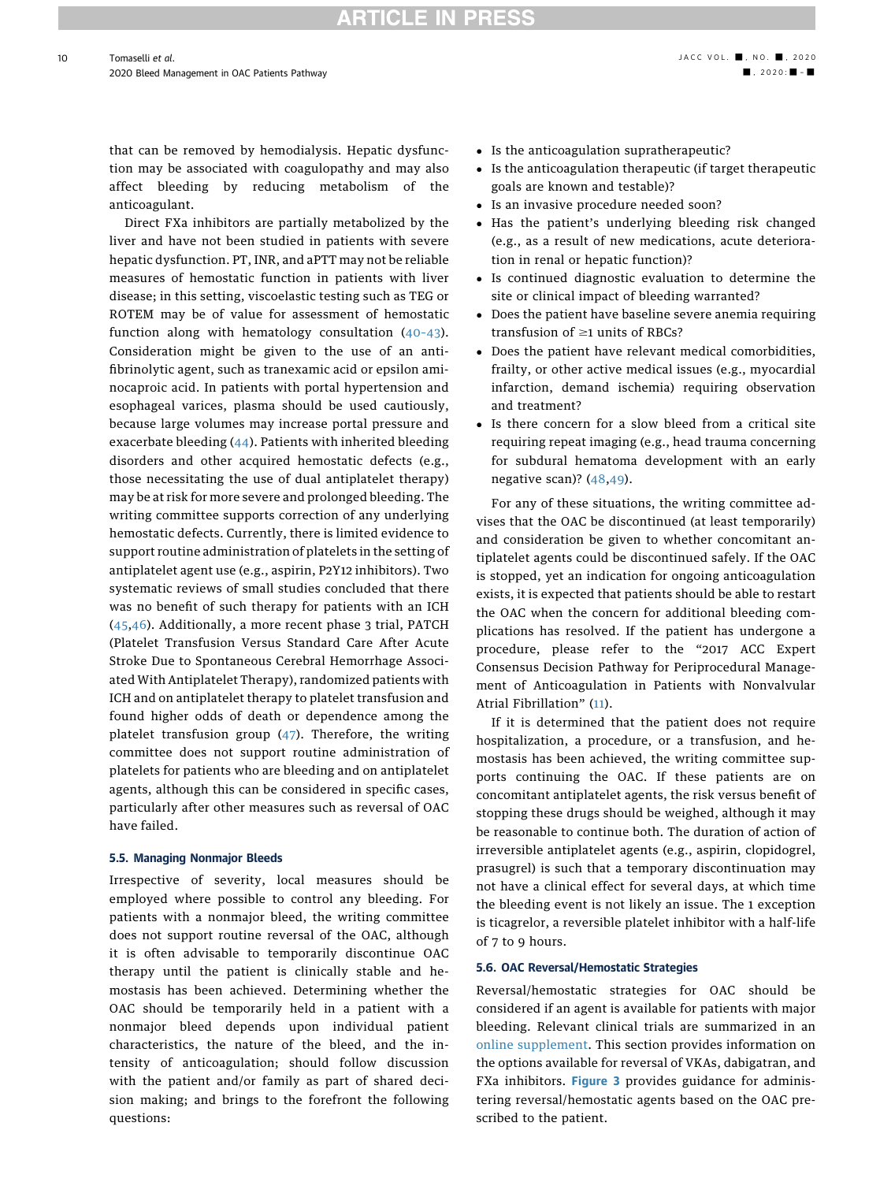that can be removed by hemodialysis. Hepatic dysfunction may be associated with coagulopathy and may also affect bleeding by reducing metabolism of the anticoagulant.

Direct FXa inhibitors are partially metabolized by the liver and have not been studied in patients with severe hepatic dysfunction. PT, INR, and aPTT may not be reliable measures of hemostatic function in patients with liver disease; in this setting, viscoelastic testing such as TEG or ROTEM may be of value for assessment of hemostatic function along with hematology consultation (40–[43\)](#page-21-21). Consideration might be given to the use of an antifibrinolytic agent, such as tranexamic acid or epsilon aminocaproic acid. In patients with portal hypertension and esophageal varices, plasma should be used cautiously, because large volumes may increase portal pressure and exacerbate bleeding ([44\)](#page-21-22). Patients with inherited bleeding disorders and other acquired hemostatic defects (e.g., those necessitating the use of dual antiplatelet therapy) may be at risk for more severe and prolonged bleeding. The writing committee supports correction of any underlying hemostatic defects. Currently, there is limited evidence to support routine administration of platelets in the setting of antiplatelet agent use (e.g., aspirin, P2Y12 inhibitors). Two systematic reviews of small studies concluded that there was no benefit of such therapy for patients with an ICH ([45](#page-21-23)[,46](#page-21-24)). Additionally, a more recent phase 3 trial, PATCH (Platelet Transfusion Versus Standard Care After Acute Stroke Due to Spontaneous Cerebral Hemorrhage Associated With Antiplatelet Therapy), randomized patients with ICH and on antiplatelet therapy to platelet transfusion and found higher odds of death or dependence among the platelet transfusion group ([47\)](#page-21-25). Therefore, the writing committee does not support routine administration of platelets for patients who are bleeding and on antiplatelet agents, although this can be considered in specific cases, particularly after other measures such as reversal of OAC have failed.

### 5.5. Managing Nonmajor Bleeds

Irrespective of severity, local measures should be employed where possible to control any bleeding. For patients with a nonmajor bleed, the writing committee does not support routine reversal of the OAC, although it is often advisable to temporarily discontinue OAC therapy until the patient is clinically stable and hemostasis has been achieved. Determining whether the OAC should be temporarily held in a patient with a nonmajor bleed depends upon individual patient characteristics, the nature of the bleed, and the intensity of anticoagulation; should follow discussion with the patient and/or family as part of shared decision making; and brings to the forefront the following questions:

- Is the anticoagulation supratherapeutic?
- Is the anticoagulation therapeutic (if target therapeutic goals are known and testable)?
- Is an invasive procedure needed soon?
- Has the patient's underlying bleeding risk changed (e.g., as a result of new medications, acute deterioration in renal or hepatic function)?
- Is continued diagnostic evaluation to determine the site or clinical impact of bleeding warranted?
- Does the patient have baseline severe anemia requiring transfusion of  $\geq 1$  units of RBCs?
- Does the patient have relevant medical comorbidities, frailty, or other active medical issues (e.g., myocardial infarction, demand ischemia) requiring observation and treatment?
- Is there concern for a slow bleed from a critical site requiring repeat imaging (e.g., head trauma concerning for subdural hematoma development with an early negative scan)? ([48,](#page-21-26)[49](#page-21-27)).

For any of these situations, the writing committee advises that the OAC be discontinued (at least temporarily) and consideration be given to whether concomitant antiplatelet agents could be discontinued safely. If the OAC is stopped, yet an indication for ongoing anticoagulation exists, it is expected that patients should be able to restart the OAC when the concern for additional bleeding complications has resolved. If the patient has undergone a procedure, please refer to the "2017 ACC Expert Consensus Decision Pathway for Periprocedural Management of Anticoagulation in Patients with Nonvalvular Atrial Fibrillation" ([11](#page-20-10)).

If it is determined that the patient does not require hospitalization, a procedure, or a transfusion, and hemostasis has been achieved, the writing committee supports continuing the OAC. If these patients are on concomitant antiplatelet agents, the risk versus benefit of stopping these drugs should be weighed, although it may be reasonable to continue both. The duration of action of irreversible antiplatelet agents (e.g., aspirin, clopidogrel, prasugrel) is such that a temporary discontinuation may not have a clinical effect for several days, at which time the bleeding event is not likely an issue. The 1 exception is ticagrelor, a reversible platelet inhibitor with a half-life of 7 to 9 hours.

#### <span id="page-9-0"></span>5.6. OAC Reversal/Hemostatic Strategies

Reversal/hemostatic strategies for OAC should be considered if an agent is available for patients with major bleeding. Relevant clinical trials are summarized in an [online supplement](http://jaccjacc.acc.org/Clinical_Document/2020_ECDP_on_Management_of_Bleeding_in_Patients_on_OAC_ONLINE_SUPPLEMENT.pdf). This section provides information on the options available for reversal of VKAs, dabigatran, and FXa inhibitors. [Figure 3](#page-10-0) provides guidance for administering reversal/hemostatic agents based on the OAC prescribed to the patient.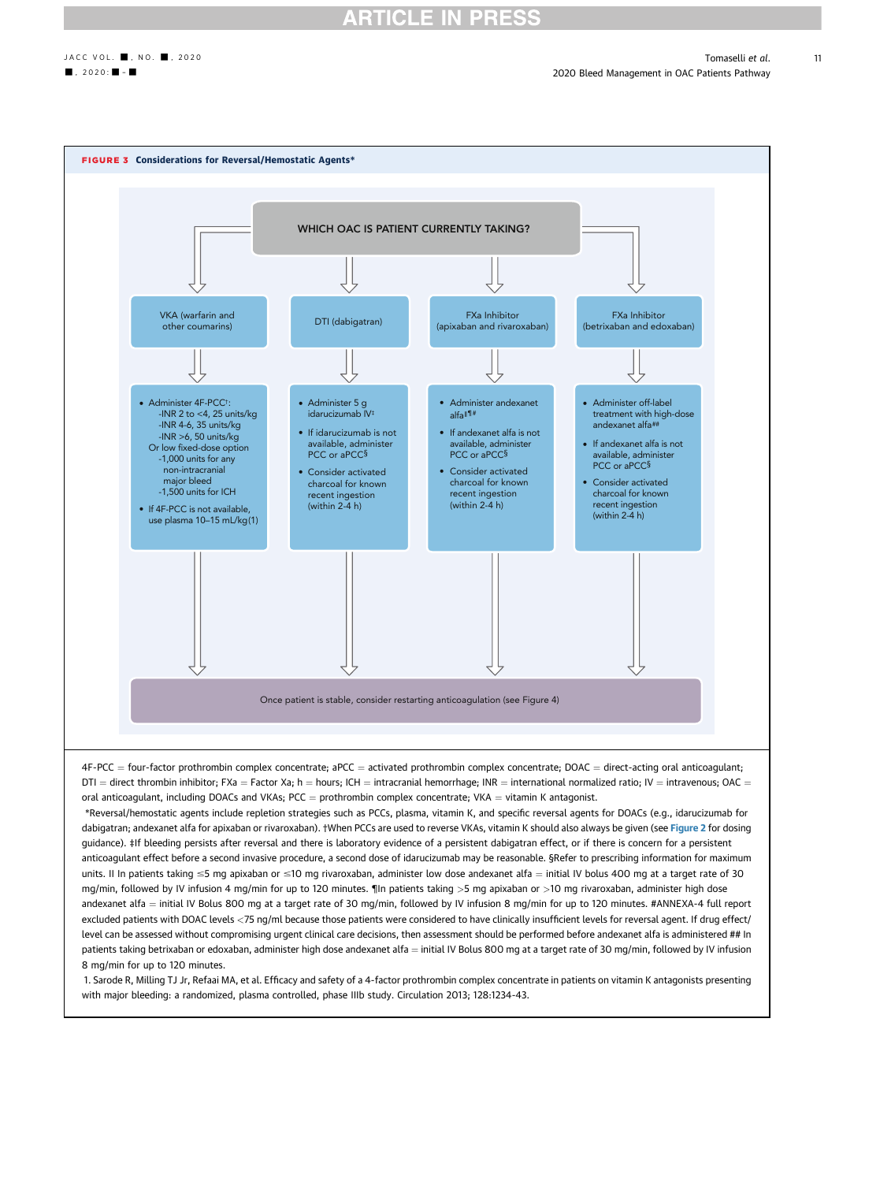## **RTICLE IN PRESS**

11

<span id="page-10-0"></span>

### 8 mg/min for up to 120 minutes.

1. Sarode R, Milling TJ Jr, Refaai MA, et al. Efficacy and safety of a 4-factor prothrombin complex concentrate in patients on vitamin K antagonists presenting with major bleeding: a randomized, plasma controlled, phase IIIb study. Circulation 2013; 128:1234-43.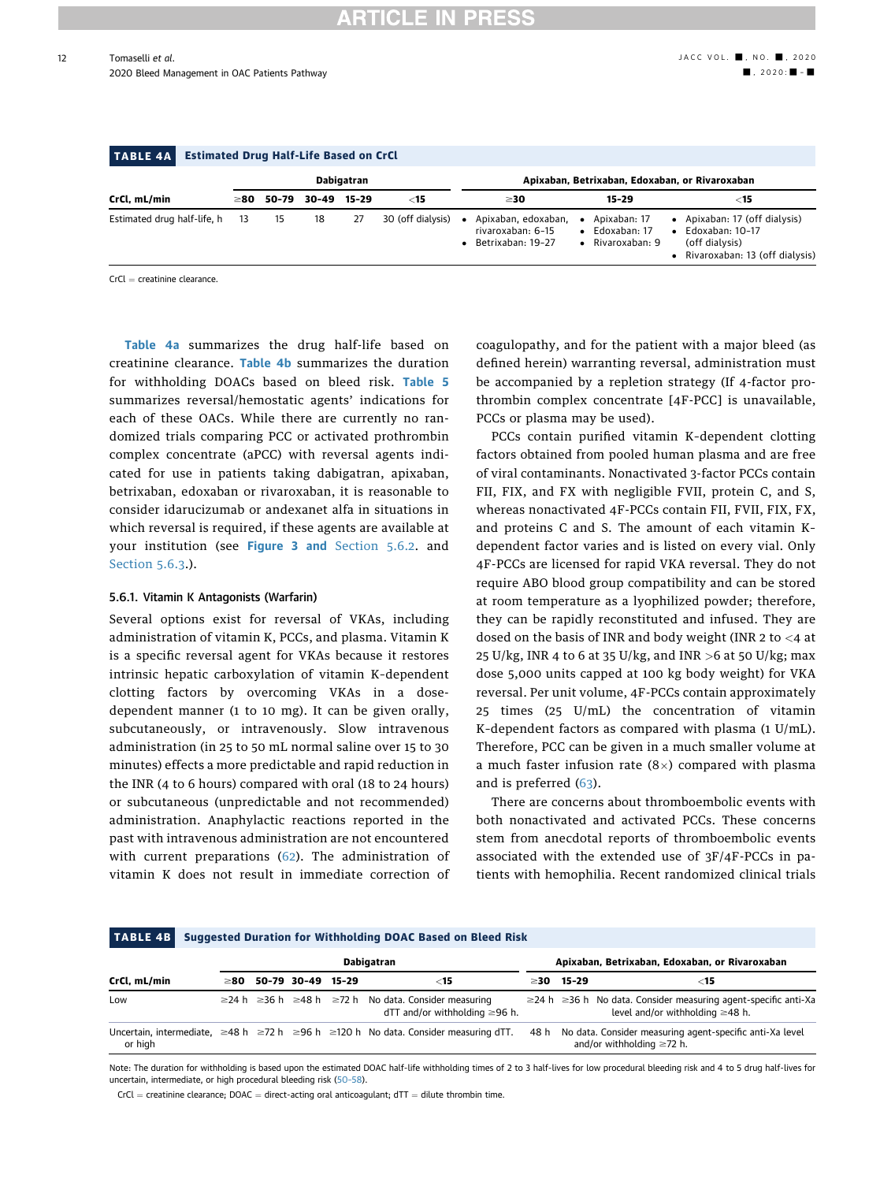#### TABLE 4A Estimated Drug Half-Life Based on CrCl CrCl, mL/min Dabigatran Apixaban, Betrixaban, Edoxaban, or Rivaroxaban  $\geq$ 80 50-79 30-49 15-29  $\lt$ 15  $\geq$ 30 15-29  $\lt$ 15 Estimated drug half-life, h 13 15 18 27 30 (off dialysis) · Apixaban, edoxaban, rivaroxaban: 6–15 Betrixaban: 19–27 Apixaban: 17 Edoxaban: 17 Rivaroxaban: 9 Apixaban: 17 (off dialysis) Edoxaban: 10–17 (off dialysis) Rivaroxaban: 13 (off dialysis)

 $CrCl =$  creatinine clearance.

Table 4a summarizes the drug half-life based on creatinine clearance. Table 4b summarizes the duration for withholding DOACs based on bleed risk. [Table 5](#page-12-0) summarizes reversal/hemostatic agents' indications for each of these OACs. While there are currently no randomized trials comparing PCC or activated prothrombin complex concentrate (aPCC) with reversal agents indicated for use in patients taking dabigatran, apixaban, betrixaban, edoxaban or rivaroxaban, it is reasonable to consider idarucizumab or andexanet alfa in situations in which reversal is required, if these agents are available at your institution (see [Figure 3](#page-10-0) and [Section 5.6.2.](#page-12-1) and [Section 5.6.3](#page-12-2).).

### 5.6.1. Vitamin K Antagonists (Warfarin)

Several options exist for reversal of VKAs, including administration of vitamin K, PCCs, and plasma. Vitamin K is a specific reversal agent for VKAs because it restores intrinsic hepatic carboxylation of vitamin K–dependent clotting factors by overcoming VKAs in a dosedependent manner (1 to 10 mg). It can be given orally, subcutaneously, or intravenously. Slow intravenous administration (in 25 to 50 mL normal saline over 15 to 30 minutes) effects a more predictable and rapid reduction in the INR (4 to 6 hours) compared with oral (18 to 24 hours) or subcutaneous (unpredictable and not recommended) administration. Anaphylactic reactions reported in the past with intravenous administration are not encountered with current preparations ([62\)](#page-21-28). The administration of vitamin K does not result in immediate correction of coagulopathy, and for the patient with a major bleed (as defined herein) warranting reversal, administration must be accompanied by a repletion strategy (If 4-factor prothrombin complex concentrate [4F-PCC] is unavailable, PCCs or plasma may be used).

PCCs contain purified vitamin K–dependent clotting factors obtained from pooled human plasma and are free of viral contaminants. Nonactivated 3-factor PCCs contain FII, FIX, and FX with negligible FVII, protein C, and S, whereas nonactivated 4F-PCCs contain FII, FVII, FIX, FX, and proteins C and S. The amount of each vitamin K– dependent factor varies and is listed on every vial. Only 4F-PCCs are licensed for rapid VKA reversal. They do not require ABO blood group compatibility and can be stored at room temperature as a lyophilized powder; therefore, they can be rapidly reconstituted and infused. They are dosed on the basis of INR and body weight (INR 2 to <4 at 25 U/kg, INR 4 to 6 at 35 U/kg, and INR  $>$  6 at 50 U/kg; max dose 5,000 units capped at 100 kg body weight) for VKA reversal. Per unit volume, 4F-PCCs contain approximately 25 times (25 U/mL) the concentration of vitamin K–dependent factors as compared with plasma (1 U/mL). Therefore, PCC can be given in a much smaller volume at a much faster infusion rate  $(8\times)$  compared with plasma and is preferred ([63\)](#page-21-29).

There are concerns about thromboembolic events with both nonactivated and activated PCCs. These concerns stem from anecdotal reports of thromboembolic events associated with the extended use of 3F/4F-PCCs in patients with hemophilia. Recent randomized clinical trials

#### TABLE 4B Suggested Duration for Withholding DOAC Based on Bleed Risk CrCl, mL/min Dabigatran Apixaban, Betrixaban, Edoxaban, or Rivaroxaban  $\geq$ 80 50-79 30-49 15-29  $\leq$   $\leq$   $\leq$   $\leq$   $\leq$   $\leq$   $\leq$   $\leq$   $\leq$   $\leq$   $\leq$   $\leq$   $\leq$   $\leq$   $\leq$   $\leq$   $\leq$   $\leq$   $\leq$   $\leq$   $\leq$   $\leq$   $\leq$   $\leq$   $\leq$   $\leq$   $\leq$   $\leq$   $\leq$   $\leq$   $\leq$   $\leq$   $\le$ Low  $\geq 24$  h  $\geq 36$  h  $\geq 48$  h  $\geq 72$  h No data. Consider measuring  $dTT$  and/or withholding  $\geq$ 96 h.  $\geq$ 24 h  $\geq$ 36 h No data. Consider measuring agent-specific anti-Xa level and/or withholding  $\geq 48$  h. Uncertain, intermediate,  $\geq$ 48 h  $\geq$ 72 h  $\geq$ 96 h  $\geq$ 120 h No data, Consider measuring dTT. or high 48 h No data. Consider measuring agent-specific anti-Xa level and/or withholding  $\geq$ 72 h.

Note: The duration for withholding is based upon the estimated DOAC half-life withholding times of 2 to 3 half-lives for low procedural bleeding risk and 4 to 5 drug half-lives for uncertain, intermediate, or high procedural bleeding risk ([50](#page-21-30)-58).

 $CrCl =$  creatinine clearance; DOAC = direct-acting oral anticoagulant; dTT = dilute thrombin time.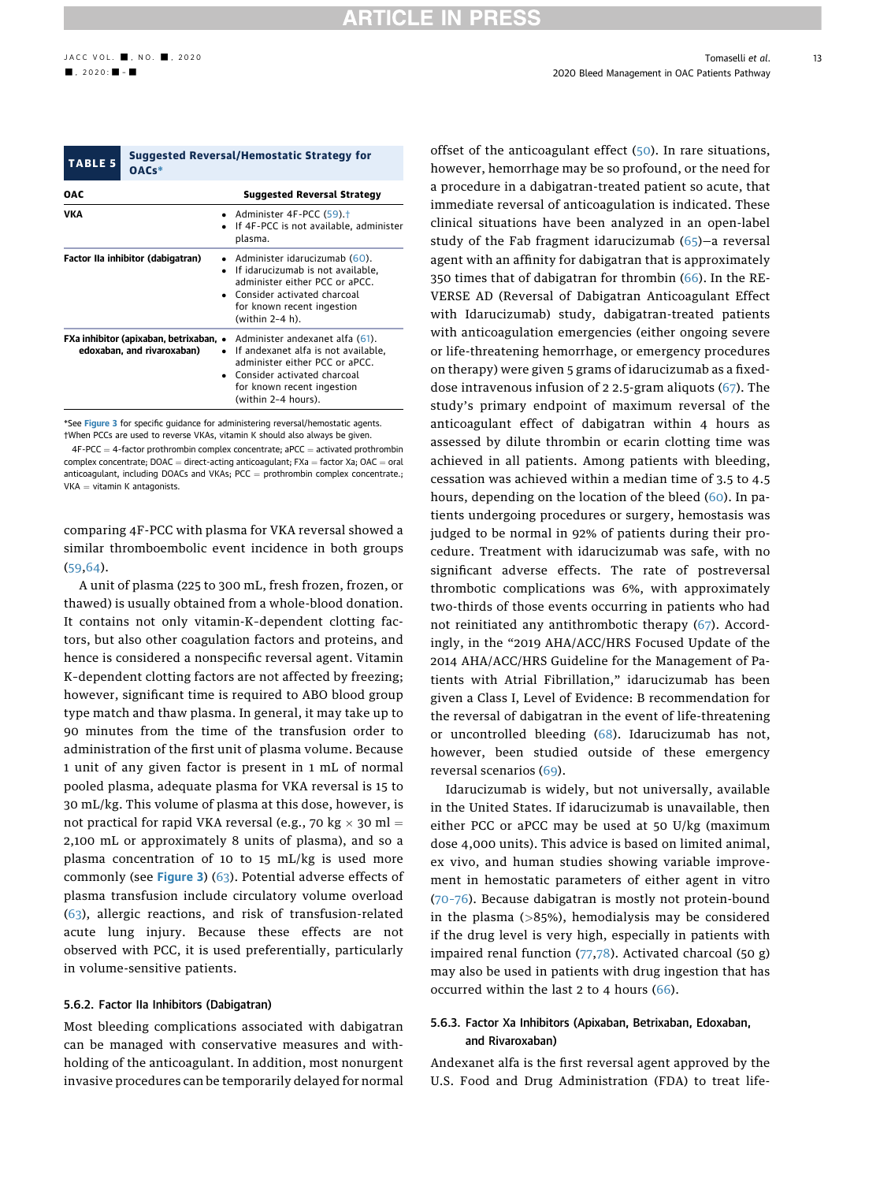<span id="page-12-0"></span>

| <b>TABLE 5</b>                                                       | <b>Suggested Reversal/Hemostatic Strategy for</b><br>OACs* |                                                                                                                                                                                                |  |  |  |
|----------------------------------------------------------------------|------------------------------------------------------------|------------------------------------------------------------------------------------------------------------------------------------------------------------------------------------------------|--|--|--|
| OAC<br><b>Suggested Reversal Strategy</b>                            |                                                            |                                                                                                                                                                                                |  |  |  |
| VKA                                                                  |                                                            | • Administer 4F-PCC $(59)$ . <sup>†</sup><br>If 4F-PCC is not available, administer<br>plasma.                                                                                                 |  |  |  |
|                                                                      | Factor IIa inhibitor (dabigatran)                          | • Administer idarucizumab (60).<br>If idarucizumab is not available,<br>administer either PCC or aPCC.<br>• Consider activated charcoal<br>for known recent ingestion<br>(within 2-4 h).       |  |  |  |
| FXa inhibitor (apixaban, betrixaban, •<br>edoxaban, and rivaroxaban) |                                                            | Administer andexanet alfa (61).<br>If andexanet alfa is not available,<br>administer either PCC or aPCC.<br>• Consider activated charcoal<br>for known recent ingestion<br>(within 2-4 hours). |  |  |  |

<span id="page-12-4"></span><span id="page-12-3"></span>\*See [Figure 3](#page-10-0) for specific quidance for administering reversal/hemostatic agents. †When PCCs are used to reverse VKAs, vitamin K should also always be given.

 $4F-PCC = 4$ -factor prothrombin complex concentrate; aPCC = activated prothrombin  $complex$  concentrate;  $DOAC =$  direct-acting anticoagulant; FXa = factor Xa;  $OAC =$  oral anticoagulant, including DOACs and VKAs;  $PCC =$  prothrombin complex concentrate.;  $VKA = vitamin K antagonists.$ 

comparing 4F-PCC with plasma for VKA reversal showed a similar thromboembolic event incidence in both groups ([59,](#page-21-31)[64\)](#page-21-32).

A unit of plasma (225 to 300 mL, fresh frozen, frozen, or thawed) is usually obtained from a whole-blood donation. It contains not only vitamin-K–dependent clotting factors, but also other coagulation factors and proteins, and hence is considered a nonspecific reversal agent. Vitamin K–dependent clotting factors are not affected by freezing; however, significant time is required to ABO blood group type match and thaw plasma. In general, it may take up to 90 minutes from the time of the transfusion order to administration of the first unit of plasma volume. Because 1 unit of any given factor is present in 1 mL of normal pooled plasma, adequate plasma for VKA reversal is 15 to 30 mL/kg. This volume of plasma at this dose, however, is not practical for rapid VKA reversal (e.g., 70 kg  $\times$  30 ml = 2,100 mL or approximately 8 units of plasma), and so a plasma concentration of 10 to 15 mL/kg is used more commonly (see [Figure 3](#page-10-0)) ([63\)](#page-21-29). Potential adverse effects of plasma transfusion include circulatory volume overload ([63\)](#page-21-29), allergic reactions, and risk of transfusion-related acute lung injury. Because these effects are not observed with PCC, it is used preferentially, particularly in volume-sensitive patients.

#### <span id="page-12-1"></span>5.6.2. Factor IIa Inhibitors (Dabigatran)

Most bleeding complications associated with dabigatran can be managed with conservative measures and withholding of the anticoagulant. In addition, most nonurgent invasive procedures can be temporarily delayed for normal offset of the anticoagulant effect ([50](#page-21-30)). In rare situations, however, hemorrhage may be so profound, or the need for a procedure in a dabigatran-treated patient so acute, that immediate reversal of anticoagulation is indicated. These clinical situations have been analyzed in an open-label study of the Fab fragment idarucizumab ([65](#page-22-0))—a reversal agent with an affinity for dabigatran that is approximately 350 times that of dabigatran for thrombin ([66\)](#page-22-1). In the RE-VERSE AD (Reversal of Dabigatran Anticoagulant Effect with Idarucizumab) study, dabigatran-treated patients with anticoagulation emergencies (either ongoing severe or life-threatening hemorrhage, or emergency procedures on therapy) were given 5 grams of idarucizumab as a fixeddose intravenous infusion of 2 2.5-gram aliquots ([67](#page-22-2)). The study's primary endpoint of maximum reversal of the anticoagulant effect of dabigatran within 4 hours as assessed by dilute thrombin or ecarin clotting time was achieved in all patients. Among patients with bleeding, cessation was achieved within a median time of 3.5 to 4.5 hours, depending on the location of the bleed ([60](#page-21-33)). In patients undergoing procedures or surgery, hemostasis was judged to be normal in 92% of patients during their procedure. Treatment with idarucizumab was safe, with no significant adverse effects. The rate of postreversal thrombotic complications was 6%, with approximately two-thirds of those events occurring in patients who had not reinitiated any antithrombotic therapy ([67\)](#page-22-2). Accordingly, in the "2019 AHA/ACC/HRS Focused Update of the 2014 AHA/ACC/HRS Guideline for the Management of Patients with Atrial Fibrillation," idarucizumab has been given a Class I, Level of Evidence: B recommendation for the reversal of dabigatran in the event of life-threatening or uncontrolled bleeding ([68\)](#page-22-3). Idarucizumab has not, however, been studied outside of these emergency reversal scenarios ([69](#page-22-4)).

Idarucizumab is widely, but not universally, available in the United States. If idarucizumab is unavailable, then either PCC or aPCC may be used at 50 U/kg (maximum dose 4,000 units). This advice is based on limited animal, ex vivo, and human studies showing variable improvement in hemostatic parameters of either agent in vitro (70–[76\)](#page-22-5). Because dabigatran is mostly not protein-bound in the plasma (>85%), hemodialysis may be considered if the drug level is very high, especially in patients with impaired renal function  $(77,78)$  $(77,78)$  $(77,78)$  $(77,78)$ . Activated charcoal  $(50 g)$ may also be used in patients with drug ingestion that has occurred within the last 2 to 4 hours ([66](#page-22-1)).

### <span id="page-12-2"></span>5.6.3. Factor Xa Inhibitors (Apixaban, Betrixaban, Edoxaban, and Rivaroxaban)

Andexanet alfa is the first reversal agent approved by the U.S. Food and Drug Administration (FDA) to treat life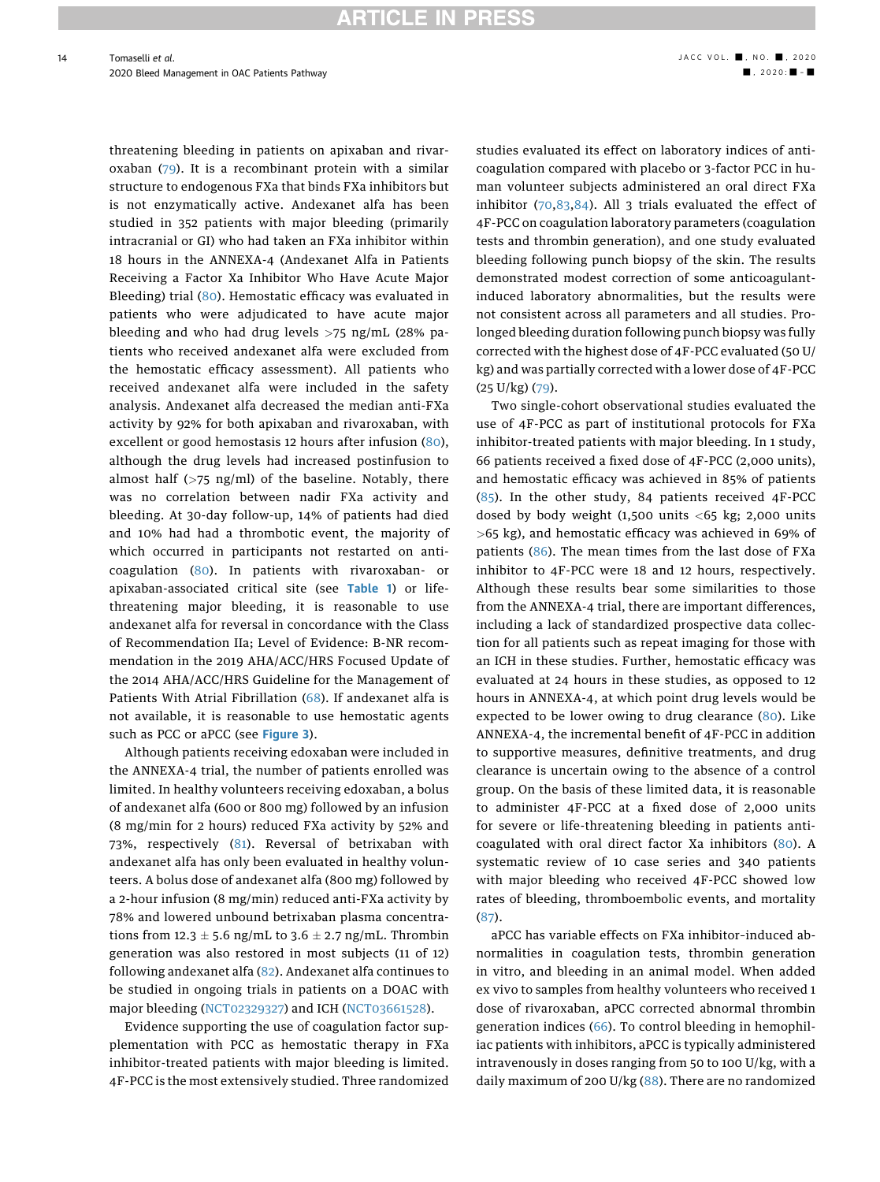threatening bleeding in patients on apixaban and rivaroxaban ([79](#page-22-8)). It is a recombinant protein with a similar structure to endogenous FXa that binds FXa inhibitors but is not enzymatically active. Andexanet alfa has been studied in 352 patients with major bleeding (primarily intracranial or GI) who had taken an FXa inhibitor within 18 hours in the ANNEXA-4 (Andexanet Alfa in Patients Receiving a Factor Xa Inhibitor Who Have Acute Major Bleeding) trial [\(80](#page-22-9)). Hemostatic efficacy was evaluated in patients who were adjudicated to have acute major bleeding and who had drug levels  $>75$  ng/mL (28% patients who received andexanet alfa were excluded from the hemostatic efficacy assessment). All patients who received andexanet alfa were included in the safety analysis. Andexanet alfa decreased the median anti-FXa activity by 92% for both apixaban and rivaroxaban, with excellent or good hemostasis 12 hours after infusion ([80\)](#page-22-9), although the drug levels had increased postinfusion to almost half  $(>75 \text{ ng/ml})$  of the baseline. Notably, there was no correlation between nadir FXa activity and bleeding. At 30-day follow-up, 14% of patients had died and 10% had had a thrombotic event, the majority of which occurred in participants not restarted on anticoagulation [\(80](#page-22-9)). In patients with rivaroxaban- or apixaban-associated critical site (see [Table 1](#page-6-0)) or lifethreatening major bleeding, it is reasonable to use andexanet alfa for reversal in concordance with the Class of Recommendation IIa; Level of Evidence: B-NR recommendation in the 2019 AHA/ACC/HRS Focused Update of the 2014 AHA/ACC/HRS Guideline for the Management of Patients With Atrial Fibrillation ([68](#page-22-3)). If andexanet alfa is not available, it is reasonable to use hemostatic agents such as PCC or aPCC (see [Figure 3](#page-10-0)).

Although patients receiving edoxaban were included in the ANNEXA-4 trial, the number of patients enrolled was limited. In healthy volunteers receiving edoxaban, a bolus of andexanet alfa (600 or 800 mg) followed by an infusion (8 mg/min for 2 hours) reduced FXa activity by 52% and 73%, respectively [\(81\)](#page-22-10). Reversal of betrixaban with andexanet alfa has only been evaluated in healthy volunteers. A bolus dose of andexanet alfa (800 mg) followed by a 2-hour infusion (8 mg/min) reduced anti-FXa activity by 78% and lowered unbound betrixaban plasma concentrations from 12.3  $\pm$  5.6 ng/mL to 3.6  $\pm$  2.7 ng/mL. Thrombin generation was also restored in most subjects (11 of 12) following andexanet alfa ([82](#page-22-11)). Andexanet alfa continues to be studied in ongoing trials in patients on a DOAC with major bleeding [\(NCT02329327](https://clinicaltrials.gov/ct2/show/NCT02329327)) and ICH ([NCT03661528](https://clinicaltrials.gov/ct2/show/NCT03661528)).

Evidence supporting the use of coagulation factor supplementation with PCC as hemostatic therapy in FXa inhibitor-treated patients with major bleeding is limited. 4F-PCC is the most extensively studied. Three randomized

studies evaluated its effect on laboratory indices of anticoagulation compared with placebo or 3-factor PCC in human volunteer subjects administered an oral direct FXa inhibitor ([70,](#page-22-5)[83](#page-22-12),[84\)](#page-22-13). All 3 trials evaluated the effect of 4F-PCC on coagulation laboratory parameters (coagulation tests and thrombin generation), and one study evaluated bleeding following punch biopsy of the skin. The results demonstrated modest correction of some anticoagulantinduced laboratory abnormalities, but the results were not consistent across all parameters and all studies. Prolonged bleeding duration following punch biopsy was fully corrected with the highest dose of 4F-PCC evaluated (50 U/ kg) and was partially corrected with a lower dose of 4F-PCC (25 U/kg) [\(79](#page-22-8)).

Two single-cohort observational studies evaluated the use of 4F-PCC as part of institutional protocols for FXa inhibitor-treated patients with major bleeding. In 1 study, 66 patients received a fixed dose of 4F-PCC (2,000 units), and hemostatic efficacy was achieved in 85% of patients ([85\)](#page-22-14). In the other study, 84 patients received 4F-PCC dosed by body weight  $(1,500 \text{ units} < 65 \text{ kg}; 2,000 \text{ units}$ >65 kg), and hemostatic efficacy was achieved in 69% of patients ([86\)](#page-22-15). The mean times from the last dose of FXa inhibitor to 4F-PCC were 18 and 12 hours, respectively. Although these results bear some similarities to those from the ANNEXA-4 trial, there are important differences, including a lack of standardized prospective data collection for all patients such as repeat imaging for those with an ICH in these studies. Further, hemostatic efficacy was evaluated at 24 hours in these studies, as opposed to 12 hours in ANNEXA-4, at which point drug levels would be expected to be lower owing to drug clearance [\(80](#page-22-9)). Like ANNEXA-4, the incremental benefit of 4F-PCC in addition to supportive measures, definitive treatments, and drug clearance is uncertain owing to the absence of a control group. On the basis of these limited data, it is reasonable to administer 4F-PCC at a fixed dose of 2,000 units for severe or life-threatening bleeding in patients anticoagulated with oral direct factor Xa inhibitors [\(80](#page-22-9)). A systematic review of 10 case series and 340 patients with major bleeding who received 4F-PCC showed low rates of bleeding, thromboembolic events, and mortality ([87\)](#page-22-16).

aPCC has variable effects on FXa inhibitor–induced abnormalities in coagulation tests, thrombin generation in vitro, and bleeding in an animal model. When added ex vivo to samples from healthy volunteers who received 1 dose of rivaroxaban, aPCC corrected abnormal thrombin generation indices ([66](#page-22-1)). To control bleeding in hemophiliac patients with inhibitors, aPCC is typically administered intravenously in doses ranging from 50 to 100 U/kg, with a daily maximum of 200 U/kg ([88\)](#page-22-17). There are no randomized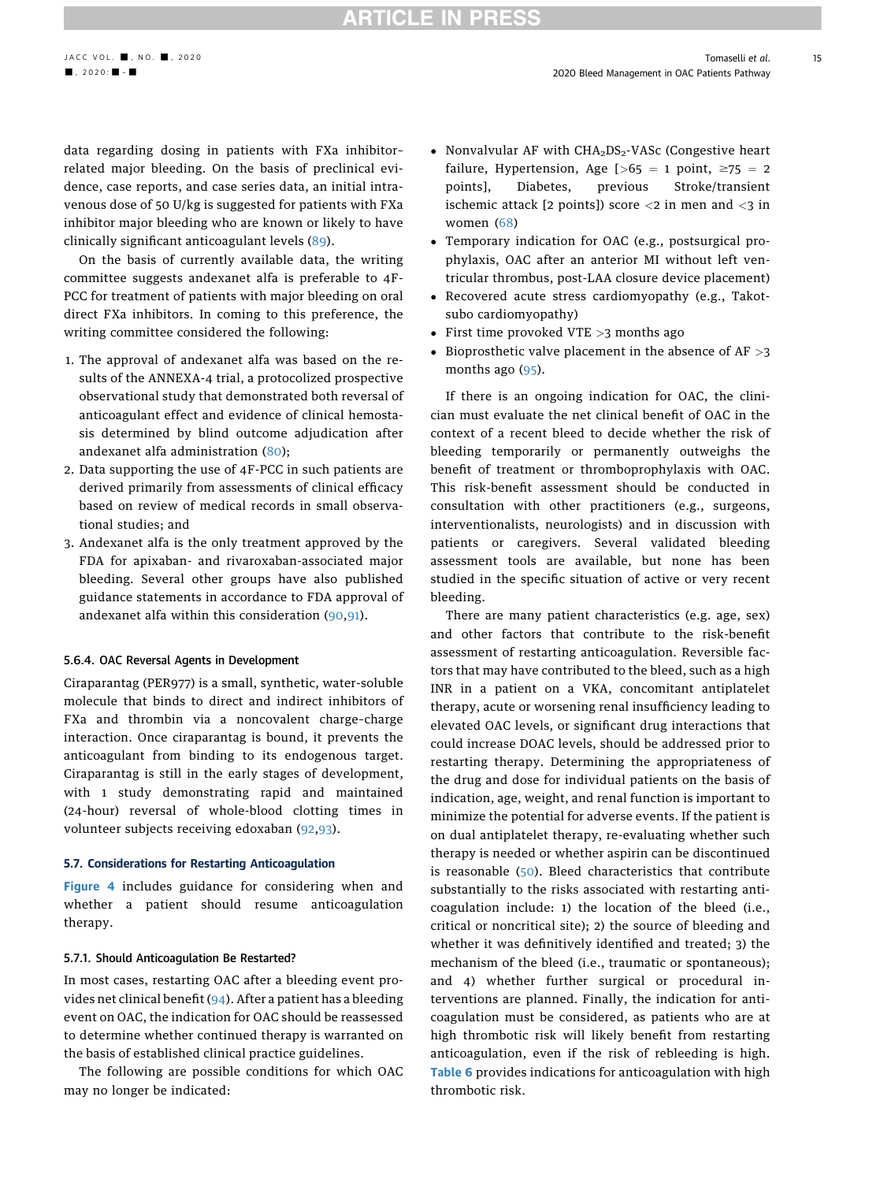### **RTICLE IN PRESS**

data regarding dosing in patients with FXa inhibitor– related major bleeding. On the basis of preclinical evidence, case reports, and case series data, an initial intravenous dose of 50 U/kg is suggested for patients with FXa inhibitor major bleeding who are known or likely to have clinically significant anticoagulant levels [\(89\)](#page-22-18).

On the basis of currently available data, the writing committee suggests andexanet alfa is preferable to 4F-PCC for treatment of patients with major bleeding on oral direct FXa inhibitors. In coming to this preference, the writing committee considered the following:

- 1. The approval of andexanet alfa was based on the results of the ANNEXA-4 trial, a protocolized prospective observational study that demonstrated both reversal of anticoagulant effect and evidence of clinical hemostasis determined by blind outcome adjudication after andexanet alfa administration ([80\)](#page-22-9);
- 2. Data supporting the use of 4F-PCC in such patients are derived primarily from assessments of clinical efficacy based on review of medical records in small observational studies; and
- 3. Andexanet alfa is the only treatment approved by the FDA for apixaban- and rivaroxaban-associated major bleeding. Several other groups have also published guidance statements in accordance to FDA approval of andexanet alfa within this consideration ([90,](#page-22-19)[91\)](#page-22-20).

### 5.6.4. OAC Reversal Agents in Development

Ciraparantag (PER977) is a small, synthetic, water-soluble molecule that binds to direct and indirect inhibitors of FXa and thrombin via a noncovalent charge–charge interaction. Once ciraparantag is bound, it prevents the anticoagulant from binding to its endogenous target. Ciraparantag is still in the early stages of development, with 1 study demonstrating rapid and maintained (24-hour) reversal of whole-blood clotting times in volunteer subjects receiving edoxaban ([92](#page-22-21),[93\)](#page-22-22).

### 5.7. Considerations for Restarting Anticoagulation

[Figure 4](#page-15-0) includes guidance for considering when and whether a patient should resume anticoagulation therapy.

### 5.7.1. Should Anticoagulation Be Restarted?

In most cases, restarting OAC after a bleeding event provides net clinical benefit [\(94](#page-22-23)). After a patient has a bleeding event on OAC, the indication for OAC should be reassessed to determine whether continued therapy is warranted on the basis of established clinical practice guidelines.

The following are possible conditions for which OAC may no longer be indicated:

- Nonvalvular AF with  $CHA<sub>2</sub>DS<sub>2</sub>$ -VASc (Congestive heart failure, Hypertension, Age  $[-65 = 1 \text{ point}, \geq 75 = 2$ points], Diabetes, previous Stroke/transient ischemic attack [2 points]) score  $\langle 2 \rangle$  in men and  $\langle 3 \rangle$  in women ([68](#page-22-3))
- Temporary indication for OAC (e.g., postsurgical prophylaxis, OAC after an anterior MI without left ventricular thrombus, post-LAA closure device placement)
- Recovered acute stress cardiomyopathy (e.g., Takotsubo cardiomyopathy)
- First time provoked VTE  $>3$  months ago
- Bioprosthetic valve placement in the absence of  $AF > 3$ months ago ([95\)](#page-22-24).

If there is an ongoing indication for OAC, the clinician must evaluate the net clinical benefit of OAC in the context of a recent bleed to decide whether the risk of bleeding temporarily or permanently outweighs the benefit of treatment or thromboprophylaxis with OAC. This risk-benefit assessment should be conducted in consultation with other practitioners (e.g., surgeons, interventionalists, neurologists) and in discussion with patients or caregivers. Several validated bleeding assessment tools are available, but none has been studied in the specific situation of active or very recent bleeding.

There are many patient characteristics (e.g. age, sex) and other factors that contribute to the risk-benefit assessment of restarting anticoagulation. Reversible factors that may have contributed to the bleed, such as a high INR in a patient on a VKA, concomitant antiplatelet therapy, acute or worsening renal insufficiency leading to elevated OAC levels, or significant drug interactions that could increase DOAC levels, should be addressed prior to restarting therapy. Determining the appropriateness of the drug and dose for individual patients on the basis of indication, age, weight, and renal function is important to minimize the potential for adverse events. If the patient is on dual antiplatelet therapy, re-evaluating whether such therapy is needed or whether aspirin can be discontinued is reasonable ([50](#page-21-30)). Bleed characteristics that contribute substantially to the risks associated with restarting anticoagulation include: 1) the location of the bleed (i.e., critical or noncritical site); 2) the source of bleeding and whether it was definitively identified and treated; 3) the mechanism of the bleed (i.e., traumatic or spontaneous); and 4) whether further surgical or procedural interventions are planned. Finally, the indication for anticoagulation must be considered, as patients who are at high thrombotic risk will likely benefit from restarting anticoagulation, even if the risk of rebleeding is high. [Table 6](#page-16-0) provides indications for anticoagulation with high thrombotic risk.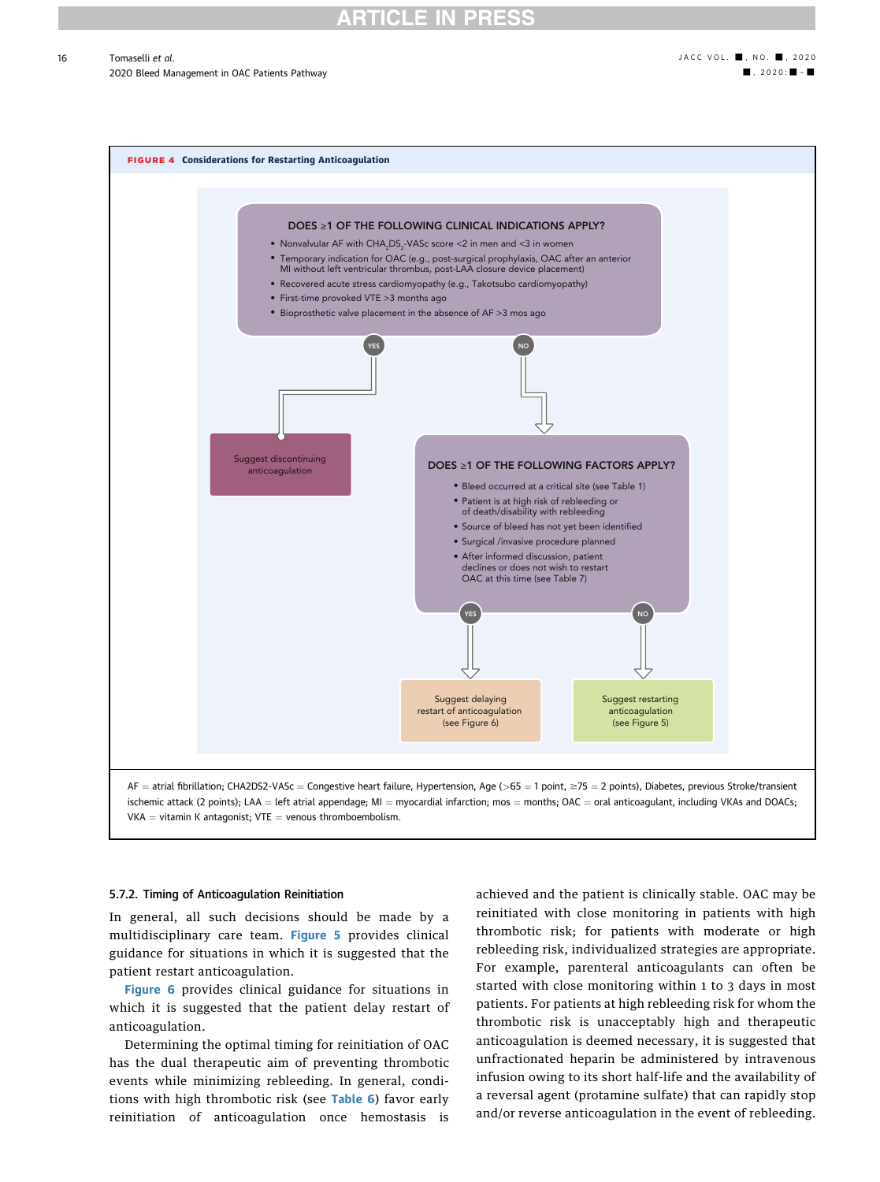### **RTICLE IN PRES**

### Tomaselli et al. ● , no. ■, 2020

2020 Bleed Management in OAC Patients Pathway - , 2020 - , 2020 - , 2020 - , 2020 - , 2020 - , 2020 - , 2020 - , 2020 - , 2020 - , 2020 - , 2020 - , 2020 - , 2020 - , 2020 - , 2020 - , 2020 - , 2020 - , 2020 - , 2020 - , 2

<span id="page-15-0"></span>

### 5.7.2. Timing of Anticoagulation Reinitiation

In general, all such decisions should be made by a multidisciplinary care team. [Figure 5](#page-17-0) provides clinical guidance for situations in which it is suggested that the patient restart anticoagulation.

[Figure 6](#page-18-0) provides clinical guidance for situations in which it is suggested that the patient delay restart of anticoagulation.

Determining the optimal timing for reinitiation of OAC has the dual therapeutic aim of preventing thrombotic events while minimizing rebleeding. In general, conditions with high thrombotic risk (see [Table 6](#page-16-0)) favor early reinitiation of anticoagulation once hemostasis is achieved and the patient is clinically stable. OAC may be reinitiated with close monitoring in patients with high thrombotic risk; for patients with moderate or high rebleeding risk, individualized strategies are appropriate. For example, parenteral anticoagulants can often be started with close monitoring within 1 to 3 days in most patients. For patients at high rebleeding risk for whom the thrombotic risk is unacceptably high and therapeutic anticoagulation is deemed necessary, it is suggested that unfractionated heparin be administered by intravenous infusion owing to its short half-life and the availability of a reversal agent (protamine sulfate) that can rapidly stop and/or reverse anticoagulation in the event of rebleeding.

16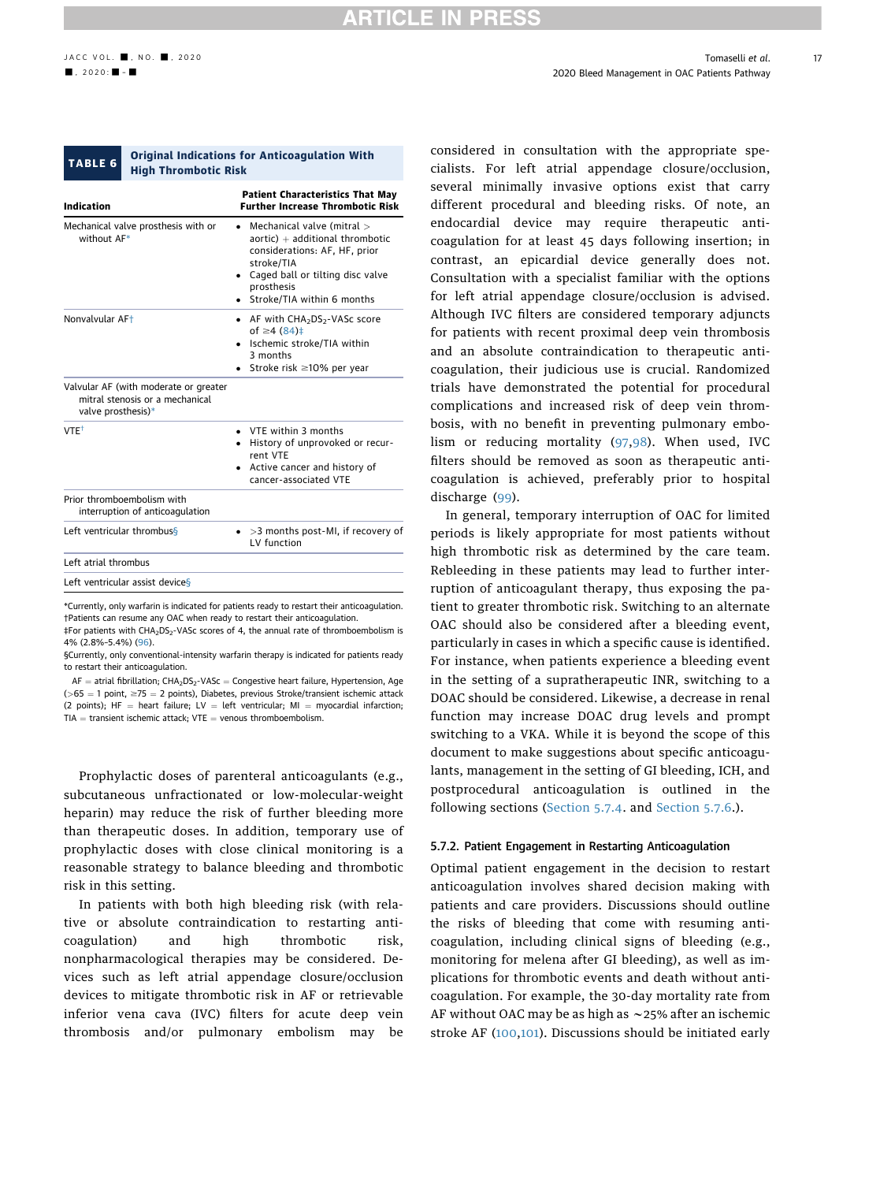<span id="page-16-0"></span>

#### TABLE 6 Original Indications for Anticoagulation With High Thrombotic Risk

| <b>Indication</b>                                                                              | <b>Patient Characteristics That May</b><br><b>Further Increase Thrombotic Risk</b>                                                                                                               |
|------------------------------------------------------------------------------------------------|--------------------------------------------------------------------------------------------------------------------------------------------------------------------------------------------------|
| Mechanical valve prosthesis with or<br>without AF*                                             | Mechanical valve (mitral ><br>$aortic) + additional throughoutic$<br>considerations: AF, HF, prior<br>stroke/TIA<br>Caged ball or tilting disc valve<br>prosthesis<br>Stroke/TIA within 6 months |
| Nonvalvular AF <sup>+</sup>                                                                    | • AF with $CHA2DS2$ -VASc score<br>of $\geq 4$ (84) ‡<br>Ischemic stroke/TIA within<br>3 months<br>Stroke risk $\geq 10\%$ per year                                                              |
| Valvular AF (with moderate or greater<br>mitral stenosis or a mechanical<br>valve prosthesis)* |                                                                                                                                                                                                  |
| VTE <sup>+</sup>                                                                               | • VTE within 3 months<br>• History of unprovoked or recur-<br>rent VTF<br>Active cancer and history of<br>cancer-associated VTE                                                                  |
| Prior thromboembolism with<br>interruption of anticoagulation                                  |                                                                                                                                                                                                  |
| Left ventricular thrombus <sup>§</sup>                                                         | $\bullet$ >3 months post-MI, if recovery of<br>IV function                                                                                                                                       |
| Left atrial thrombus                                                                           |                                                                                                                                                                                                  |
| Left ventricular assist devices                                                                |                                                                                                                                                                                                  |

<span id="page-16-3"></span><span id="page-16-2"></span><span id="page-16-1"></span>\*Currently, only warfarin is indicated for patients ready to restart their anticoagulation. †Patients can resume any OAC when ready to restart their anticoagulation. ‡For patients with CHA2DS2-VASc scores of 4, the annual rate of thromboembolism is 4% (2.8%–5.4%) [\(96\)](#page-22-30).

 $AF =$  atrial fibrillation;  $CHA<sub>2</sub>DS<sub>2</sub>$ -VASc = Congestive heart failure, Hypertension, Age  $(>65 = 1$  point,  $\ge 75 = 2$  points), Diabetes, previous Stroke/transient ischemic attack (2 points);  $HF = heart$  failure; LV = left ventricular; MI = myocardial infarction;  $TIA =$  transient ischemic attack; VTE  $=$  venous thromboembolism.

Prophylactic doses of parenteral anticoagulants (e.g., subcutaneous unfractionated or low-molecular-weight heparin) may reduce the risk of further bleeding more than therapeutic doses. In addition, temporary use of prophylactic doses with close clinical monitoring is a reasonable strategy to balance bleeding and thrombotic risk in this setting.

In patients with both high bleeding risk (with relative or absolute contraindication to restarting anticoagulation) and high thrombotic risk, nonpharmacological therapies may be considered. Devices such as left atrial appendage closure/occlusion devices to mitigate thrombotic risk in AF or retrievable inferior vena cava (IVC) filters for acute deep vein thrombosis and/or pulmonary embolism may be considered in consultation with the appropriate specialists. For left atrial appendage closure/occlusion, several minimally invasive options exist that carry different procedural and bleeding risks. Of note, an endocardial device may require therapeutic anticoagulation for at least 45 days following insertion; in contrast, an epicardial device generally does not. Consultation with a specialist familiar with the options for left atrial appendage closure/occlusion is advised. Although IVC filters are considered temporary adjuncts for patients with recent proximal deep vein thrombosis and an absolute contraindication to therapeutic anticoagulation, their judicious use is crucial. Randomized trials have demonstrated the potential for procedural complications and increased risk of deep vein thrombosis, with no benefit in preventing pulmonary embolism or reducing mortality ([97,](#page-22-25)[98](#page-22-26)). When used, IVC filters should be removed as soon as therapeutic anticoagulation is achieved, preferably prior to hospital discharge ([99](#page-22-27)).

In general, temporary interruption of OAC for limited periods is likely appropriate for most patients without high thrombotic risk as determined by the care team. Rebleeding in these patients may lead to further interruption of anticoagulant therapy, thus exposing the patient to greater thrombotic risk. Switching to an alternate OAC should also be considered after a bleeding event, particularly in cases in which a specific cause is identified. For instance, when patients experience a bleeding event in the setting of a supratherapeutic INR, switching to a DOAC should be considered. Likewise, a decrease in renal function may increase DOAC drug levels and prompt switching to a VKA. While it is beyond the scope of this document to make suggestions about specific anticoagulants, management in the setting of GI bleeding, ICH, and postprocedural anticoagulation is outlined in the following sections ([Section 5.7.4.](#page-19-0) and [Section 5.7.6](#page-19-1).).

### 5.7.2. Patient Engagement in Restarting Anticoagulation

Optimal patient engagement in the decision to restart anticoagulation involves shared decision making with patients and care providers. Discussions should outline the risks of bleeding that come with resuming anticoagulation, including clinical signs of bleeding (e.g., monitoring for melena after GI bleeding), as well as implications for thrombotic events and death without anticoagulation. For example, the 30-day mortality rate from AF without OAC may be as high as  $\sim$  25% after an ischemic stroke AF ([100,](#page-22-28)[101](#page-22-29)). Discussions should be initiated early

<span id="page-16-4"></span><sup>§</sup>Currently, only conventional-intensity warfarin therapy is indicated for patients ready to restart their anticoagulation.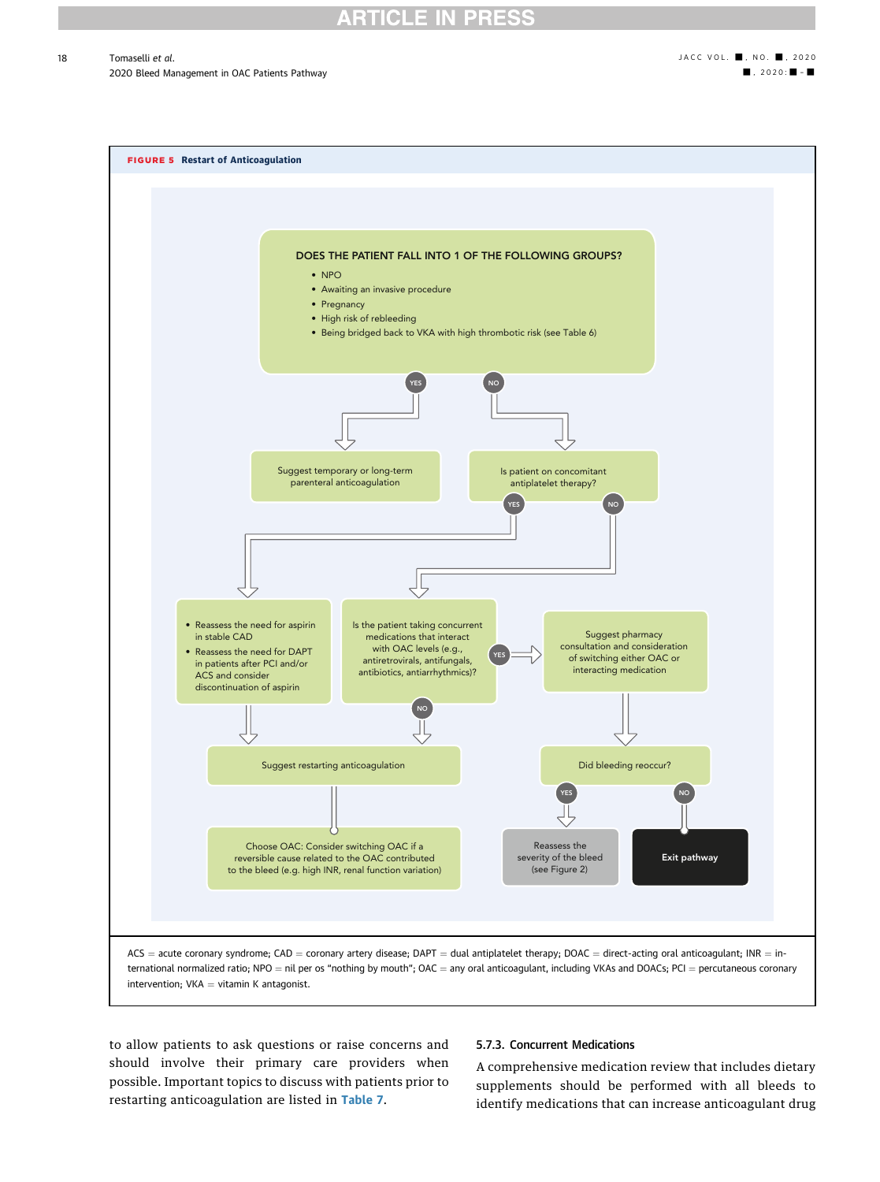2020 Bleed Management in OAC Patients Pathway - , 2020: - , 2020: - , 2020: - , 2020: - , 2020: - , 2020: - , 2020: - , 2020: - , 2020: - , 2020: - , 2020: - , 2020: - , 2020: - , 2020: - , 2020: - , 2020: - , 2020: - , 20

<span id="page-17-0"></span>

to allow patients to ask questions or raise concerns and should involve their primary care providers when possible. Important topics to discuss with patients prior to restarting anticoagulation are listed in [Table 7](#page-19-2).

### 5.7.3. Concurrent Medications

A comprehensive medication review that includes dietary supplements should be performed with all bleeds to identify medications that can increase anticoagulant drug

18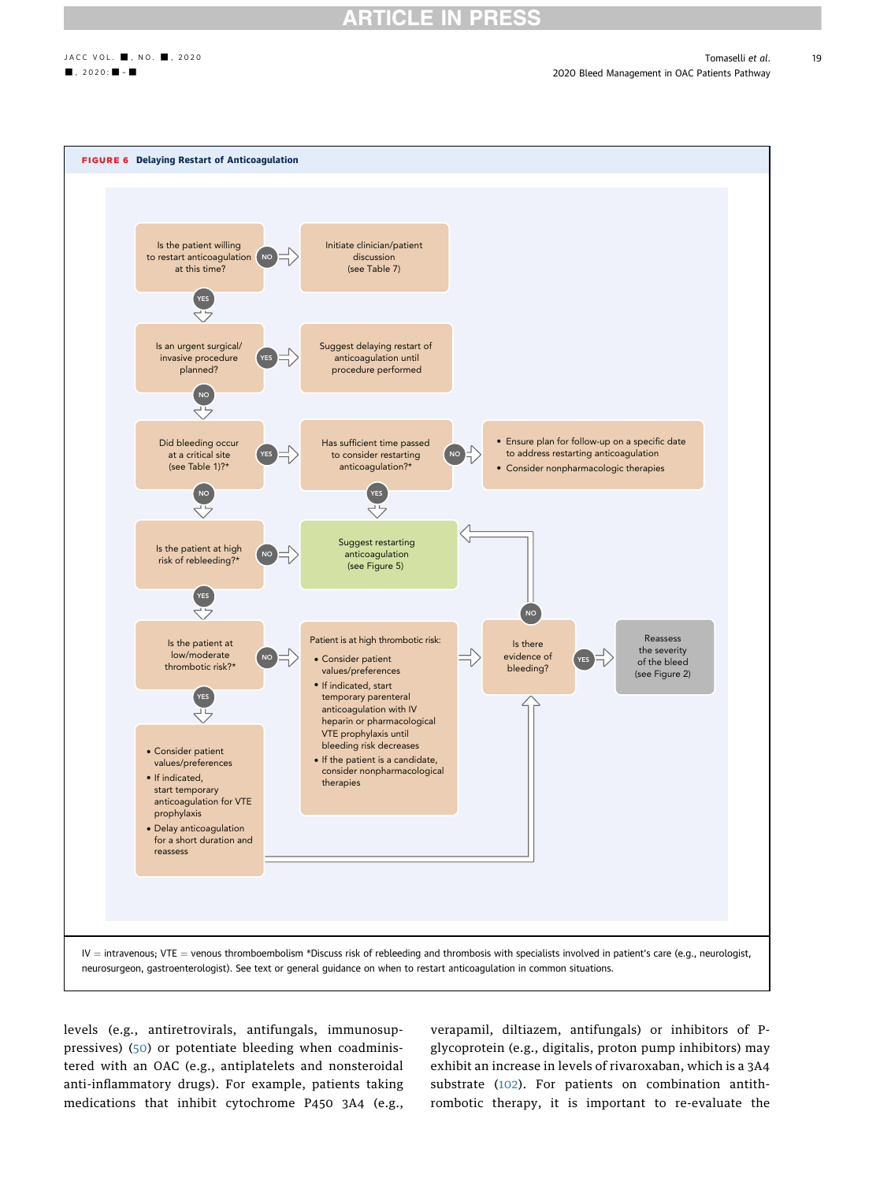19

<span id="page-18-0"></span>

levels (e.g., antiretrovirals, antifungals, immunosuppressives) ([50\)](#page-21-30) or potentiate bleeding when coadministered with an OAC (e.g., antiplatelets and nonsteroidal anti-inflammatory drugs). For example, patients taking medications that inhibit cytochrome P450 3A4 (e.g.,

verapamil, diltiazem, antifungals) or inhibitors of Pglycoprotein (e.g., digitalis, proton pump inhibitors) may exhibit an increase in levels of rivaroxaban, which is a 3A4 substrate ([102](#page-22-31)). For patients on combination antithrombotic therapy, it is important to re-evaluate the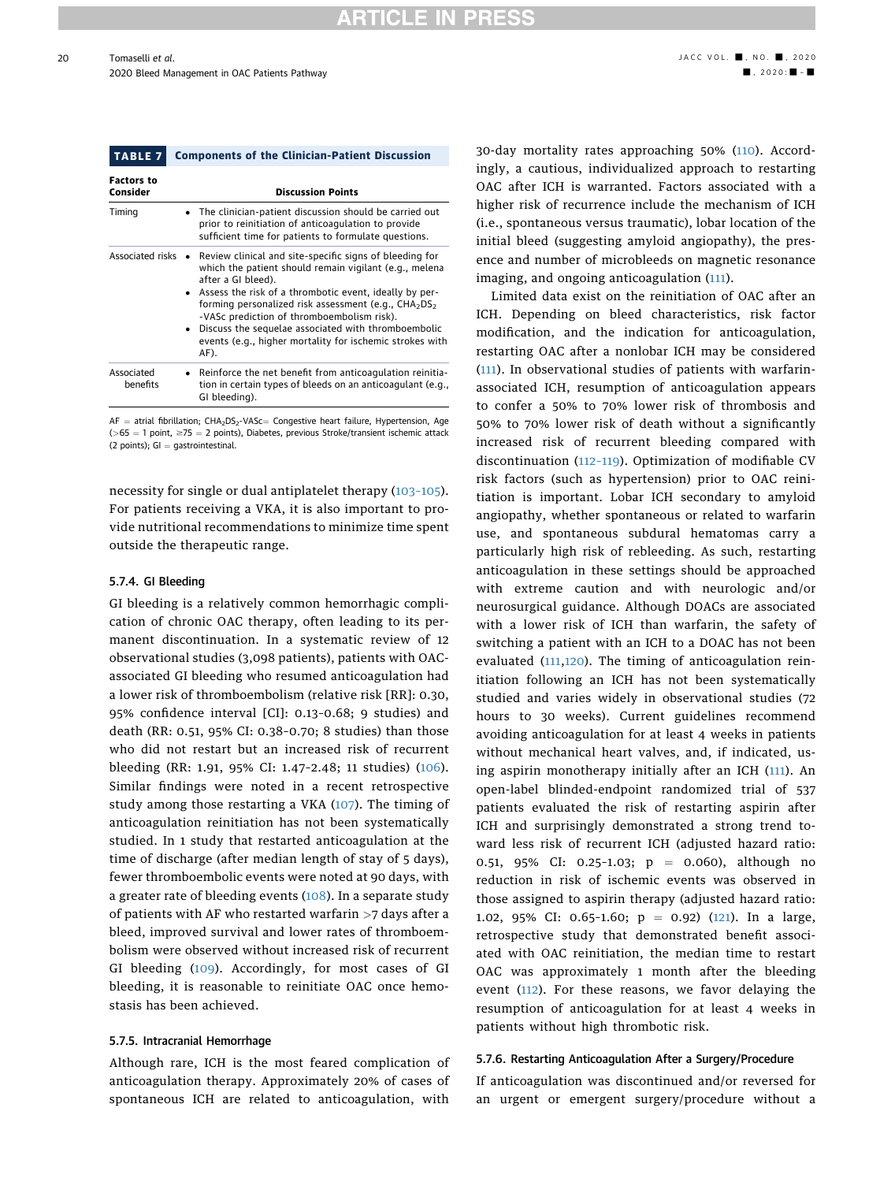### **ARTICLE IN PRESS**

<span id="page-19-2"></span>

| <b>TABLE 7</b>                | <b>Components of the Clinician-Patient Discussion</b>                                                                                                                                                                                                                                                                                                                                                                                                                   |
|-------------------------------|-------------------------------------------------------------------------------------------------------------------------------------------------------------------------------------------------------------------------------------------------------------------------------------------------------------------------------------------------------------------------------------------------------------------------------------------------------------------------|
| <b>Factors to</b><br>Consider | <b>Discussion Points</b>                                                                                                                                                                                                                                                                                                                                                                                                                                                |
| Timing                        | The clinician-patient discussion should be carried out<br>prior to reinitiation of anticoagulation to provide<br>sufficient time for patients to formulate questions.                                                                                                                                                                                                                                                                                                   |
| Associated risks              | Review clinical and site-specific signs of bleeding for<br>which the patient should remain vigilant (e.g., melena<br>after a GI bleed).<br>Assess the risk of a thrombotic event, ideally by per-<br>forming personalized risk assessment (e.g., CHA <sub>2</sub> DS <sub>2</sub><br>-VASc prediction of thromboembolism risk).<br>Discuss the sequelae associated with thromboembolic<br>$\bullet$<br>events (e.g., higher mortality for ischemic strokes with<br>AF). |
| Associated<br>benefits        | • Reinforce the net benefit from anticoagulation reinitia-<br>tion in certain types of bleeds on an anticoagulant (e.g.,<br>GI bleeding).                                                                                                                                                                                                                                                                                                                               |

 $AF =$  atrial fibrillation;  $CHA<sub>2</sub>DS<sub>2</sub>-VASC =$  Congestive heart failure, Hypertension, Age  $(>65 = 1$  point,  $\geq 75 = 2$  points), Diabetes, previous Stroke/transient ischemic attack (2 points);  $GI =$  gastrointestinal.

necessity for single or dual antiplatelet therapy (103–[105\)](#page-22-32). For patients receiving a VKA, it is also important to provide nutritional recommendations to minimize time spent outside the therapeutic range.

### <span id="page-19-0"></span>5.7.4. GI Bleeding

GI bleeding is a relatively common hemorrhagic complication of chronic OAC therapy, often leading to its permanent discontinuation. In a systematic review of 12 observational studies (3,098 patients), patients with OACassociated GI bleeding who resumed anticoagulation had a lower risk of thromboembolism (relative risk [RR]: 0.30, 95% confidence interval [CI]: 0.13–0.68; 9 studies) and death (RR: 0.51, 95% CI: 0.38–0.70; 8 studies) than those who did not restart but an increased risk of recurrent bleeding (RR: 1.91, 95% CI: 1.47–2.48; 11 studies) [\(106\)](#page-22-33). Similar findings were noted in a recent retrospective study among those restarting a VKA ([107](#page-22-34)). The timing of anticoagulation reinitiation has not been systematically studied. In 1 study that restarted anticoagulation at the time of discharge (after median length of stay of 5 days), fewer thromboembolic events were noted at 90 days, with a greater rate of bleeding events [\(108\)](#page-22-35). In a separate study of patients with AF who restarted warfarin >7 days after a bleed, improved survival and lower rates of thromboembolism were observed without increased risk of recurrent GI bleeding [\(109\)](#page-23-0). Accordingly, for most cases of GI bleeding, it is reasonable to reinitiate OAC once hemostasis has been achieved.

### 5.7.5. Intracranial Hemorrhage

Although rare, ICH is the most feared complication of anticoagulation therapy. Approximately 20% of cases of spontaneous ICH are related to anticoagulation, with 30-day mortality rates approaching 50% ([110\)](#page-23-1). Accordingly, a cautious, individualized approach to restarting OAC after ICH is warranted. Factors associated with a higher risk of recurrence include the mechanism of ICH (i.e., spontaneous versus traumatic), lobar location of the initial bleed (suggesting amyloid angiopathy), the presence and number of microbleeds on magnetic resonance imaging, and ongoing anticoagulation ([111](#page-23-2)).

Limited data exist on the reinitiation of OAC after an ICH. Depending on bleed characteristics, risk factor modification, and the indication for anticoagulation, restarting OAC after a nonlobar ICH may be considered ([111](#page-23-2)). In observational studies of patients with warfarinassociated ICH, resumption of anticoagulation appears to confer a 50% to 70% lower risk of thrombosis and 50% to 70% lower risk of death without a significantly increased risk of recurrent bleeding compared with discontinuation (112–[119](#page-23-3)). Optimization of modifiable CV risk factors (such as hypertension) prior to OAC reinitiation is important. Lobar ICH secondary to amyloid angiopathy, whether spontaneous or related to warfarin use, and spontaneous subdural hematomas carry a particularly high risk of rebleeding. As such, restarting anticoagulation in these settings should be approached with extreme caution and with neurologic and/or neurosurgical guidance. Although DOACs are associated with a lower risk of ICH than warfarin, the safety of switching a patient with an ICH to a DOAC has not been evaluated ([111](#page-23-2),[120\)](#page-23-4). The timing of anticoagulation reinitiation following an ICH has not been systematically studied and varies widely in observational studies (72 hours to 30 weeks). Current guidelines recommend avoiding anticoagulation for at least 4 weeks in patients without mechanical heart valves, and, if indicated, using aspirin monotherapy initially after an ICH ([111](#page-23-2)). An open-label blinded-endpoint randomized trial of 537 patients evaluated the risk of restarting aspirin after ICH and surprisingly demonstrated a strong trend toward less risk of recurrent ICH (adjusted hazard ratio: 0.51, 95% CI: 0.25-1.03;  $p = 0.060$ , although no reduction in risk of ischemic events was observed in those assigned to aspirin therapy (adjusted hazard ratio: 1.02, 95% CI: 0.65-1.60;  $p = 0.92$ ) [\(121\)](#page-23-5). In a large, retrospective study that demonstrated benefit associated with OAC reinitiation, the median time to restart OAC was approximately 1 month after the bleeding event [\(112\)](#page-23-3). For these reasons, we favor delaying the resumption of anticoagulation for at least 4 weeks in patients without high thrombotic risk.

### <span id="page-19-1"></span>5.7.6. Restarting Anticoagulation After a Surgery/Procedure

If anticoagulation was discontinued and/or reversed for an urgent or emergent surgery/procedure without a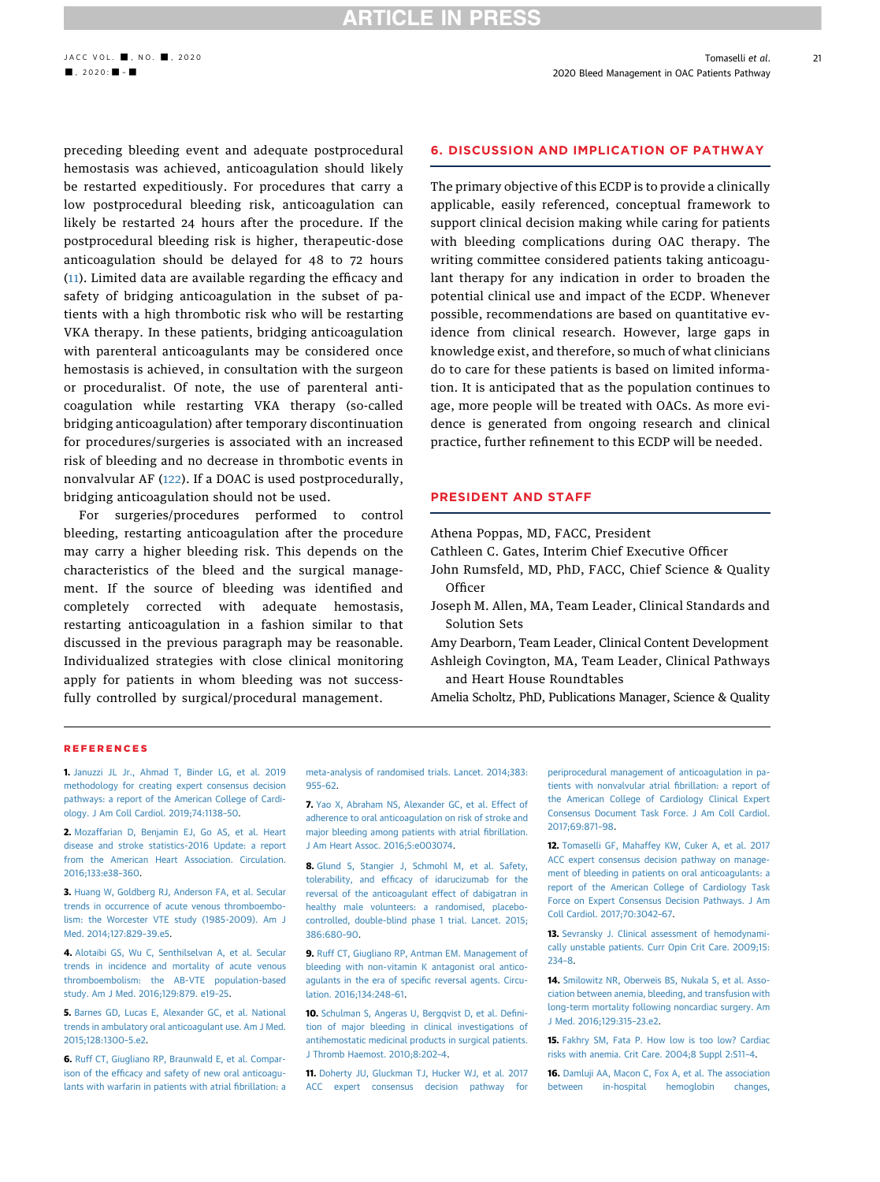### **RTICLE IN PRESS**

preceding bleeding event and adequate postprocedural hemostasis was achieved, anticoagulation should likely be restarted expeditiously. For procedures that carry a low postprocedural bleeding risk, anticoagulation can likely be restarted 24 hours after the procedure. If the postprocedural bleeding risk is higher, therapeutic-dose anticoagulation should be delayed for 48 to 72 hours ([11\)](#page-20-10). Limited data are available regarding the efficacy and safety of bridging anticoagulation in the subset of patients with a high thrombotic risk who will be restarting VKA therapy. In these patients, bridging anticoagulation with parenteral anticoagulants may be considered once hemostasis is achieved, in consultation with the surgeon or proceduralist. Of note, the use of parenteral anticoagulation while restarting VKA therapy (so-called bridging anticoagulation) after temporary discontinuation for procedures/surgeries is associated with an increased risk of bleeding and no decrease in thrombotic events in nonvalvular AF ([122\)](#page-23-6). If a DOAC is used postprocedurally, bridging anticoagulation should not be used.

For surgeries/procedures performed to control bleeding, restarting anticoagulation after the procedure may carry a higher bleeding risk. This depends on the characteristics of the bleed and the surgical management. If the source of bleeding was identified and completely corrected with adequate hemostasis, restarting anticoagulation in a fashion similar to that discussed in the previous paragraph may be reasonable. Individualized strategies with close clinical monitoring apply for patients in whom bleeding was not successfully controlled by surgical/procedural management.

### 6. DISCUSSION AND IMPLICATION OF PATHWAY

The primary objective of this ECDP is to provide a clinically applicable, easily referenced, conceptual framework to support clinical decision making while caring for patients with bleeding complications during OAC therapy. The writing committee considered patients taking anticoagulant therapy for any indication in order to broaden the potential clinical use and impact of the ECDP. Whenever possible, recommendations are based on quantitative evidence from clinical research. However, large gaps in knowledge exist, and therefore, so much of what clinicians do to care for these patients is based on limited information. It is anticipated that as the population continues to age, more people will be treated with OACs. As more evidence is generated from ongoing research and clinical practice, further refinement to this ECDP will be needed.

### PRESIDENT AND STAFF

Athena Poppas, MD, FACC, President

Cathleen C. Gates, Interim Chief Executive Officer

- John Rumsfeld, MD, PhD, FACC, Chief Science & Quality Officer
- Joseph M. Allen, MA, Team Leader, Clinical Standards and Solution Sets

Amy Dearborn, Team Leader, Clinical Content Development Ashleigh Covington, MA, Team Leader, Clinical Pathways and Heart House Roundtables

Amelia Scholtz, PhD, Publications Manager, Science & Quality

#### **REFERENCES**

<span id="page-20-0"></span>1. [Januzzi JL Jr., Ahmad T, Binder LG, et al. 2019](http://refhub.elsevier.com/S0735-1097(20)35154-8/sref1) [methodology for creating expert consensus decision](http://refhub.elsevier.com/S0735-1097(20)35154-8/sref1) [pathways: a report of the American College of Cardi](http://refhub.elsevier.com/S0735-1097(20)35154-8/sref1)[ology. J Am Coll Cardiol. 2019;74:1138](http://refhub.elsevier.com/S0735-1097(20)35154-8/sref1)–50.

<span id="page-20-1"></span>2. [Mozaffarian D, Benjamin EJ, Go AS, et al. Heart](http://refhub.elsevier.com/S0735-1097(20)35154-8/sref2) [disease and stroke statistics-2016 Update: a report](http://refhub.elsevier.com/S0735-1097(20)35154-8/sref2) [from the American Heart Association. Circulation.](http://refhub.elsevier.com/S0735-1097(20)35154-8/sref2) [2016;133:e38](http://refhub.elsevier.com/S0735-1097(20)35154-8/sref2)–360.

<span id="page-20-2"></span>3. [Huang W, Goldberg RJ, Anderson FA, et al. Secular](http://refhub.elsevier.com/S0735-1097(20)35154-8/sref3) [trends in occurrence of acute venous thromboembo](http://refhub.elsevier.com/S0735-1097(20)35154-8/sref3)[lism: the Worcester VTE study \(1985-2009\). Am J](http://refhub.elsevier.com/S0735-1097(20)35154-8/sref3) [Med. 2014;127:829](http://refhub.elsevier.com/S0735-1097(20)35154-8/sref3)–39.e5.

<span id="page-20-3"></span>4. [Alotaibi GS, Wu C, Senthilselvan A, et al. Secular](http://refhub.elsevier.com/S0735-1097(20)35154-8/sref4) [trends in incidence and mortality of acute venous](http://refhub.elsevier.com/S0735-1097(20)35154-8/sref4) [thromboembolism: the AB-VTE population-based](http://refhub.elsevier.com/S0735-1097(20)35154-8/sref4) [study. Am J Med. 2016;129:879. e19](http://refhub.elsevier.com/S0735-1097(20)35154-8/sref4)–25.

<span id="page-20-4"></span>5. [Barnes GD, Lucas E, Alexander GC, et al. National](http://refhub.elsevier.com/S0735-1097(20)35154-8/sref5) [trends in ambulatory oral anticoagulant use. Am J Med.](http://refhub.elsevier.com/S0735-1097(20)35154-8/sref5) [2015;128:1300](http://refhub.elsevier.com/S0735-1097(20)35154-8/sref5)–5.e2.

<span id="page-20-5"></span>6. [Ruff CT, Giugliano RP, Braunwald E, et al. Compar](http://refhub.elsevier.com/S0735-1097(20)35154-8/sref6)ison of the effi[cacy and safety of new oral anticoagu](http://refhub.elsevier.com/S0735-1097(20)35154-8/sref6)[lants with warfarin in patients with atrial](http://refhub.elsevier.com/S0735-1097(20)35154-8/sref6) fibrillation: a [meta-analysis of randomised trials. Lancet. 2014;383:](http://refhub.elsevier.com/S0735-1097(20)35154-8/sref6) [955](http://refhub.elsevier.com/S0735-1097(20)35154-8/sref6)–62.

<span id="page-20-6"></span>7. [Yao X, Abraham NS, Alexander GC, et al. Effect of](http://refhub.elsevier.com/S0735-1097(20)35154-8/sref7) [adherence to oral anticoagulation on risk of stroke and](http://refhub.elsevier.com/S0735-1097(20)35154-8/sref7) [major bleeding among patients with atrial](http://refhub.elsevier.com/S0735-1097(20)35154-8/sref7) fibrillation. [J Am Heart Assoc. 2016;5:e003074.](http://refhub.elsevier.com/S0735-1097(20)35154-8/sref7)

<span id="page-20-7"></span>8. [Glund S, Stangier J, Schmohl M, et al. Safety,](http://refhub.elsevier.com/S0735-1097(20)35154-8/sref8) tolerability, and effi[cacy of idarucizumab for the](http://refhub.elsevier.com/S0735-1097(20)35154-8/sref8) [reversal of the anticoagulant effect of dabigatran in](http://refhub.elsevier.com/S0735-1097(20)35154-8/sref8) [healthy male volunteers: a randomised, placebo](http://refhub.elsevier.com/S0735-1097(20)35154-8/sref8)[controlled, double-blind phase 1 trial. Lancet. 2015;](http://refhub.elsevier.com/S0735-1097(20)35154-8/sref8) [386:680](http://refhub.elsevier.com/S0735-1097(20)35154-8/sref8)–90.

<span id="page-20-8"></span>9. [Ruff CT, Giugliano RP, Antman EM. Management of](http://refhub.elsevier.com/S0735-1097(20)35154-8/sref9) [bleeding with non-vitamin K antagonist oral antico](http://refhub.elsevier.com/S0735-1097(20)35154-8/sref9)[agulants in the era of speci](http://refhub.elsevier.com/S0735-1097(20)35154-8/sref9)fic reversal agents. Circu[lation. 2016;134:248](http://refhub.elsevier.com/S0735-1097(20)35154-8/sref9)–61.

<span id="page-20-9"></span>10. [Schulman S, Angeras U, Bergqvist D, et al. De](http://refhub.elsevier.com/S0735-1097(20)35154-8/sref10)fini[tion of major bleeding in clinical investigations of](http://refhub.elsevier.com/S0735-1097(20)35154-8/sref10) [antihemostatic medicinal products in surgical patients.](http://refhub.elsevier.com/S0735-1097(20)35154-8/sref10) [J Thromb Haemost. 2010;8:202](http://refhub.elsevier.com/S0735-1097(20)35154-8/sref10)–4.

<span id="page-20-10"></span>11. [Doherty JU, Gluckman TJ, Hucker WJ, et al. 2017](http://refhub.elsevier.com/S0735-1097(20)35154-8/sref11) [ACC expert consensus decision pathway for](http://refhub.elsevier.com/S0735-1097(20)35154-8/sref11)

[periprocedural management of anticoagulation in pa](http://refhub.elsevier.com/S0735-1097(20)35154-8/sref11)[tients with nonvalvular atrial](http://refhub.elsevier.com/S0735-1097(20)35154-8/sref11) fibrillation: a report of [the American College of Cardiology Clinical Expert](http://refhub.elsevier.com/S0735-1097(20)35154-8/sref11) [Consensus Document Task Force. J Am Coll Cardiol.](http://refhub.elsevier.com/S0735-1097(20)35154-8/sref11) [2017;69:871](http://refhub.elsevier.com/S0735-1097(20)35154-8/sref11)–98.

<span id="page-20-11"></span>12. [Tomaselli GF, Mahaffey KW, Cuker A, et al. 2017](http://refhub.elsevier.com/S0735-1097(20)35154-8/sref12) [ACC expert consensus decision pathway on manage](http://refhub.elsevier.com/S0735-1097(20)35154-8/sref12)[ment of bleeding in patients on oral anticoagulants: a](http://refhub.elsevier.com/S0735-1097(20)35154-8/sref12) [report of the American College of Cardiology Task](http://refhub.elsevier.com/S0735-1097(20)35154-8/sref12) [Force on Expert Consensus Decision Pathways. J Am](http://refhub.elsevier.com/S0735-1097(20)35154-8/sref12) [Coll Cardiol. 2017;70:3042](http://refhub.elsevier.com/S0735-1097(20)35154-8/sref12)–67.

<span id="page-20-12"></span>13. [Sevransky J. Clinical assessment of hemodynami](http://refhub.elsevier.com/S0735-1097(20)35154-8/sref13)[cally unstable patients. Curr Opin Crit Care. 2009;15:](http://refhub.elsevier.com/S0735-1097(20)35154-8/sref13) [234](http://refhub.elsevier.com/S0735-1097(20)35154-8/sref13)–8.

<span id="page-20-13"></span>14. [Smilowitz NR, Oberweis BS, Nukala S, et al. Asso](http://refhub.elsevier.com/S0735-1097(20)35154-8/sref14)[ciation between anemia, bleeding, and transfusion with](http://refhub.elsevier.com/S0735-1097(20)35154-8/sref14) [long-term mortality following noncardiac surgery. Am](http://refhub.elsevier.com/S0735-1097(20)35154-8/sref14) [J Med. 2016;129:315](http://refhub.elsevier.com/S0735-1097(20)35154-8/sref14)–23.e2.

<span id="page-20-14"></span>15. [Fakhry SM, Fata P. How low is too low? Cardiac](http://refhub.elsevier.com/S0735-1097(20)35154-8/sref15) [risks with anemia. Crit Care. 2004;8 Suppl 2:S11](http://refhub.elsevier.com/S0735-1097(20)35154-8/sref15)–4.

<span id="page-20-15"></span>16. [Damluji AA, Macon C, Fox A, et al. The association](http://refhub.elsevier.com/S0735-1097(20)35154-8/sref16) [between in-hospital hemoglobin changes,](http://refhub.elsevier.com/S0735-1097(20)35154-8/sref16)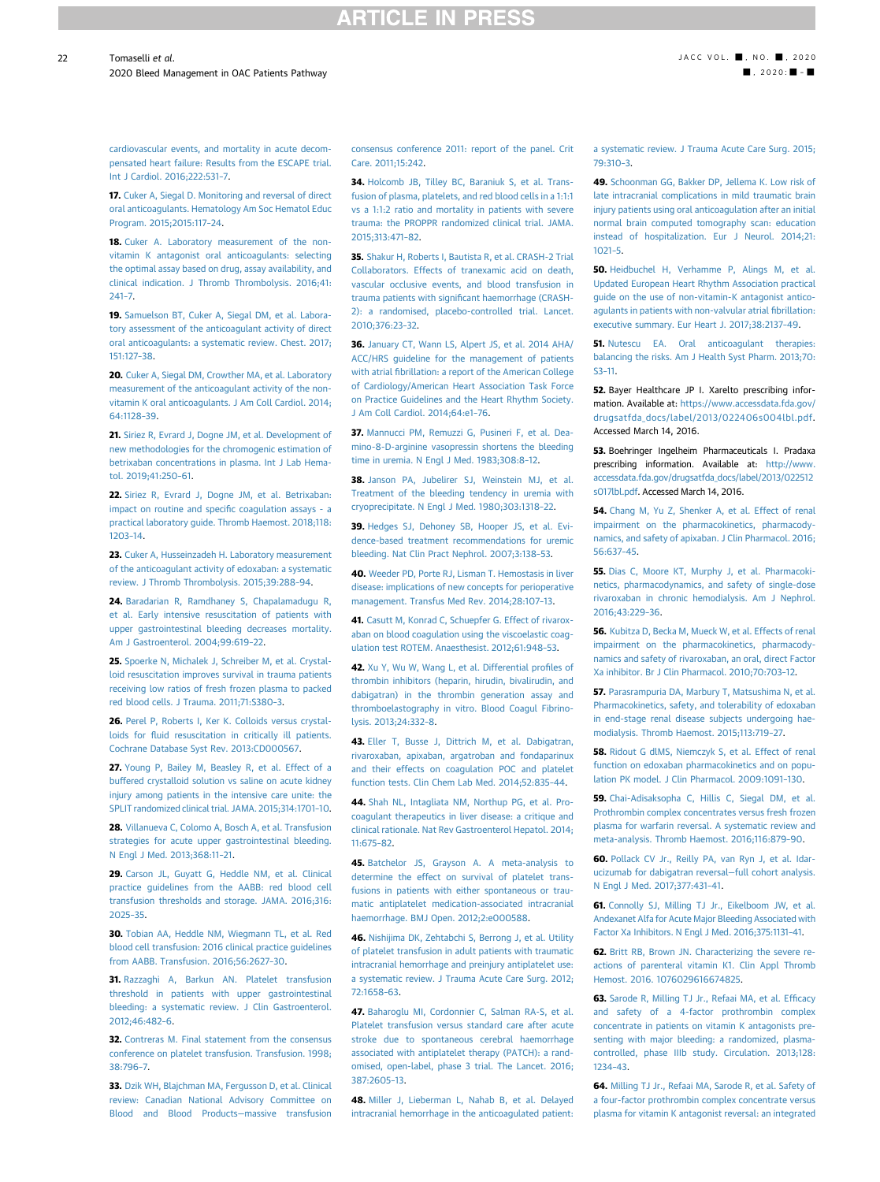### **RTICLE IN PRES**

[cardiovascular events, and mortality in acute decom](http://refhub.elsevier.com/S0735-1097(20)35154-8/sref16)[pensated heart failure: Results from the ESCAPE trial.](http://refhub.elsevier.com/S0735-1097(20)35154-8/sref16) [Int J Cardiol. 2016;222:531](http://refhub.elsevier.com/S0735-1097(20)35154-8/sref16)–7.

<span id="page-21-0"></span>17. [Cuker A, Siegal D. Monitoring and reversal of direct](http://refhub.elsevier.com/S0735-1097(20)35154-8/sref17) [oral anticoagulants. Hematology Am Soc Hematol Educ](http://refhub.elsevier.com/S0735-1097(20)35154-8/sref17) [Program. 2015;2015:117](http://refhub.elsevier.com/S0735-1097(20)35154-8/sref17)–24.

<span id="page-21-1"></span>18. [Cuker A. Laboratory measurement of the non](http://refhub.elsevier.com/S0735-1097(20)35154-8/sref18)[vitamin K antagonist oral anticoagulants: selecting](http://refhub.elsevier.com/S0735-1097(20)35154-8/sref18) [the optimal assay based on drug, assay availability, and](http://refhub.elsevier.com/S0735-1097(20)35154-8/sref18) [clinical indication. J Thromb Thrombolysis. 2016;41:](http://refhub.elsevier.com/S0735-1097(20)35154-8/sref18) [241](http://refhub.elsevier.com/S0735-1097(20)35154-8/sref18)–7.

<span id="page-21-2"></span>19. [Samuelson BT, Cuker A, Siegal DM, et al. Labora](http://refhub.elsevier.com/S0735-1097(20)35154-8/sref19)[tory assessment of the anticoagulant activity of direct](http://refhub.elsevier.com/S0735-1097(20)35154-8/sref19) [oral anticoagulants: a systematic review. Chest. 2017;](http://refhub.elsevier.com/S0735-1097(20)35154-8/sref19) [151:127](http://refhub.elsevier.com/S0735-1097(20)35154-8/sref19)–38.

<span id="page-21-3"></span>20. [Cuker A, Siegal DM, Crowther MA, et al. Laboratory](http://refhub.elsevier.com/S0735-1097(20)35154-8/sref20) [measurement of the anticoagulant activity of the non](http://refhub.elsevier.com/S0735-1097(20)35154-8/sref20)[vitamin K oral anticoagulants. J Am Coll Cardiol. 2014;](http://refhub.elsevier.com/S0735-1097(20)35154-8/sref20) [64:1128](http://refhub.elsevier.com/S0735-1097(20)35154-8/sref20)–39.

<span id="page-21-4"></span>21. [Siriez R, Evrard J, Dogne JM, et al. Development of](http://refhub.elsevier.com/S0735-1097(20)35154-8/sref21) [new methodologies for the chromogenic estimation of](http://refhub.elsevier.com/S0735-1097(20)35154-8/sref21) [betrixaban concentrations in plasma. Int J Lab Hema](http://refhub.elsevier.com/S0735-1097(20)35154-8/sref21)[tol. 2019;41:250](http://refhub.elsevier.com/S0735-1097(20)35154-8/sref21)–61.

<span id="page-21-5"></span>22. [Siriez R, Evrard J, Dogne JM, et al. Betrixaban:](http://refhub.elsevier.com/S0735-1097(20)35154-8/sref22) [impact on routine and speci](http://refhub.elsevier.com/S0735-1097(20)35154-8/sref22)fic coagulation assays - a [practical laboratory guide. Thromb Haemost. 2018;118:](http://refhub.elsevier.com/S0735-1097(20)35154-8/sref22) [1203](http://refhub.elsevier.com/S0735-1097(20)35154-8/sref22)–14.

<span id="page-21-6"></span>23. [Cuker A, Husseinzadeh H. Laboratory measurement](http://refhub.elsevier.com/S0735-1097(20)35154-8/sref23) [of the anticoagulant activity of edoxaban: a systematic](http://refhub.elsevier.com/S0735-1097(20)35154-8/sref23) [review. J Thromb Thrombolysis. 2015;39:288](http://refhub.elsevier.com/S0735-1097(20)35154-8/sref23)–94.

<span id="page-21-7"></span>24. [Baradarian R, Ramdhaney S, Chapalamadugu R,](http://refhub.elsevier.com/S0735-1097(20)35154-8/sref24) [et al. Early intensive resuscitation of patients with](http://refhub.elsevier.com/S0735-1097(20)35154-8/sref24) [upper gastrointestinal bleeding decreases mortality.](http://refhub.elsevier.com/S0735-1097(20)35154-8/sref24) [Am J Gastroenterol. 2004;99:619](http://refhub.elsevier.com/S0735-1097(20)35154-8/sref24)–22.

<span id="page-21-8"></span>25. [Spoerke N, Michalek J, Schreiber M, et al. Crystal](http://refhub.elsevier.com/S0735-1097(20)35154-8/sref25)[loid resuscitation improves survival in trauma patients](http://refhub.elsevier.com/S0735-1097(20)35154-8/sref25) [receiving low ratios of fresh frozen plasma to packed](http://refhub.elsevier.com/S0735-1097(20)35154-8/sref25) [red blood cells. J Trauma. 2011;71:S380](http://refhub.elsevier.com/S0735-1097(20)35154-8/sref25)–3.

<span id="page-21-9"></span>26. [Perel P, Roberts I, Ker K. Colloids versus crystal](http://refhub.elsevier.com/S0735-1097(20)35154-8/sref26)loids for fl[uid resuscitation in critically ill patients.](http://refhub.elsevier.com/S0735-1097(20)35154-8/sref26) [Cochrane Database Syst Rev. 2013:CD000567.](http://refhub.elsevier.com/S0735-1097(20)35154-8/sref26)

<span id="page-21-10"></span>27. [Young P, Bailey M, Beasley R, et al. Effect of a](http://refhub.elsevier.com/S0735-1097(20)35154-8/sref27) [buffered crystalloid solution vs saline on acute kidney](http://refhub.elsevier.com/S0735-1097(20)35154-8/sref27) [injury among patients in the intensive care unite: the](http://refhub.elsevier.com/S0735-1097(20)35154-8/sref27) [SPLIT randomized clinical trial. JAMA. 2015;314:1701](http://refhub.elsevier.com/S0735-1097(20)35154-8/sref27)–10.

<span id="page-21-11"></span>28. [Villanueva C, Colomo A, Bosch A, et al. Transfusion](http://refhub.elsevier.com/S0735-1097(20)35154-8/sref28) [strategies for acute upper gastrointestinal bleeding.](http://refhub.elsevier.com/S0735-1097(20)35154-8/sref28) [N Engl J Med. 2013;368:11](http://refhub.elsevier.com/S0735-1097(20)35154-8/sref28)–21.

<span id="page-21-12"></span>29. [Carson JL, Guyatt G, Heddle NM, et al. Clinical](http://refhub.elsevier.com/S0735-1097(20)35154-8/sref29) [practice guidelines from the AABB: red blood cell](http://refhub.elsevier.com/S0735-1097(20)35154-8/sref29) [transfusion thresholds and storage. JAMA. 2016;316:](http://refhub.elsevier.com/S0735-1097(20)35154-8/sref29) [2025](http://refhub.elsevier.com/S0735-1097(20)35154-8/sref29)–35.

<span id="page-21-13"></span>30. [Tobian AA, Heddle NM, Wiegmann TL, et al. Red](http://refhub.elsevier.com/S0735-1097(20)35154-8/sref30) [blood cell transfusion: 2016 clinical practice guidelines](http://refhub.elsevier.com/S0735-1097(20)35154-8/sref30) [from AABB. Transfusion. 2016;56:2627](http://refhub.elsevier.com/S0735-1097(20)35154-8/sref30)–30.

<span id="page-21-14"></span>31. [Razzaghi A, Barkun AN. Platelet transfusion](http://refhub.elsevier.com/S0735-1097(20)35154-8/sref31) [threshold in patients with upper gastrointestinal](http://refhub.elsevier.com/S0735-1097(20)35154-8/sref31) [bleeding: a systematic review. J Clin Gastroenterol.](http://refhub.elsevier.com/S0735-1097(20)35154-8/sref31) [2012;46:482](http://refhub.elsevier.com/S0735-1097(20)35154-8/sref31)–6.

<span id="page-21-15"></span>32. [Contreras M. Final statement from the consensus](http://refhub.elsevier.com/S0735-1097(20)35154-8/sref32) [conference on platelet transfusion. Transfusion. 1998;](http://refhub.elsevier.com/S0735-1097(20)35154-8/sref32) [38:796](http://refhub.elsevier.com/S0735-1097(20)35154-8/sref32)–7.

<span id="page-21-16"></span>33. [Dzik WH, Blajchman MA, Fergusson D, et al. Clinical](http://refhub.elsevier.com/S0735-1097(20)35154-8/sref33) [review: Canadian National Advisory Committee on](http://refhub.elsevier.com/S0735-1097(20)35154-8/sref33) [Blood and Blood Products](http://refhub.elsevier.com/S0735-1097(20)35154-8/sref33)—massive transfusion

[consensus conference 2011: report of the panel. Crit](http://refhub.elsevier.com/S0735-1097(20)35154-8/sref33) [Care. 2011;15:242](http://refhub.elsevier.com/S0735-1097(20)35154-8/sref33).

<span id="page-21-17"></span>34. [Holcomb JB, Tilley BC, Baraniuk S, et al. Trans](http://refhub.elsevier.com/S0735-1097(20)35154-8/sref34)[fusion of plasma, platelets, and red blood cells in a 1:1:1](http://refhub.elsevier.com/S0735-1097(20)35154-8/sref34) [vs a 1:1:2 ratio and mortality in patients with severe](http://refhub.elsevier.com/S0735-1097(20)35154-8/sref34) [trauma: the PROPPR randomized clinical trial. JAMA.](http://refhub.elsevier.com/S0735-1097(20)35154-8/sref34) [2015;313:471](http://refhub.elsevier.com/S0735-1097(20)35154-8/sref34)–82.

<span id="page-21-18"></span>35. [Shakur H, Roberts I, Bautista R, et al. CRASH-2 Trial](http://refhub.elsevier.com/S0735-1097(20)35154-8/sref35) [Collaborators. Effects of tranexamic acid on death,](http://refhub.elsevier.com/S0735-1097(20)35154-8/sref35) [vascular occlusive events, and blood transfusion in](http://refhub.elsevier.com/S0735-1097(20)35154-8/sref35) trauma patients with signifi[cant haemorrhage \(CRASH-](http://refhub.elsevier.com/S0735-1097(20)35154-8/sref35)[2\): a randomised, placebo-controlled trial. Lancet.](http://refhub.elsevier.com/S0735-1097(20)35154-8/sref35) [2010;376:23](http://refhub.elsevier.com/S0735-1097(20)35154-8/sref35)–32.

<span id="page-21-19"></span>36. [January CT, Wann LS, Alpert JS, et al. 2014 AHA/](http://refhub.elsevier.com/S0735-1097(20)35154-8/sref36) [ACC/HRS guideline for the management of patients](http://refhub.elsevier.com/S0735-1097(20)35154-8/sref36) with atrial fi[brillation: a report of the American College](http://refhub.elsevier.com/S0735-1097(20)35154-8/sref36) [of Cardiology/American Heart Association Task Force](http://refhub.elsevier.com/S0735-1097(20)35154-8/sref36) [on Practice Guidelines and the Heart Rhythm Society.](http://refhub.elsevier.com/S0735-1097(20)35154-8/sref36) [J Am Coll Cardiol. 2014;64:e1](http://refhub.elsevier.com/S0735-1097(20)35154-8/sref36)–76.

<span id="page-21-20"></span>37. [Mannucci PM, Remuzzi G, Pusineri F, et al. Dea](http://refhub.elsevier.com/S0735-1097(20)35154-8/sref37)[mino-8-D-arginine vasopressin shortens the bleeding](http://refhub.elsevier.com/S0735-1097(20)35154-8/sref37) [time in uremia. N Engl J Med. 1983;308:8](http://refhub.elsevier.com/S0735-1097(20)35154-8/sref37)–12.

38. [Janson PA, Jubelirer SJ, Weinstein MJ, et al.](http://refhub.elsevier.com/S0735-1097(20)35154-8/sref38) [Treatment of the bleeding tendency in uremia with](http://refhub.elsevier.com/S0735-1097(20)35154-8/sref38) [cryoprecipitate. N Engl J Med. 1980;303:1318](http://refhub.elsevier.com/S0735-1097(20)35154-8/sref38)–22.

39. [Hedges SJ, Dehoney SB, Hooper JS, et al. Evi](http://refhub.elsevier.com/S0735-1097(20)35154-8/sref39)[dence-based treatment recommendations for uremic](http://refhub.elsevier.com/S0735-1097(20)35154-8/sref39) [bleeding. Nat Clin Pract Nephrol. 2007;3:138](http://refhub.elsevier.com/S0735-1097(20)35154-8/sref39)–53.

<span id="page-21-21"></span>40. [Weeder PD, Porte RJ, Lisman T. Hemostasis in liver](http://refhub.elsevier.com/S0735-1097(20)35154-8/sref40) [disease: implications of new concepts for perioperative](http://refhub.elsevier.com/S0735-1097(20)35154-8/sref40) [management. Transfus Med Rev. 2014;28:107](http://refhub.elsevier.com/S0735-1097(20)35154-8/sref40)–13.

41. [Casutt M, Konrad C, Schuepfer G. Effect of rivarox](http://refhub.elsevier.com/S0735-1097(20)35154-8/sref41)[aban on blood coagulation using the viscoelastic coag](http://refhub.elsevier.com/S0735-1097(20)35154-8/sref41)[ulation test ROTEM. Anaesthesist. 2012;61:948](http://refhub.elsevier.com/S0735-1097(20)35154-8/sref41)–53.

42. [Xu Y, Wu W, Wang L, et al. Differential pro](http://refhub.elsevier.com/S0735-1097(20)35154-8/sref42)files of [thrombin inhibitors \(heparin, hirudin, bivalirudin, and](http://refhub.elsevier.com/S0735-1097(20)35154-8/sref42) [dabigatran\) in the thrombin generation assay and](http://refhub.elsevier.com/S0735-1097(20)35154-8/sref42) [thromboelastography in vitro. Blood Coagul Fibrino](http://refhub.elsevier.com/S0735-1097(20)35154-8/sref42)[lysis. 2013;24:332](http://refhub.elsevier.com/S0735-1097(20)35154-8/sref42)–8.

43. [Eller T, Busse J, Dittrich M, et al. Dabigatran,](http://refhub.elsevier.com/S0735-1097(20)35154-8/sref43) [rivaroxaban, apixaban, argatroban and fondaparinux](http://refhub.elsevier.com/S0735-1097(20)35154-8/sref43) [and their effects on coagulation POC and platelet](http://refhub.elsevier.com/S0735-1097(20)35154-8/sref43) [function tests. Clin Chem Lab Med. 2014;52:835](http://refhub.elsevier.com/S0735-1097(20)35154-8/sref43)–44.

<span id="page-21-22"></span>44. [Shah NL, Intagliata NM, Northup PG, et al. Pro](http://refhub.elsevier.com/S0735-1097(20)35154-8/sref44)[coagulant therapeutics in liver disease: a critique and](http://refhub.elsevier.com/S0735-1097(20)35154-8/sref44) [clinical rationale. Nat Rev Gastroenterol Hepatol. 2014;](http://refhub.elsevier.com/S0735-1097(20)35154-8/sref44) [11:675](http://refhub.elsevier.com/S0735-1097(20)35154-8/sref44)–82.

<span id="page-21-23"></span>45. [Batchelor JS, Grayson A. A meta-analysis to](http://refhub.elsevier.com/S0735-1097(20)35154-8/sref45) [determine the effect on survival of platelet trans](http://refhub.elsevier.com/S0735-1097(20)35154-8/sref45)[fusions in patients with either spontaneous or trau](http://refhub.elsevier.com/S0735-1097(20)35154-8/sref45)[matic antiplatelet medication-associated intracranial](http://refhub.elsevier.com/S0735-1097(20)35154-8/sref45) [haemorrhage. BMJ Open. 2012;2:e000588.](http://refhub.elsevier.com/S0735-1097(20)35154-8/sref45)

<span id="page-21-24"></span>46. [Nishijima DK, Zehtabchi S, Berrong J, et al. Utility](http://refhub.elsevier.com/S0735-1097(20)35154-8/sref46) [of platelet transfusion in adult patients with traumatic](http://refhub.elsevier.com/S0735-1097(20)35154-8/sref46) [intracranial hemorrhage and preinjury antiplatelet use:](http://refhub.elsevier.com/S0735-1097(20)35154-8/sref46) [a systematic review. J Trauma Acute Care Surg. 2012;](http://refhub.elsevier.com/S0735-1097(20)35154-8/sref46) [72:1658](http://refhub.elsevier.com/S0735-1097(20)35154-8/sref46)–63.

<span id="page-21-25"></span>47. [Baharoglu MI, Cordonnier C, Salman RA-S, et al.](http://refhub.elsevier.com/S0735-1097(20)35154-8/sref47) [Platelet transfusion versus standard care after acute](http://refhub.elsevier.com/S0735-1097(20)35154-8/sref47) [stroke due to spontaneous cerebral haemorrhage](http://refhub.elsevier.com/S0735-1097(20)35154-8/sref47) [associated with antiplatelet therapy \(PATCH\): a rand](http://refhub.elsevier.com/S0735-1097(20)35154-8/sref47)[omised, open-label, phase 3 trial. The Lancet. 2016;](http://refhub.elsevier.com/S0735-1097(20)35154-8/sref47) [387:2605](http://refhub.elsevier.com/S0735-1097(20)35154-8/sref47)–13.

<span id="page-21-26"></span>48. [Miller J, Lieberman L, Nahab B, et al. Delayed](http://refhub.elsevier.com/S0735-1097(20)35154-8/sref48) [intracranial hemorrhage in the anticoagulated patient:](http://refhub.elsevier.com/S0735-1097(20)35154-8/sref48)

[a systematic review. J Trauma Acute Care Surg. 2015;](http://refhub.elsevier.com/S0735-1097(20)35154-8/sref48) [79:310](http://refhub.elsevier.com/S0735-1097(20)35154-8/sref48)–3.

<span id="page-21-27"></span>49. [Schoonman GG, Bakker DP, Jellema K. Low risk of](http://refhub.elsevier.com/S0735-1097(20)35154-8/sref49) [late intracranial complications in mild traumatic brain](http://refhub.elsevier.com/S0735-1097(20)35154-8/sref49) [injury patients using oral anticoagulation after an initial](http://refhub.elsevier.com/S0735-1097(20)35154-8/sref49) [normal brain computed tomography scan: education](http://refhub.elsevier.com/S0735-1097(20)35154-8/sref49) [instead of hospitalization. Eur J Neurol. 2014;21:](http://refhub.elsevier.com/S0735-1097(20)35154-8/sref49) [1021](http://refhub.elsevier.com/S0735-1097(20)35154-8/sref49)–5.

<span id="page-21-30"></span>50. [Heidbuchel H, Verhamme P, Alings M, et al.](http://refhub.elsevier.com/S0735-1097(20)35154-8/sref50) [Updated European Heart Rhythm Association practical](http://refhub.elsevier.com/S0735-1097(20)35154-8/sref50) [guide on the use of non-vitamin-K antagonist antico](http://refhub.elsevier.com/S0735-1097(20)35154-8/sref50)[agulants in patients with non-valvular atrial](http://refhub.elsevier.com/S0735-1097(20)35154-8/sref50) fibrillation: [executive summary. Eur Heart J. 2017;38:2137](http://refhub.elsevier.com/S0735-1097(20)35154-8/sref50)–49.

51. [Nutescu EA. Oral anticoagulant therapies:](http://refhub.elsevier.com/S0735-1097(20)35154-8/sref51) [balancing the risks. Am J Health Syst Pharm. 2013;70:](http://refhub.elsevier.com/S0735-1097(20)35154-8/sref51) [S3](http://refhub.elsevier.com/S0735-1097(20)35154-8/sref51)–11.

52. Bayer Healthcare JP I. Xarelto prescribing information. Available at: [https://www.accessdata.fda.gov/](https://www.accessdata.fda.gov/drugsatfda_docs/label/2013/022406s004lbl.pdf) [drugsatfda\\_docs/label/2013/022406s004lbl.pdf](https://www.accessdata.fda.gov/drugsatfda_docs/label/2013/022406s004lbl.pdf). Accessed March 14, 2016.

53. Boehringer Ingelheim Pharmaceuticals I. Pradaxa prescribing information. Available at: [http://www.](http://www.accessdata.fda.gov/drugsatfda_docs/label/2013/022512s017lbl.pdf) [accessdata.fda.gov/drugsatfda\\_docs/label/2013/022512](http://www.accessdata.fda.gov/drugsatfda_docs/label/2013/022512s017lbl.pdf) [s017lbl.pdf.](http://www.accessdata.fda.gov/drugsatfda_docs/label/2013/022512s017lbl.pdf) Accessed March 14, 2016.

54. [Chang M, Yu Z, Shenker A, et al. Effect of renal](http://refhub.elsevier.com/S0735-1097(20)35154-8/sref54) [impairment on the pharmacokinetics, pharmacody](http://refhub.elsevier.com/S0735-1097(20)35154-8/sref54)[namics, and safety of apixaban. J Clin Pharmacol. 2016;](http://refhub.elsevier.com/S0735-1097(20)35154-8/sref54) [56:637](http://refhub.elsevier.com/S0735-1097(20)35154-8/sref54)–45.

55. [Dias C, Moore KT, Murphy J, et al. Pharmacoki](http://refhub.elsevier.com/S0735-1097(20)35154-8/sref55)[netics, pharmacodynamics, and safety of single-dose](http://refhub.elsevier.com/S0735-1097(20)35154-8/sref55) [rivaroxaban in chronic hemodialysis. Am J Nephrol.](http://refhub.elsevier.com/S0735-1097(20)35154-8/sref55) [2016;43:229](http://refhub.elsevier.com/S0735-1097(20)35154-8/sref55)–36.

56. [Kubitza D, Becka M, Mueck W, et al. Effects of renal](http://refhub.elsevier.com/S0735-1097(20)35154-8/sref56) [impairment on the pharmacokinetics, pharmacody](http://refhub.elsevier.com/S0735-1097(20)35154-8/sref56)[namics and safety of rivaroxaban, an oral, direct Factor](http://refhub.elsevier.com/S0735-1097(20)35154-8/sref56) [Xa inhibitor. Br J Clin Pharmacol. 2010;70:703](http://refhub.elsevier.com/S0735-1097(20)35154-8/sref56)–12.

57. [Parasrampuria DA, Marbury T, Matsushima N, et al.](http://refhub.elsevier.com/S0735-1097(20)35154-8/sref57) [Pharmacokinetics, safety, and tolerability of edoxaban](http://refhub.elsevier.com/S0735-1097(20)35154-8/sref57) [in end-stage renal disease subjects undergoing hae](http://refhub.elsevier.com/S0735-1097(20)35154-8/sref57)[modialysis. Thromb Haemost. 2015;113:719](http://refhub.elsevier.com/S0735-1097(20)35154-8/sref57)–27.

58. [Ridout G dlMS, Niemczyk S, et al. Effect of renal](http://refhub.elsevier.com/S0735-1097(20)35154-8/sref58) [function on edoxaban pharmacokinetics and on popu](http://refhub.elsevier.com/S0735-1097(20)35154-8/sref58)[lation PK model. J Clin Pharmacol. 2009:1091](http://refhub.elsevier.com/S0735-1097(20)35154-8/sref58)–130.

<span id="page-21-31"></span>59. [Chai-Adisaksopha C, Hillis C, Siegal DM, et al.](http://refhub.elsevier.com/S0735-1097(20)35154-8/sref59) [Prothrombin complex concentrates versus fresh frozen](http://refhub.elsevier.com/S0735-1097(20)35154-8/sref59) [plasma for warfarin reversal. A systematic review and](http://refhub.elsevier.com/S0735-1097(20)35154-8/sref59) [meta-analysis. Thromb Haemost. 2016;116:879](http://refhub.elsevier.com/S0735-1097(20)35154-8/sref59)–90.

<span id="page-21-33"></span>60. [Pollack CV Jr., Reilly PA, van Ryn J, et al. Idar](http://refhub.elsevier.com/S0735-1097(20)35154-8/sref60)[ucizumab for dabigatran reversal](http://refhub.elsevier.com/S0735-1097(20)35154-8/sref60)—full cohort analysis. [N Engl J Med. 2017;377:431](http://refhub.elsevier.com/S0735-1097(20)35154-8/sref60)–41.

<span id="page-21-34"></span>61. [Connolly SJ, Milling TJ Jr., Eikelboom JW, et al.](http://refhub.elsevier.com/S0735-1097(20)35154-8/sref61) [Andexanet Alfa for Acute Major Bleeding Associated with](http://refhub.elsevier.com/S0735-1097(20)35154-8/sref61) [Factor Xa Inhibitors. N Engl J Med. 2016;375:1131](http://refhub.elsevier.com/S0735-1097(20)35154-8/sref61)–41.

<span id="page-21-28"></span>62. [Britt RB, Brown JN. Characterizing the severe re](http://refhub.elsevier.com/S0735-1097(20)35154-8/sref62)[actions of parenteral vitamin K1. Clin Appl Thromb](http://refhub.elsevier.com/S0735-1097(20)35154-8/sref62) [Hemost. 2016. 1076029616674825.](http://refhub.elsevier.com/S0735-1097(20)35154-8/sref62)

<span id="page-21-29"></span>63. [Sarode R, Milling TJ Jr., Refaai MA, et al. Ef](http://refhub.elsevier.com/S0735-1097(20)35154-8/sref63)ficacy [and safety of a 4-factor prothrombin complex](http://refhub.elsevier.com/S0735-1097(20)35154-8/sref63) [concentrate in patients on vitamin K antagonists pre](http://refhub.elsevier.com/S0735-1097(20)35154-8/sref63)[senting with major bleeding: a randomized, plasma](http://refhub.elsevier.com/S0735-1097(20)35154-8/sref63)[controlled, phase IIIb study. Circulation. 2013;128:](http://refhub.elsevier.com/S0735-1097(20)35154-8/sref63) [1234](http://refhub.elsevier.com/S0735-1097(20)35154-8/sref63)–43.

<span id="page-21-32"></span>64. [Milling TJ Jr., Refaai MA, Sarode R, et al. Safety of](http://refhub.elsevier.com/S0735-1097(20)35154-8/sref64) [a four-factor prothrombin complex concentrate versus](http://refhub.elsevier.com/S0735-1097(20)35154-8/sref64) [plasma for vitamin K antagonist reversal: an integrated](http://refhub.elsevier.com/S0735-1097(20)35154-8/sref64)

22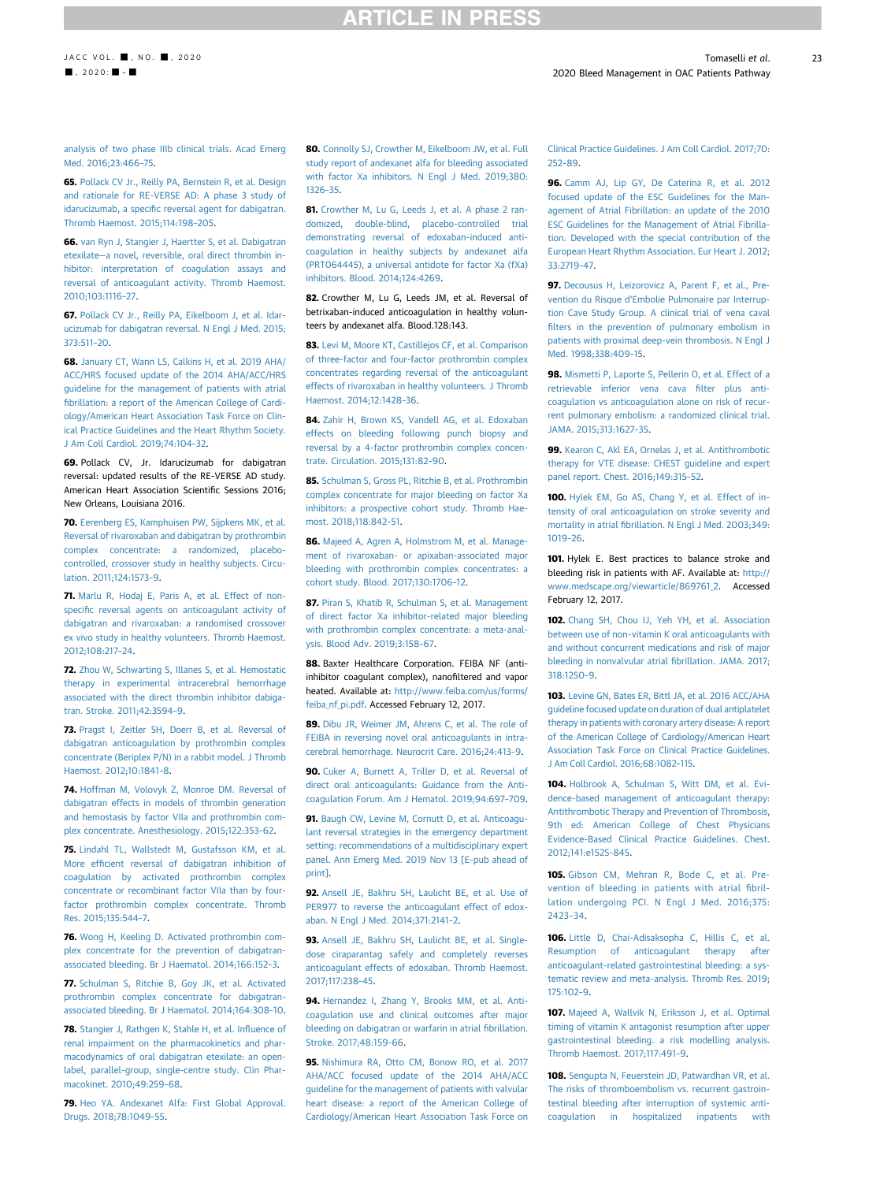### **RTICLE IN PRESS**

[analysis of two phase IIIb clinical trials. Acad Emerg](http://refhub.elsevier.com/S0735-1097(20)35154-8/sref64) [Med. 2016;23:466](http://refhub.elsevier.com/S0735-1097(20)35154-8/sref64)–75.

<span id="page-22-0"></span>65. [Pollack CV Jr., Reilly PA, Bernstein R, et al. Design](http://refhub.elsevier.com/S0735-1097(20)35154-8/sref65) [and rationale for RE-VERSE AD: A phase 3 study of](http://refhub.elsevier.com/S0735-1097(20)35154-8/sref65) idarucizumab, a specifi[c reversal agent for dabigatran.](http://refhub.elsevier.com/S0735-1097(20)35154-8/sref65) [Thromb Haemost. 2015;114:198](http://refhub.elsevier.com/S0735-1097(20)35154-8/sref65)–205.

<span id="page-22-1"></span>66. [van Ryn J, Stangier J, Haertter S, et al. Dabigatran](http://refhub.elsevier.com/S0735-1097(20)35154-8/sref66) etexilate—[a novel, reversible, oral direct thrombin in](http://refhub.elsevier.com/S0735-1097(20)35154-8/sref66)[hibitor: interpretation of coagulation assays and](http://refhub.elsevier.com/S0735-1097(20)35154-8/sref66) [reversal of anticoagulant activity. Thromb Haemost.](http://refhub.elsevier.com/S0735-1097(20)35154-8/sref66) [2010;103:1116](http://refhub.elsevier.com/S0735-1097(20)35154-8/sref66)–27.

<span id="page-22-2"></span>67. [Pollack CV Jr., Reilly PA, Eikelboom J, et al. Idar](http://refhub.elsevier.com/S0735-1097(20)35154-8/sref67)[ucizumab for dabigatran reversal. N Engl J Med. 2015;](http://refhub.elsevier.com/S0735-1097(20)35154-8/sref67) [373:511](http://refhub.elsevier.com/S0735-1097(20)35154-8/sref67)–20.

<span id="page-22-3"></span>68. [January CT, Wann LS, Calkins H, et al. 2019 AHA/](http://refhub.elsevier.com/S0735-1097(20)35154-8/sref68) [ACC/HRS focused update of the 2014 AHA/ACC/HRS](http://refhub.elsevier.com/S0735-1097(20)35154-8/sref68) [guideline for the management of patients with atrial](http://refhub.elsevier.com/S0735-1097(20)35154-8/sref68) fi[brillation: a report of the American College of Cardi](http://refhub.elsevier.com/S0735-1097(20)35154-8/sref68)[ology/American Heart Association Task Force on Clin](http://refhub.elsevier.com/S0735-1097(20)35154-8/sref68)[ical Practice Guidelines and the Heart Rhythm Society.](http://refhub.elsevier.com/S0735-1097(20)35154-8/sref68) [J Am Coll Cardiol. 2019;74:104](http://refhub.elsevier.com/S0735-1097(20)35154-8/sref68)–32.

<span id="page-22-4"></span>69. Pollack CV, Jr. Idarucizumab for dabigatran reversal: updated results of the RE-VERSE AD study. American Heart Association Scientific Sessions 2016; New Orleans, Louisiana 2016.

<span id="page-22-5"></span>70. [Eerenberg ES, Kamphuisen PW, Sijpkens MK, et al.](http://refhub.elsevier.com/S0735-1097(20)35154-8/sref70) [Reversal of rivaroxaban and dabigatran by prothrombin](http://refhub.elsevier.com/S0735-1097(20)35154-8/sref70) [complex concentrate: a randomized, placebo](http://refhub.elsevier.com/S0735-1097(20)35154-8/sref70)[controlled, crossover study in healthy subjects. Circu](http://refhub.elsevier.com/S0735-1097(20)35154-8/sref70)[lation. 2011;124:1573](http://refhub.elsevier.com/S0735-1097(20)35154-8/sref70)–9.

71. [Marlu R, Hodaj E, Paris A, et al. Effect of non](http://refhub.elsevier.com/S0735-1097(20)35154-8/sref71)specifi[c reversal agents on anticoagulant activity of](http://refhub.elsevier.com/S0735-1097(20)35154-8/sref71) [dabigatran and rivaroxaban: a randomised crossover](http://refhub.elsevier.com/S0735-1097(20)35154-8/sref71) [ex vivo study in healthy volunteers. Thromb Haemost.](http://refhub.elsevier.com/S0735-1097(20)35154-8/sref71) [2012;108:217](http://refhub.elsevier.com/S0735-1097(20)35154-8/sref71)–24.

72. [Zhou W, Schwarting S, Illanes S, et al. Hemostatic](http://refhub.elsevier.com/S0735-1097(20)35154-8/sref72) [therapy in experimental intracerebral hemorrhage](http://refhub.elsevier.com/S0735-1097(20)35154-8/sref72) [associated with the direct thrombin inhibitor dabiga](http://refhub.elsevier.com/S0735-1097(20)35154-8/sref72)[tran. Stroke. 2011;42:3594](http://refhub.elsevier.com/S0735-1097(20)35154-8/sref72)–9.

73. [Pragst I, Zeitler SH, Doerr B, et al. Reversal of](http://refhub.elsevier.com/S0735-1097(20)35154-8/sref73) [dabigatran anticoagulation by prothrombin complex](http://refhub.elsevier.com/S0735-1097(20)35154-8/sref73) [concentrate \(Beriplex P/N\) in a rabbit model. J Thromb](http://refhub.elsevier.com/S0735-1097(20)35154-8/sref73) [Haemost. 2012;10:1841](http://refhub.elsevier.com/S0735-1097(20)35154-8/sref73)–8.

74. [Hoffman M, Volovyk Z, Monroe DM. Reversal of](http://refhub.elsevier.com/S0735-1097(20)35154-8/sref74) [dabigatran effects in models of thrombin generation](http://refhub.elsevier.com/S0735-1097(20)35154-8/sref74) [and hemostasis by factor VIIa and prothrombin com](http://refhub.elsevier.com/S0735-1097(20)35154-8/sref74)[plex concentrate. Anesthesiology. 2015;122:353](http://refhub.elsevier.com/S0735-1097(20)35154-8/sref74)–62.

75. [Lindahl TL, Wallstedt M, Gustafsson KM, et al.](http://refhub.elsevier.com/S0735-1097(20)35154-8/sref75) More effi[cient reversal of dabigatran inhibition of](http://refhub.elsevier.com/S0735-1097(20)35154-8/sref75) [coagulation by activated prothrombin complex](http://refhub.elsevier.com/S0735-1097(20)35154-8/sref75) [concentrate or recombinant factor VIIa than by four](http://refhub.elsevier.com/S0735-1097(20)35154-8/sref75)[factor prothrombin complex concentrate. Thromb](http://refhub.elsevier.com/S0735-1097(20)35154-8/sref75) [Res. 2015;135:544](http://refhub.elsevier.com/S0735-1097(20)35154-8/sref75)–7.

76. [Wong H, Keeling D. Activated prothrombin com](http://refhub.elsevier.com/S0735-1097(20)35154-8/sref76)[plex concentrate for the prevention of dabigatran](http://refhub.elsevier.com/S0735-1097(20)35154-8/sref76)[associated bleeding. Br J Haematol. 2014;166:152](http://refhub.elsevier.com/S0735-1097(20)35154-8/sref76)–3.

<span id="page-22-6"></span>77. [Schulman S, Ritchie B, Goy JK, et al. Activated](http://refhub.elsevier.com/S0735-1097(20)35154-8/sref77) [prothrombin complex concentrate for dabigatran](http://refhub.elsevier.com/S0735-1097(20)35154-8/sref77)[associated bleeding. Br J Haematol. 2014;164:308](http://refhub.elsevier.com/S0735-1097(20)35154-8/sref77)–10.

<span id="page-22-7"></span>78. [Stangier J, Rathgen K, Stahle H, et al. In](http://refhub.elsevier.com/S0735-1097(20)35154-8/sref78)fluence of [renal impairment on the pharmacokinetics and phar](http://refhub.elsevier.com/S0735-1097(20)35154-8/sref78)[macodynamics of oral dabigatran etexilate: an open](http://refhub.elsevier.com/S0735-1097(20)35154-8/sref78)[label, parallel-group, single-centre study. Clin Phar](http://refhub.elsevier.com/S0735-1097(20)35154-8/sref78)[macokinet. 2010;49:259](http://refhub.elsevier.com/S0735-1097(20)35154-8/sref78)–68.

<span id="page-22-8"></span>79. [Heo YA. Andexanet Alfa: First Global Approval.](http://refhub.elsevier.com/S0735-1097(20)35154-8/sref79) [Drugs. 2018;78:1049](http://refhub.elsevier.com/S0735-1097(20)35154-8/sref79)–55.

<span id="page-22-9"></span>80. [Connolly SJ, Crowther M, Eikelboom JW, et al. Full](http://refhub.elsevier.com/S0735-1097(20)35154-8/sref80) [study report of andexanet alfa for bleeding associated](http://refhub.elsevier.com/S0735-1097(20)35154-8/sref80) [with factor Xa inhibitors. N Engl J Med. 2019;380:](http://refhub.elsevier.com/S0735-1097(20)35154-8/sref80) [1326](http://refhub.elsevier.com/S0735-1097(20)35154-8/sref80)–35.

<span id="page-22-10"></span>81. [Crowther M, Lu G, Leeds J, et al. A phase 2 ran](http://refhub.elsevier.com/S0735-1097(20)35154-8/sref81)[domized, double-blind, placebo-controlled trial](http://refhub.elsevier.com/S0735-1097(20)35154-8/sref81) [demonstrating reversal of edoxaban-induced anti](http://refhub.elsevier.com/S0735-1097(20)35154-8/sref81)[coagulation in healthy subjects by andexanet alfa](http://refhub.elsevier.com/S0735-1097(20)35154-8/sref81) [\(PRT064445\), a universal antidote for factor Xa \(fXa\)](http://refhub.elsevier.com/S0735-1097(20)35154-8/sref81) [inhibitors. Blood. 2014;124:4269.](http://refhub.elsevier.com/S0735-1097(20)35154-8/sref81)

<span id="page-22-11"></span>82. Crowther M, Lu G, Leeds JM, et al. Reversal of betrixaban-induced anticoagulation in healthy volunteers by andexanet alfa. Blood.128:143.

<span id="page-22-12"></span>83. [Levi M, Moore KT, Castillejos CF, et al. Comparison](http://refhub.elsevier.com/S0735-1097(20)35154-8/sref83) [of three-factor and four-factor prothrombin complex](http://refhub.elsevier.com/S0735-1097(20)35154-8/sref83) [concentrates regarding reversal of the anticoagulant](http://refhub.elsevier.com/S0735-1097(20)35154-8/sref83) [effects of rivaroxaban in healthy volunteers. J Thromb](http://refhub.elsevier.com/S0735-1097(20)35154-8/sref83) [Haemost. 2014;12:1428](http://refhub.elsevier.com/S0735-1097(20)35154-8/sref83)–36.

<span id="page-22-13"></span>84. [Zahir H, Brown KS, Vandell AG, et al. Edoxaban](http://refhub.elsevier.com/S0735-1097(20)35154-8/sref84) [effects on bleeding following punch biopsy and](http://refhub.elsevier.com/S0735-1097(20)35154-8/sref84) [reversal by a 4-factor prothrombin complex concen](http://refhub.elsevier.com/S0735-1097(20)35154-8/sref84)[trate. Circulation. 2015;131:82](http://refhub.elsevier.com/S0735-1097(20)35154-8/sref84)–90.

<span id="page-22-14"></span>85. [Schulman S, Gross PL, Ritchie B, et al. Prothrombin](http://refhub.elsevier.com/S0735-1097(20)35154-8/sref85) [complex concentrate for major bleeding on factor Xa](http://refhub.elsevier.com/S0735-1097(20)35154-8/sref85) [inhibitors: a prospective cohort study. Thromb Hae](http://refhub.elsevier.com/S0735-1097(20)35154-8/sref85)[most. 2018;118:842](http://refhub.elsevier.com/S0735-1097(20)35154-8/sref85)–51.

<span id="page-22-15"></span>86. [Majeed A, Agren A, Holmstrom M, et al. Manage](http://refhub.elsevier.com/S0735-1097(20)35154-8/sref86)[ment of rivaroxaban- or apixaban-associated major](http://refhub.elsevier.com/S0735-1097(20)35154-8/sref86) [bleeding with prothrombin complex concentrates: a](http://refhub.elsevier.com/S0735-1097(20)35154-8/sref86) [cohort study. Blood. 2017;130:1706](http://refhub.elsevier.com/S0735-1097(20)35154-8/sref86)–12.

<span id="page-22-16"></span>87. [Piran S, Khatib R, Schulman S, et al. Management](http://refhub.elsevier.com/S0735-1097(20)35154-8/sref87) [of direct factor Xa inhibitor-related major bleeding](http://refhub.elsevier.com/S0735-1097(20)35154-8/sref87) [with prothrombin complex concentrate: a meta-anal](http://refhub.elsevier.com/S0735-1097(20)35154-8/sref87)[ysis. Blood Adv. 2019;3:158](http://refhub.elsevier.com/S0735-1097(20)35154-8/sref87)–67.

<span id="page-22-17"></span>88. Baxter Healthcare Corporation. FEIBA NF (antiinhibitor coagulant complex), nanofiltered and vapor heated. Available at: [http://www.feiba.com/us/forms/](http://www.feiba.com/us/forms/feiba_nf_pi.pdf) [feiba\\_nf\\_pi.pdf.](http://www.feiba.com/us/forms/feiba_nf_pi.pdf) Accessed February 12, 2017.

<span id="page-22-18"></span>89. [Dibu JR, Weimer JM, Ahrens C, et al. The role of](http://refhub.elsevier.com/S0735-1097(20)35154-8/sref89) [FEIBA in reversing novel oral anticoagulants in intra](http://refhub.elsevier.com/S0735-1097(20)35154-8/sref89)[cerebral hemorrhage. Neurocrit Care. 2016;24:413](http://refhub.elsevier.com/S0735-1097(20)35154-8/sref89)–9.

<span id="page-22-19"></span>90. [Cuker A, Burnett A, Triller D, et al. Reversal of](http://refhub.elsevier.com/S0735-1097(20)35154-8/sref90) [direct oral anticoagulants: Guidance from the Anti](http://refhub.elsevier.com/S0735-1097(20)35154-8/sref90)[coagulation Forum. Am J Hematol. 2019;94:697](http://refhub.elsevier.com/S0735-1097(20)35154-8/sref90)–709.

<span id="page-22-20"></span>91. [Baugh CW, Levine M, Cornutt D, et al. Anticoagu](http://refhub.elsevier.com/S0735-1097(20)35154-8/sref91)[lant reversal strategies in the emergency department](http://refhub.elsevier.com/S0735-1097(20)35154-8/sref91) [setting: recommendations of a multidisciplinary expert](http://refhub.elsevier.com/S0735-1097(20)35154-8/sref91) [panel. Ann Emerg Med. 2019 Nov 13 \[E-pub ahead of](http://refhub.elsevier.com/S0735-1097(20)35154-8/sref91) [print\]](http://refhub.elsevier.com/S0735-1097(20)35154-8/sref91).

<span id="page-22-21"></span>92. [Ansell JE, Bakhru SH, Laulicht BE, et al. Use of](http://refhub.elsevier.com/S0735-1097(20)35154-8/sref92) [PER977 to reverse the anticoagulant effect of edox](http://refhub.elsevier.com/S0735-1097(20)35154-8/sref92)[aban. N Engl J Med. 2014;371:2141](http://refhub.elsevier.com/S0735-1097(20)35154-8/sref92)–2.

<span id="page-22-22"></span>93. [Ansell JE, Bakhru SH, Laulicht BE, et al. Single](http://refhub.elsevier.com/S0735-1097(20)35154-8/sref93)[dose ciraparantag safely and completely reverses](http://refhub.elsevier.com/S0735-1097(20)35154-8/sref93) [anticoagulant effects of edoxaban. Thromb Haemost.](http://refhub.elsevier.com/S0735-1097(20)35154-8/sref93) [2017;117:238](http://refhub.elsevier.com/S0735-1097(20)35154-8/sref93)–45.

<span id="page-22-23"></span>94. [Hernandez I, Zhang Y, Brooks MM, et al. Anti](http://refhub.elsevier.com/S0735-1097(20)35154-8/sref94)[coagulation use and clinical outcomes after major](http://refhub.elsevier.com/S0735-1097(20)35154-8/sref94) [bleeding on dabigatran or warfarin in atrial](http://refhub.elsevier.com/S0735-1097(20)35154-8/sref94) fibrillation. [Stroke. 2017;48:159](http://refhub.elsevier.com/S0735-1097(20)35154-8/sref94)–66.

<span id="page-22-24"></span>95. [Nishimura RA, Otto CM, Bonow RO, et al. 2017](http://refhub.elsevier.com/S0735-1097(20)35154-8/sref95) [AHA/ACC focused update of the 2014 AHA/ACC](http://refhub.elsevier.com/S0735-1097(20)35154-8/sref95) [guideline for the management of patients with valvular](http://refhub.elsevier.com/S0735-1097(20)35154-8/sref95) [heart disease: a report of the American College of](http://refhub.elsevier.com/S0735-1097(20)35154-8/sref95) [Cardiology/American Heart Association Task Force on](http://refhub.elsevier.com/S0735-1097(20)35154-8/sref95)

[Clinical Practice Guidelines. J Am Coll Cardiol. 2017;70:](http://refhub.elsevier.com/S0735-1097(20)35154-8/sref95) [252](http://refhub.elsevier.com/S0735-1097(20)35154-8/sref95)–89.

<span id="page-22-30"></span>96. [Camm AJ, Lip GY, De Caterina R, et al. 2012](http://refhub.elsevier.com/S0735-1097(20)35154-8/sref96) [focused update of the ESC Guidelines for the Man](http://refhub.elsevier.com/S0735-1097(20)35154-8/sref96)[agement of Atrial Fibrillation: an update of the 2010](http://refhub.elsevier.com/S0735-1097(20)35154-8/sref96) [ESC Guidelines for the Management of Atrial Fibrilla](http://refhub.elsevier.com/S0735-1097(20)35154-8/sref96)[tion. Developed with the special contribution of the](http://refhub.elsevier.com/S0735-1097(20)35154-8/sref96) [European Heart Rhythm Association. Eur Heart J. 2012;](http://refhub.elsevier.com/S0735-1097(20)35154-8/sref96) [33:2719](http://refhub.elsevier.com/S0735-1097(20)35154-8/sref96)–47.

<span id="page-22-25"></span>97. [Decousus H, Leizorovicz A, Parent F, et al., Pre](http://refhub.elsevier.com/S0735-1097(20)35154-8/sref97)vention du Risque d'[Embolie Pulmonaire par Interrup](http://refhub.elsevier.com/S0735-1097(20)35154-8/sref97)[tion Cave Study Group. A clinical trial of vena caval](http://refhub.elsevier.com/S0735-1097(20)35154-8/sref97) fi[lters in the prevention of pulmonary embolism in](http://refhub.elsevier.com/S0735-1097(20)35154-8/sref97) [patients with proximal deep-vein thrombosis. N Engl J](http://refhub.elsevier.com/S0735-1097(20)35154-8/sref97) [Med. 1998;338:409](http://refhub.elsevier.com/S0735-1097(20)35154-8/sref97)–15.

<span id="page-22-26"></span>98. [Mismetti P, Laporte S, Pellerin O, et al. Effect of a](http://refhub.elsevier.com/S0735-1097(20)35154-8/sref98) [retrievable inferior vena cava](http://refhub.elsevier.com/S0735-1097(20)35154-8/sref98) filter plus anti[coagulation vs anticoagulation alone on risk of recur](http://refhub.elsevier.com/S0735-1097(20)35154-8/sref98)[rent pulmonary embolism: a randomized clinical trial.](http://refhub.elsevier.com/S0735-1097(20)35154-8/sref98) [JAMA. 2015;313:1627](http://refhub.elsevier.com/S0735-1097(20)35154-8/sref98)–35.

<span id="page-22-27"></span>99. [Kearon C, Akl EA, Ornelas J, et al. Antithrombotic](http://refhub.elsevier.com/S0735-1097(20)35154-8/sref99) [therapy for VTE disease: CHEST guideline and expert](http://refhub.elsevier.com/S0735-1097(20)35154-8/sref99) [panel report. Chest. 2016;149:315](http://refhub.elsevier.com/S0735-1097(20)35154-8/sref99)–52.

<span id="page-22-28"></span>100. [Hylek EM, Go AS, Chang Y, et al. Effect of in](http://refhub.elsevier.com/S0735-1097(20)35154-8/sref100)[tensity of oral anticoagulation on stroke severity and](http://refhub.elsevier.com/S0735-1097(20)35154-8/sref100) mortality in atrial fi[brillation. N Engl J Med. 2003;349:](http://refhub.elsevier.com/S0735-1097(20)35154-8/sref100) [1019](http://refhub.elsevier.com/S0735-1097(20)35154-8/sref100)–26.

<span id="page-22-29"></span>101. Hylek E. Best practices to balance stroke and bleeding risk in patients with AF. Available at: [http://](http://www.medscape.org/viewarticle/869761_2) [www.medscape.org/viewarticle/869761\\_2](http://www.medscape.org/viewarticle/869761_2). Accessed February 12, 2017.

<span id="page-22-31"></span>102. [Chang SH, Chou IJ, Yeh YH, et al. Association](http://refhub.elsevier.com/S0735-1097(20)35154-8/sref102) [between use of non-vitamin K oral anticoagulants with](http://refhub.elsevier.com/S0735-1097(20)35154-8/sref102) [and without concurrent medications and risk of major](http://refhub.elsevier.com/S0735-1097(20)35154-8/sref102) [bleeding in nonvalvular atrial](http://refhub.elsevier.com/S0735-1097(20)35154-8/sref102) fibrillation. JAMA. 2017; [318:1250](http://refhub.elsevier.com/S0735-1097(20)35154-8/sref102)–9.

<span id="page-22-32"></span>103. [Levine GN, Bates ER, Bittl JA, et al. 2016 ACC/AHA](http://refhub.elsevier.com/S0735-1097(20)35154-8/sref103) [guideline focused update on duration of dual antiplatelet](http://refhub.elsevier.com/S0735-1097(20)35154-8/sref103) [therapy in patients with coronary artery disease: A report](http://refhub.elsevier.com/S0735-1097(20)35154-8/sref103) [of the American College of Cardiology/American Heart](http://refhub.elsevier.com/S0735-1097(20)35154-8/sref103) [Association Task Force on Clinical Practice Guidelines.](http://refhub.elsevier.com/S0735-1097(20)35154-8/sref103) [J Am Coll Cardiol. 2016;68:1082](http://refhub.elsevier.com/S0735-1097(20)35154-8/sref103)–115.

104. [Holbrook A, Schulman S, Witt DM, et al. Evi](http://refhub.elsevier.com/S0735-1097(20)35154-8/sref104)[dence-based management of anticoagulant therapy:](http://refhub.elsevier.com/S0735-1097(20)35154-8/sref104) [Antithrombotic Therapy and Prevention of Thrombosis,](http://refhub.elsevier.com/S0735-1097(20)35154-8/sref104) [9th ed: American College of Chest Physicians](http://refhub.elsevier.com/S0735-1097(20)35154-8/sref104) [Evidence-Based Clinical Practice Guidelines. Chest.](http://refhub.elsevier.com/S0735-1097(20)35154-8/sref104) [2012;141:e152S](http://refhub.elsevier.com/S0735-1097(20)35154-8/sref104)–84S.

105. [Gibson CM, Mehran R, Bode C, et al. Pre](http://refhub.elsevier.com/S0735-1097(20)35154-8/sref105)[vention of bleeding in patients with atrial](http://refhub.elsevier.com/S0735-1097(20)35154-8/sref105) fibril[lation undergoing PCI. N Engl J Med. 2016;375:](http://refhub.elsevier.com/S0735-1097(20)35154-8/sref105) [2423](http://refhub.elsevier.com/S0735-1097(20)35154-8/sref105)–34.

<span id="page-22-33"></span>106. [Little D, Chai-Adisaksopha C, Hillis C, et al.](http://refhub.elsevier.com/S0735-1097(20)35154-8/sref106) [Resumption of anticoagulant therapy after](http://refhub.elsevier.com/S0735-1097(20)35154-8/sref106) [anticoagulant-related gastrointestinal bleeding: a sys](http://refhub.elsevier.com/S0735-1097(20)35154-8/sref106)[tematic review and meta-analysis. Thromb Res. 2019;](http://refhub.elsevier.com/S0735-1097(20)35154-8/sref106) [175:102](http://refhub.elsevier.com/S0735-1097(20)35154-8/sref106)–9.

<span id="page-22-34"></span>107. [Majeed A, Wallvik N, Eriksson J, et al. Optimal](http://refhub.elsevier.com/S0735-1097(20)35154-8/sref107) [timing of vitamin K antagonist resumption after upper](http://refhub.elsevier.com/S0735-1097(20)35154-8/sref107) [gastrointestinal bleeding. a risk modelling analysis.](http://refhub.elsevier.com/S0735-1097(20)35154-8/sref107) [Thromb Haemost. 2017;117:491](http://refhub.elsevier.com/S0735-1097(20)35154-8/sref107)–9.

<span id="page-22-35"></span>108. [Sengupta N, Feuerstein JD, Patwardhan VR, et al.](http://refhub.elsevier.com/S0735-1097(20)35154-8/sref108) [The risks of thromboembolism vs. recurrent gastroin](http://refhub.elsevier.com/S0735-1097(20)35154-8/sref108)[testinal bleeding after interruption of systemic anti](http://refhub.elsevier.com/S0735-1097(20)35154-8/sref108)[coagulation in hospitalized inpatients with](http://refhub.elsevier.com/S0735-1097(20)35154-8/sref108)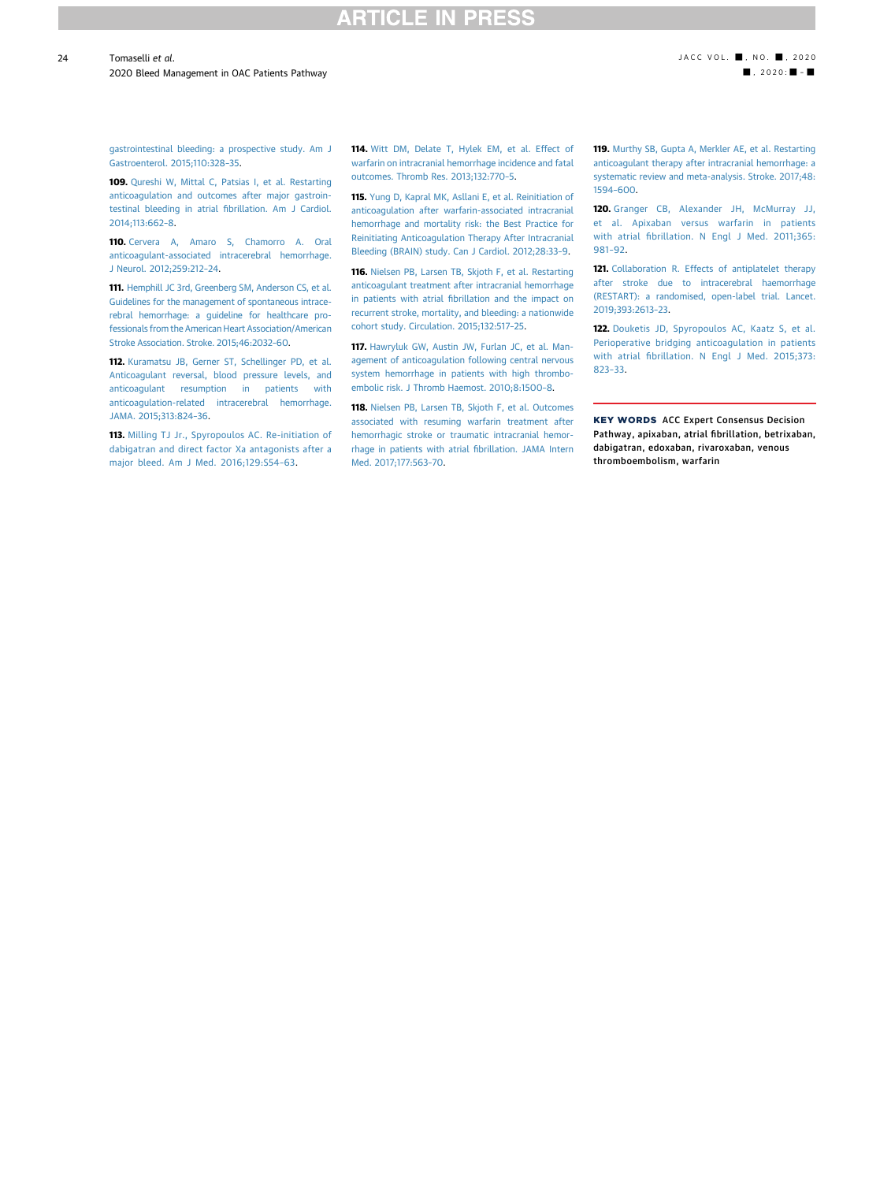### CI F

24

2020 Bleed Management in OAC Patients Pathway - , 2020 - , 2020 - , 2020 - , 2020 - , 2020 - , 2020 - , 2020 - , 2020 - , 2020 - , 2020 - , 2020 - , 2020 - , 2020 - , 2020 - , 2020 - , 2020 - , 2020 - , 2020 - , 2020 - , 2

[gastrointestinal bleeding: a prospective study. Am J](http://refhub.elsevier.com/S0735-1097(20)35154-8/sref108) [Gastroenterol. 2015;110:328](http://refhub.elsevier.com/S0735-1097(20)35154-8/sref108)–35.

<span id="page-23-0"></span>109. [Qureshi W, Mittal C, Patsias I, et al. Restarting](http://refhub.elsevier.com/S0735-1097(20)35154-8/sref109) [anticoagulation and outcomes after major gastroin](http://refhub.elsevier.com/S0735-1097(20)35154-8/sref109)[testinal bleeding in atrial](http://refhub.elsevier.com/S0735-1097(20)35154-8/sref109) fibrillation. Am J Cardiol. [2014;113:662](http://refhub.elsevier.com/S0735-1097(20)35154-8/sref109)–8.

<span id="page-23-1"></span>110. [Cervera A, Amaro S, Chamorro A. Oral](http://refhub.elsevier.com/S0735-1097(20)35154-8/sref110) [anticoagulant-associated intracerebral hemorrhage.](http://refhub.elsevier.com/S0735-1097(20)35154-8/sref110) [J Neurol. 2012;259:212](http://refhub.elsevier.com/S0735-1097(20)35154-8/sref110)–24.

<span id="page-23-2"></span>111. [Hemphill JC 3rd, Greenberg SM, Anderson CS, et al.](http://refhub.elsevier.com/S0735-1097(20)35154-8/sref111) [Guidelines for the management of spontaneous intrace](http://refhub.elsevier.com/S0735-1097(20)35154-8/sref111)[rebral hemorrhage: a guideline for healthcare pro](http://refhub.elsevier.com/S0735-1097(20)35154-8/sref111)[fessionals from the American Heart Association/American](http://refhub.elsevier.com/S0735-1097(20)35154-8/sref111) [Stroke Association. Stroke. 2015;46:2032](http://refhub.elsevier.com/S0735-1097(20)35154-8/sref111)–60.

<span id="page-23-3"></span>112. [Kuramatsu JB, Gerner ST, Schellinger PD, et al.](http://refhub.elsevier.com/S0735-1097(20)35154-8/sref112) [Anticoagulant reversal, blood pressure levels, and](http://refhub.elsevier.com/S0735-1097(20)35154-8/sref112) [anticoagulant resumption in patients with](http://refhub.elsevier.com/S0735-1097(20)35154-8/sref112) [anticoagulation-related intracerebral hemorrhage.](http://refhub.elsevier.com/S0735-1097(20)35154-8/sref112) [JAMA. 2015;313:824](http://refhub.elsevier.com/S0735-1097(20)35154-8/sref112)–36.

113. [Milling TJ Jr., Spyropoulos AC. Re-initiation of](http://refhub.elsevier.com/S0735-1097(20)35154-8/sref113) [dabigatran and direct factor Xa antagonists after a](http://refhub.elsevier.com/S0735-1097(20)35154-8/sref113) [major bleed. Am J Med. 2016;129:S54](http://refhub.elsevier.com/S0735-1097(20)35154-8/sref113)–63.

114. [Witt DM, Delate T, Hylek EM, et al. Effect of](http://refhub.elsevier.com/S0735-1097(20)35154-8/sref114) [warfarin on intracranial hemorrhage incidence and fatal](http://refhub.elsevier.com/S0735-1097(20)35154-8/sref114) [outcomes. Thromb Res. 2013;132:770](http://refhub.elsevier.com/S0735-1097(20)35154-8/sref114)–5.

115. [Yung D, Kapral MK, Asllani E, et al. Reinitiation of](http://refhub.elsevier.com/S0735-1097(20)35154-8/sref115) [anticoagulation after warfarin-associated intracranial](http://refhub.elsevier.com/S0735-1097(20)35154-8/sref115) [hemorrhage and mortality risk: the Best Practice for](http://refhub.elsevier.com/S0735-1097(20)35154-8/sref115) [Reinitiating Anticoagulation Therapy After Intracranial](http://refhub.elsevier.com/S0735-1097(20)35154-8/sref115) [Bleeding \(BRAIN\) study. Can J Cardiol. 2012;28:33](http://refhub.elsevier.com/S0735-1097(20)35154-8/sref115)–9.

116. [Nielsen PB, Larsen TB, Skjoth F, et al. Restarting](http://refhub.elsevier.com/S0735-1097(20)35154-8/sref116) [anticoagulant treatment after intracranial hemorrhage](http://refhub.elsevier.com/S0735-1097(20)35154-8/sref116) in patients with atrial fi[brillation and the impact on](http://refhub.elsevier.com/S0735-1097(20)35154-8/sref116) [recurrent stroke, mortality, and bleeding: a nationwide](http://refhub.elsevier.com/S0735-1097(20)35154-8/sref116) [cohort study. Circulation. 2015;132:517](http://refhub.elsevier.com/S0735-1097(20)35154-8/sref116)–25.

117. [Hawryluk GW, Austin JW, Furlan JC, et al. Man](http://refhub.elsevier.com/S0735-1097(20)35154-8/sref117)[agement of anticoagulation following central nervous](http://refhub.elsevier.com/S0735-1097(20)35154-8/sref117) [system hemorrhage in patients with high thrombo](http://refhub.elsevier.com/S0735-1097(20)35154-8/sref117)[embolic risk. J Thromb Haemost. 2010;8:1500](http://refhub.elsevier.com/S0735-1097(20)35154-8/sref117)–8.

118. [Nielsen PB, Larsen TB, Skjoth F, et al. Outcomes](http://refhub.elsevier.com/S0735-1097(20)35154-8/sref118) [associated with resuming warfarin treatment after](http://refhub.elsevier.com/S0735-1097(20)35154-8/sref118) [hemorrhagic stroke or traumatic intracranial hemor](http://refhub.elsevier.com/S0735-1097(20)35154-8/sref118)[rhage in patients with atrial](http://refhub.elsevier.com/S0735-1097(20)35154-8/sref118) fibrillation. JAMA Intern [Med. 2017;177:563](http://refhub.elsevier.com/S0735-1097(20)35154-8/sref118)–70.

119. [Murthy SB, Gupta A, Merkler AE, et al. Restarting](http://refhub.elsevier.com/S0735-1097(20)35154-8/sref119) [anticoagulant therapy after intracranial hemorrhage: a](http://refhub.elsevier.com/S0735-1097(20)35154-8/sref119) [systematic review and meta-analysis. Stroke. 2017;48:](http://refhub.elsevier.com/S0735-1097(20)35154-8/sref119) [1594](http://refhub.elsevier.com/S0735-1097(20)35154-8/sref119)–600.

<span id="page-23-4"></span>120. [Granger CB, Alexander JH, McMurray JJ,](http://refhub.elsevier.com/S0735-1097(20)35154-8/sref120) [et al. Apixaban versus warfarin in patients](http://refhub.elsevier.com/S0735-1097(20)35154-8/sref120) with atrial fi[brillation. N Engl J Med. 2011;365:](http://refhub.elsevier.com/S0735-1097(20)35154-8/sref120) [981](http://refhub.elsevier.com/S0735-1097(20)35154-8/sref120)–92.

<span id="page-23-5"></span>121. [Collaboration R. Effects of antiplatelet therapy](http://refhub.elsevier.com/S0735-1097(20)35154-8/sref121) [after stroke due to intracerebral haemorrhage](http://refhub.elsevier.com/S0735-1097(20)35154-8/sref121) [\(RESTART\): a randomised, open-label trial. Lancet.](http://refhub.elsevier.com/S0735-1097(20)35154-8/sref121) [2019;393:2613](http://refhub.elsevier.com/S0735-1097(20)35154-8/sref121)–23.

<span id="page-23-6"></span>122. [Douketis JD, Spyropoulos AC, Kaatz S, et al.](http://refhub.elsevier.com/S0735-1097(20)35154-8/sref122) [Perioperative bridging anticoagulation in patients](http://refhub.elsevier.com/S0735-1097(20)35154-8/sref122) with atrial fi[brillation. N Engl J Med. 2015;373:](http://refhub.elsevier.com/S0735-1097(20)35154-8/sref122) [823](http://refhub.elsevier.com/S0735-1097(20)35154-8/sref122)–33.

KEY WORDS ACC Expert Consensus Decision Pathway, apixaban, atrial fibrillation, betrixaban, dabigatran, edoxaban, rivaroxaban, venous thromboembolism, warfarin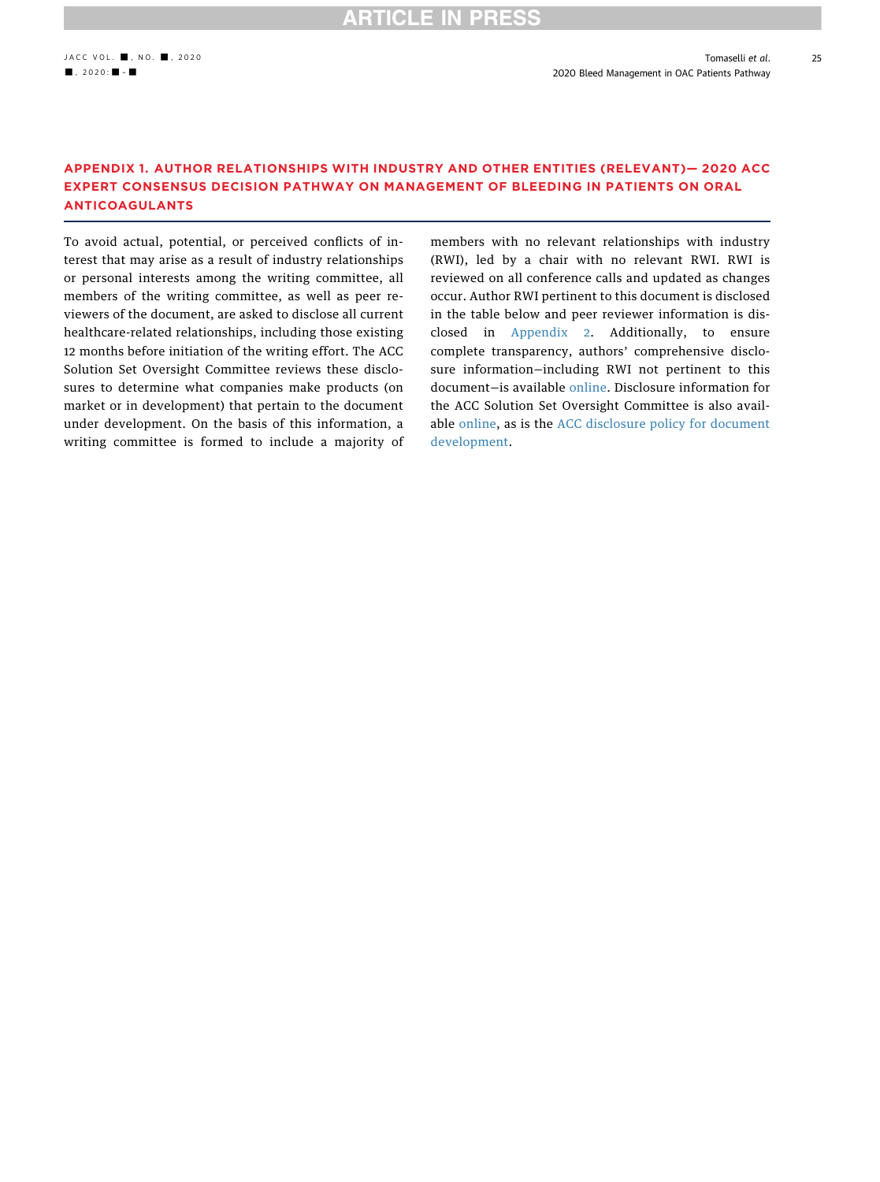25

### <span id="page-24-0"></span>APPENDIX 1. AUTHOR RELATIONSHIPS WITH INDUSTRY AND OTHER ENTITIES (RELEVANT)— 2020 ACC EXPERT CONSENSUS DECISION PATHWAY ON MANAGEMENT OF BLEEDING IN PATIENTS ON ORAL ANTICOAGULANTS

To avoid actual, potential, or perceived conflicts of interest that may arise as a result of industry relationships or personal interests among the writing committee, all members of the writing committee, as well as peer reviewers of the document, are asked to disclose all current healthcare-related relationships, including those existing 12 months before initiation of the writing effort. The ACC Solution Set Oversight Committee reviews these disclosures to determine what companies make products (on market or in development) that pertain to the document under development. On the basis of this information, a writing committee is formed to include a majority of members with no relevant relationships with industry (RWI), led by a chair with no relevant RWI. RWI is reviewed on all conference calls and updated as changes occur. Author RWI pertinent to this document is disclosed in the table below and peer reviewer information is disclosed in Appendix 2. Additionally, to ensure complete transparency, authors' comprehensive disclosure information—including RWI not pertinent to this document—is available [online.](http://jaccjacc.acc.org/Clinical_Document/FINAL_COMPREHENSIVE_AU_RWI_TABLE_BLEED_PATHWAY_(for_publication).pdf) Disclosure information for the ACC Solution Set Oversight Committee is also available [online](https://www.acc.org/guidelines/about-guidelines-and-clinical-documents/guidelines-and-documents-task-forces), as is the [ACC disclosure policy for document](https://www.acc.org/guidelines/about-guidelines-and-clinical-documents/relationships-with-industry-policy) [development](https://www.acc.org/guidelines/about-guidelines-and-clinical-documents/relationships-with-industry-policy).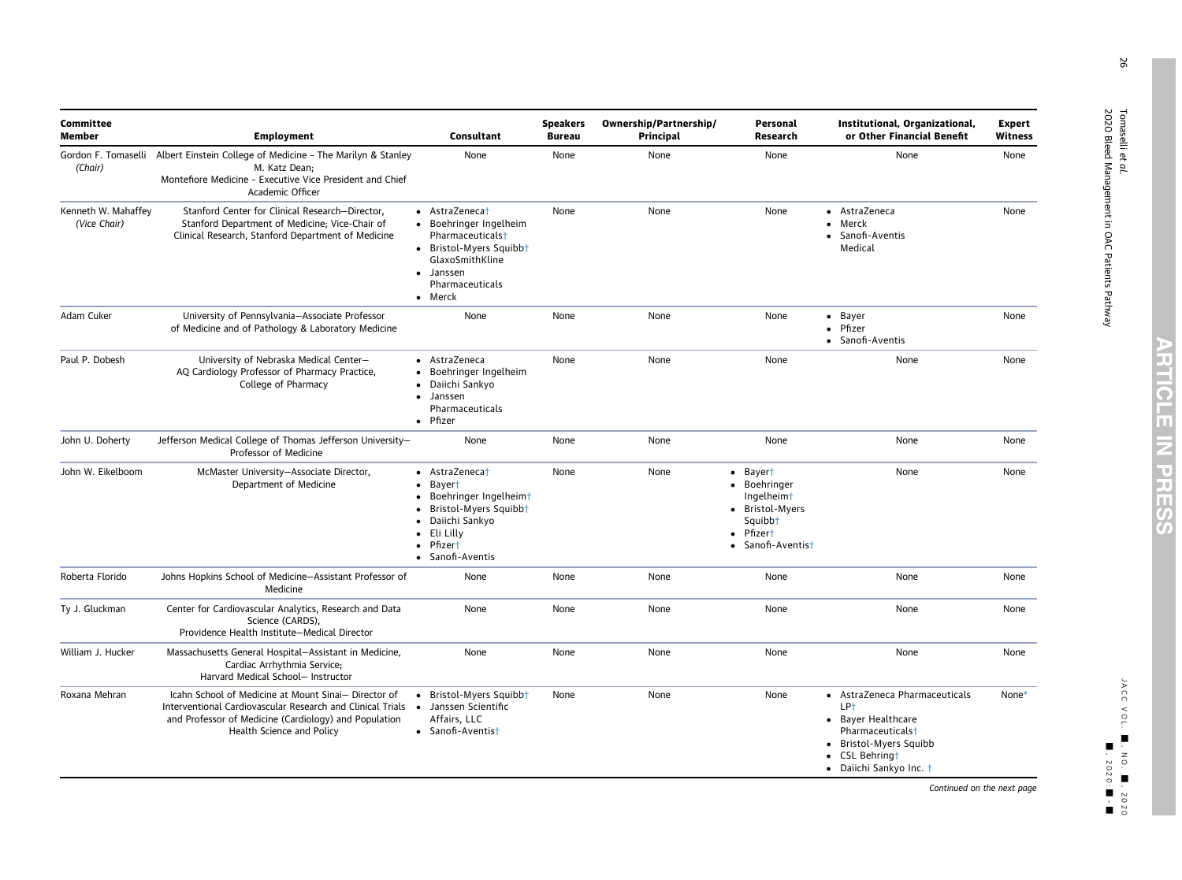| <b>Committee</b><br><b>Member</b>   | <b>Employment</b>                                                                                                                                                                                          | Consultant                                                                                                                                                                                                                                             | <b>Speakers</b><br><b>Bureau</b> | Ownership/Partnership/<br>Principal | Personal<br>Research                                                                                                           | Institutional, Organizational,<br>or Other Financial Benefit                                                                                                                           | <b>Expert</b><br>Witness |
|-------------------------------------|------------------------------------------------------------------------------------------------------------------------------------------------------------------------------------------------------------|--------------------------------------------------------------------------------------------------------------------------------------------------------------------------------------------------------------------------------------------------------|----------------------------------|-------------------------------------|--------------------------------------------------------------------------------------------------------------------------------|----------------------------------------------------------------------------------------------------------------------------------------------------------------------------------------|--------------------------|
| Gordon F. Tomaselli<br>(Chair)      | Albert Einstein College of Medicine - The Marilyn & Stanley<br>M. Katz Dean;<br>Montefiore Medicine - Executive Vice President and Chief<br>Academic Officer                                               | None                                                                                                                                                                                                                                                   | None                             | None                                | None                                                                                                                           | None                                                                                                                                                                                   | None                     |
| Kenneth W. Mahaffey<br>(Vice Chair) | Stanford Center for Clinical Research-Director,<br>Stanford Department of Medicine; Vice-Chair of<br>Clinical Research, Stanford Department of Medicine                                                    | • AstraZenecat<br>Boehringer Ingelheim<br>Pharmaceuticals <sup>+</sup><br>• Bristol-Myers Squibbt<br>GlaxoSmithKline<br>Janssen<br>$\bullet$<br>Pharmaceuticals<br>Merck                                                                               | None                             | None                                | None                                                                                                                           | • AstraZeneca<br>Merck<br>Sanofi-Aventis<br>$\bullet$<br>Medical                                                                                                                       | None                     |
| Adam Cuker                          | University of Pennsylvania-Associate Professor<br>of Medicine and of Pathology & Laboratory Medicine                                                                                                       | None                                                                                                                                                                                                                                                   | None                             | None                                | None                                                                                                                           | • Bayer<br>• Pfizer<br>• Sanofi-Aventis                                                                                                                                                | None                     |
| Paul P. Dobesh                      | University of Nebraska Medical Center-<br>AQ Cardiology Professor of Pharmacy Practice,<br>College of Pharmacy                                                                                             | AstraZeneca<br>$\bullet$<br>Boehringer Ingelheim<br>$\bullet$<br>Daiichi Sankyo<br>$\bullet$<br>Janssen<br>Pharmaceuticals<br>• Pfizer                                                                                                                 | None                             | None                                | None                                                                                                                           | None                                                                                                                                                                                   | None                     |
| John U. Doherty                     | Jefferson Medical College of Thomas Jefferson University-<br>Professor of Medicine                                                                                                                         | None                                                                                                                                                                                                                                                   | None                             | None                                | None                                                                                                                           | None                                                                                                                                                                                   | None                     |
| John W. Eikelboom                   | McMaster University-Associate Director,<br>Department of Medicine                                                                                                                                          | AstraZeneca <sup>+</sup><br>$\bullet$<br>Bayer <sup>+</sup><br>$\bullet$<br>Boehringer Ingelheimt<br>$\bullet$<br>Bristol-Myers Squibbt<br>$\bullet$<br>Daiichi Sankyo<br>Eli Lilly<br>$\bullet$<br>Pfizer <sup>+</sup><br>$\bullet$<br>Sanofi-Aventis | None                             | None                                | • Bayert<br>• Boehringer<br>Ingelheim <sup>+</sup><br>• Bristol-Myers<br>Squibb <sup>+</sup><br>• Pfizert<br>• Sanofi-Aventist | None                                                                                                                                                                                   | None                     |
| Roberta Florido                     | Johns Hopkins School of Medicine-Assistant Professor of<br>Medicine                                                                                                                                        | None                                                                                                                                                                                                                                                   | None                             | None                                | None                                                                                                                           | None                                                                                                                                                                                   | None                     |
| Ty J. Gluckman                      | Center for Cardiovascular Analytics, Research and Data<br>Science (CARDS),<br>Providence Health Institute-Medical Director                                                                                 | None                                                                                                                                                                                                                                                   | None                             | None                                | None                                                                                                                           | None                                                                                                                                                                                   | None                     |
| William J. Hucker                   | Massachusetts General Hospital-Assistant in Medicine,<br>Cardiac Arrhythmia Service;<br>Harvard Medical School- Instructor                                                                                 | None                                                                                                                                                                                                                                                   | None                             | None                                | None                                                                                                                           | None                                                                                                                                                                                   | None                     |
| Roxana Mehran                       | Icahn School of Medicine at Mount Sinai- Director of<br>Interventional Cardiovascular Research and Clinical Trials •<br>and Professor of Medicine (Cardiology) and Population<br>Health Science and Policy | • Bristol-Myers Squibbt<br>Janssen Scientific<br>Affairs, LLC<br>• Sanofi-Aventist                                                                                                                                                                     | None                             | None                                | None                                                                                                                           | • AstraZeneca Pharmaceuticals<br>LP <sup>+</sup><br>• Bayer Healthcare<br>Pharmaceuticals <sup>+</sup><br>Bristol-Myers Squibb<br>$\bullet$<br>CSL Behringt<br>• Daiichi Sankyo Inc. † | None*                    |

Tomaselli

26

et al .

2020 Bleed Management in OAC Patients Pathway

Continued on the next page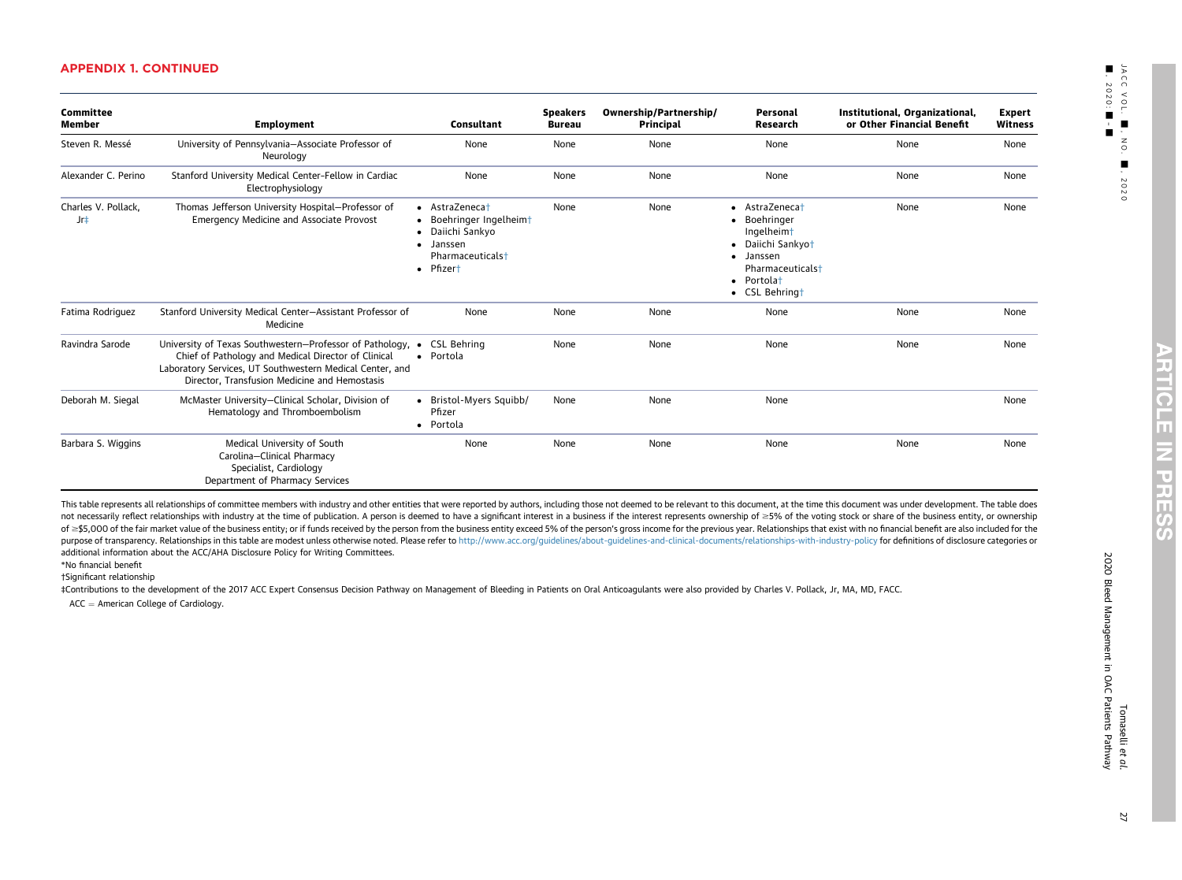| <b>Committee</b><br><b>Member</b> | <b>Employment</b>                                                                                                                                                                                                                          | <b>Consultant</b>                                                                                                                             | <b>Speakers</b><br><b>Bureau</b> | Ownership/Partnership/<br>Principal | Personal<br>Research                                                                                                                           | Institutional, Organizational,<br>or Other Financial Benefit | <b>Expert</b><br><b>Witness</b> |
|-----------------------------------|--------------------------------------------------------------------------------------------------------------------------------------------------------------------------------------------------------------------------------------------|-----------------------------------------------------------------------------------------------------------------------------------------------|----------------------------------|-------------------------------------|------------------------------------------------------------------------------------------------------------------------------------------------|--------------------------------------------------------------|---------------------------------|
| Steven R. Messé                   | University of Pennsylvania-Associate Professor of<br>Neurology                                                                                                                                                                             | None                                                                                                                                          | None                             | None                                | None                                                                                                                                           | None                                                         | None                            |
| Alexander C. Perino               | Stanford University Medical Center-Fellow in Cardiac<br>Electrophysiology                                                                                                                                                                  | None                                                                                                                                          | None                             | None                                | None                                                                                                                                           | None                                                         | None                            |
| Charles V. Pollack,<br>Jr‡        | Thomas Jefferson University Hospital-Professor of<br>Emergency Medicine and Associate Provost                                                                                                                                              | • AstraZenecat<br>• Boehringer Ingelheimt<br>Daiichi Sankyo<br>$\bullet$<br>· Janssen<br>Pharmaceuticals <sup>+</sup><br>Pfizer†<br>$\bullet$ | None                             | None                                | • AstraZenecat<br>• Boehringer<br>Ingelheimt<br>• Daiichi Sankyot<br>· Janssen<br>Pharmaceuticals <sup>+</sup><br>• Portolat<br>• CSL Behringt | None                                                         | None                            |
| Fatima Rodriguez                  | Stanford University Medical Center-Assistant Professor of<br>Medicine                                                                                                                                                                      | None                                                                                                                                          | None                             | None                                | None                                                                                                                                           | None                                                         | None                            |
| Ravindra Sarode                   | University of Texas Southwestern-Professor of Pathology, • CSL Behring<br>Chief of Pathology and Medical Director of Clinical<br>Laboratory Services, UT Southwestern Medical Center, and<br>Director, Transfusion Medicine and Hemostasis | Portola<br>$\bullet$                                                                                                                          | None                             | None                                | None                                                                                                                                           | None                                                         | None                            |
| Deborah M. Siegal                 | McMaster University-Clinical Scholar, Division of<br>Hematology and Thromboembolism                                                                                                                                                        | • Bristol-Myers Squibb/<br>Pfizer<br>• Portola                                                                                                | None                             | None                                | None                                                                                                                                           |                                                              | None                            |
| Barbara S. Wiggins                | Medical University of South<br>Carolina-Clinical Pharmacy<br>Specialist, Cardiology<br>Department of Pharmacy Services                                                                                                                     | None                                                                                                                                          | None                             | None                                | None                                                                                                                                           | None                                                         | None                            |

This table represents all relationships of committee members with industry and other entities that were reported by authors, including those not deemed to be relevant to this document, at the time this document was under d not necessarily reflect relationships with industry at the time of publication. A person is deemed to have a significant interest in a business if the interest represents ownership of ≥5% of the voting stock or share of t of ≥\$5,000 of the fair market value of the business entity; or if funds received by the person from the business entity exceed 5% of the person's gross income for the pervious year. Relationships that exist with no financ purpose of transparency. Relationships in this table are modest unless otherwise noted. Please refer to <http://www.acc.org/guidelines/about-guidelines-and-clinical-documents/relationships-with-industry-policy> for definitio additional information about the ACC/AHA Disclosure Policy for Writing Committees.

\*No financial benefit

†Significant relationship

‡Contributions to the development of the 2017 ACC Expert Consensus Decision Pathway on Management of Bleeding in Patients on Oral Anticoagulants were also provided by Charles V. Pollack, Jr, MA, MD, FACC.

<span id="page-26-2"></span><span id="page-26-1"></span><span id="page-26-0"></span>ACC  $=$  American College of Cardiology.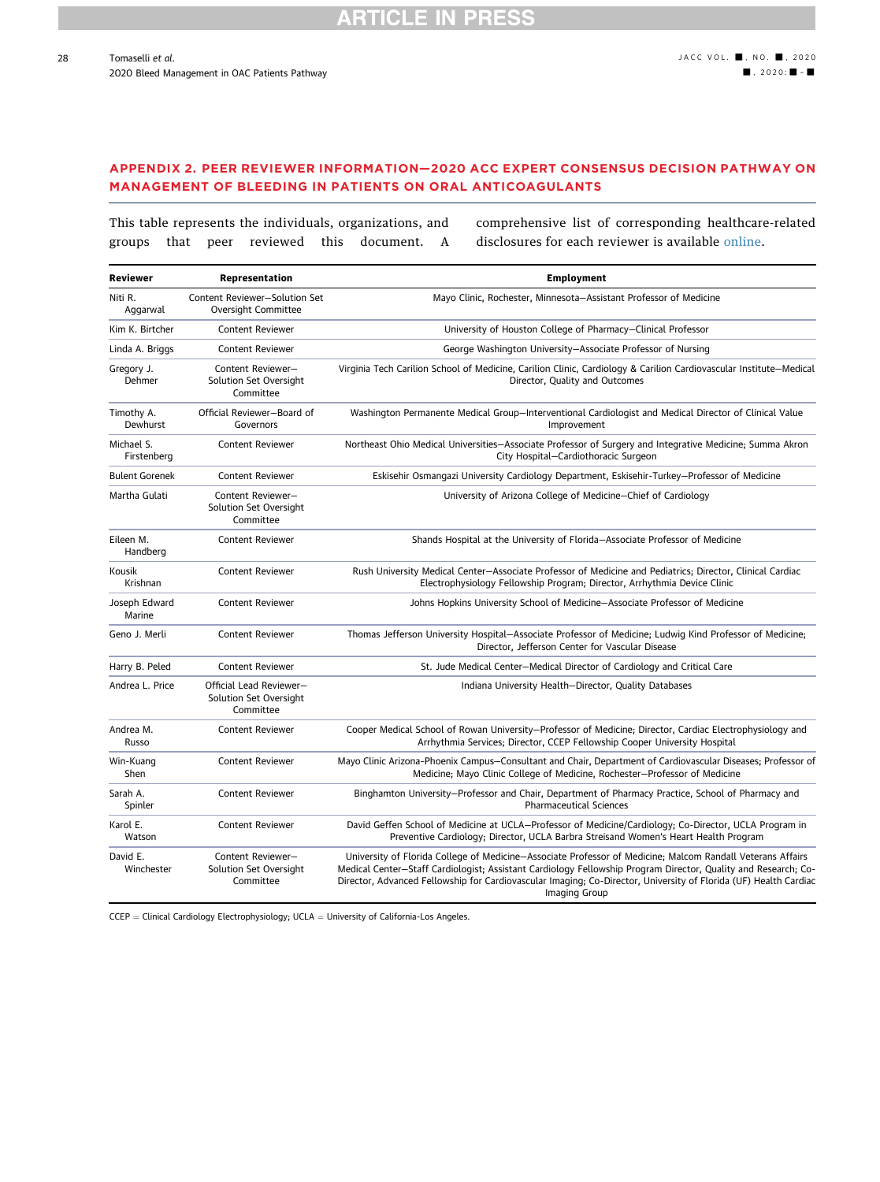### APPENDIX 2. PEER REVIEWER INFORMATION—2020 ACC EXPERT CONSENSUS DECISION PATHWAY ON MANAGEMENT OF BLEEDING IN PATIENTS ON ORAL ANTICOAGULANTS

This table represents the individuals, organizations, and groups that peer reviewed this document. A comprehensive list of corresponding healthcare-related disclosures for each reviewer is available [online.](http://jaccjacc.acc.org/Clinical_Document/Peer_Reviewer_Comprehensive_Disclosure_Table_2020_Bleed_Update.pdf)

| Reviewer                  | Representation                                                 | <b>Employment</b>                                                                                                                                                                                                                                                                                                                                                 |
|---------------------------|----------------------------------------------------------------|-------------------------------------------------------------------------------------------------------------------------------------------------------------------------------------------------------------------------------------------------------------------------------------------------------------------------------------------------------------------|
| Niti R.<br>Aggarwal       | Content Reviewer-Solution Set<br>Oversight Committee           | Mayo Clinic, Rochester, Minnesota-Assistant Professor of Medicine                                                                                                                                                                                                                                                                                                 |
| Kim K. Birtcher           | Content Reviewer                                               | University of Houston College of Pharmacy-Clinical Professor                                                                                                                                                                                                                                                                                                      |
| Linda A. Briggs           | Content Reviewer                                               | George Washington University-Associate Professor of Nursing                                                                                                                                                                                                                                                                                                       |
| Gregory J.<br>Dehmer      | Content Reviewer-<br>Solution Set Oversight<br>Committee       | Virginia Tech Carilion School of Medicine, Carilion Clinic, Cardiology & Carilion Cardiovascular Institute-Medical<br>Director, Quality and Outcomes                                                                                                                                                                                                              |
| Timothy A.<br>Dewhurst    | Official Reviewer-Board of<br>Governors                        | Washington Permanente Medical Group-Interventional Cardiologist and Medical Director of Clinical Value<br>Improvement                                                                                                                                                                                                                                             |
| Michael S.<br>Firstenberg | <b>Content Reviewer</b>                                        | Northeast Ohio Medical Universities-Associate Professor of Surgery and Integrative Medicine; Summa Akron<br>City Hospital-Cardiothoracic Surgeon                                                                                                                                                                                                                  |
| <b>Bulent Gorenek</b>     | <b>Content Reviewer</b>                                        | Eskisehir Osmangazi University Cardiology Department, Eskisehir-Turkey-Professor of Medicine                                                                                                                                                                                                                                                                      |
| Martha Gulati             | Content Reviewer-<br>Solution Set Oversight<br>Committee       | University of Arizona College of Medicine-Chief of Cardiology                                                                                                                                                                                                                                                                                                     |
| Eileen M.<br>Handberg     | <b>Content Reviewer</b>                                        | Shands Hospital at the University of Florida-Associate Professor of Medicine                                                                                                                                                                                                                                                                                      |
| Kousik<br>Krishnan        | <b>Content Reviewer</b>                                        | Rush University Medical Center-Associate Professor of Medicine and Pediatrics; Director, Clinical Cardiac<br>Electrophysiology Fellowship Program; Director, Arrhythmia Device Clinic                                                                                                                                                                             |
| Joseph Edward<br>Marine   | <b>Content Reviewer</b>                                        | Johns Hopkins University School of Medicine-Associate Professor of Medicine                                                                                                                                                                                                                                                                                       |
| Geno J. Merli             | Content Reviewer                                               | Thomas Jefferson University Hospital–Associate Professor of Medicine; Ludwig Kind Professor of Medicine;<br>Director, Jefferson Center for Vascular Disease                                                                                                                                                                                                       |
| Harry B. Peled            | Content Reviewer                                               | St. Jude Medical Center-Medical Director of Cardiology and Critical Care                                                                                                                                                                                                                                                                                          |
| Andrea L. Price           | Official Lead Reviewer-<br>Solution Set Oversight<br>Committee | Indiana University Health-Director, Quality Databases                                                                                                                                                                                                                                                                                                             |
| Andrea M.<br>Russo        | Content Reviewer                                               | Cooper Medical School of Rowan University-Professor of Medicine; Director, Cardiac Electrophysiology and<br>Arrhythmia Services; Director, CCEP Fellowship Cooper University Hospital                                                                                                                                                                             |
| Win-Kuang<br>Shen         | Content Reviewer                                               | Mayo Clinic Arizona-Phoenix Campus-Consultant and Chair, Department of Cardiovascular Diseases; Professor of<br>Medicine; Mayo Clinic College of Medicine, Rochester-Professor of Medicine                                                                                                                                                                        |
| Sarah A.<br>Spinler       | <b>Content Reviewer</b>                                        | Binghamton University-Professor and Chair, Department of Pharmacy Practice, School of Pharmacy and<br><b>Pharmaceutical Sciences</b>                                                                                                                                                                                                                              |
| Karol E.<br>Watson        | <b>Content Reviewer</b>                                        | David Geffen School of Medicine at UCLA-Professor of Medicine/Cardiology; Co-Director, UCLA Program in<br>Preventive Cardiology; Director, UCLA Barbra Streisand Women's Heart Health Program                                                                                                                                                                     |
| David E.<br>Winchester    | Content Reviewer-<br>Solution Set Oversight<br>Committee       | University of Florida College of Medicine-Associate Professor of Medicine; Malcom Randall Veterans Affairs<br>Medical Center-Staff Cardiologist; Assistant Cardiology Fellowship Program Director, Quality and Research; Co-<br>Director, Advanced Fellowship for Cardiovascular Imaging; Co-Director, University of Florida (UF) Health Cardiac<br>Imaging Group |

 $\mathsf{CCEP} = \mathsf{Clinical}$  Cardiology Electrophysiology; UCLA  $=$  University of California-Los Angeles.